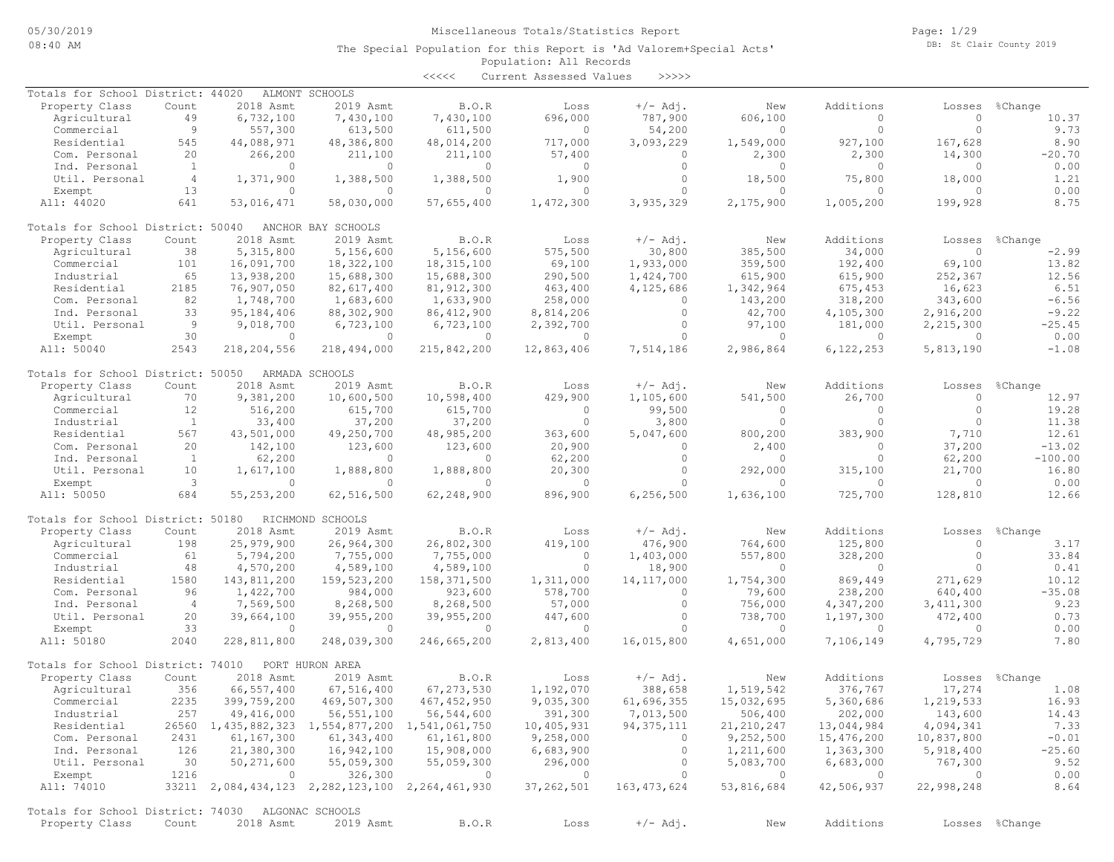Page: 1/29 DB: St Clair County 2019

#### Population: All Records The Special Population for this Report is 'Ad Valorem+Special Acts'

<<<<< Current Assessed Values >>>>>

| Totals for School District: 44020                 |                |                | ALMONT SCHOOLS                                  |                |                        |               |                |                |             |                |
|---------------------------------------------------|----------------|----------------|-------------------------------------------------|----------------|------------------------|---------------|----------------|----------------|-------------|----------------|
| Property Class                                    | Count          | 2018 Asmt      | 2019 Asmt                                       | B.O.R          | Loss                   | $+/-$ Adj.    | New            | Additions      | Losses      | %Change        |
| Agricultural                                      | 49             | 6,732,100      | 7,430,100                                       | 7,430,100      | 696,000                | 787,900       | 606,100        | 0              | $\circ$     | 10.37          |
| Commercial                                        | 9              | 557,300        | 613,500                                         | 611,500        | $\circ$                | 54,200        | $\circ$        | $\circ$        | $\circ$     | 9.73           |
| Residential                                       | 545            | 44,088,971     | 48,386,800                                      | 48,014,200     | 717,000                | 3,093,229     | 1,549,000      | 927,100        | 167,628     | 8.90           |
| Com. Personal                                     | 20             | 266,200        | 211,100                                         | 211,100        | 57,400                 | $\circ$       | 2,300          | 2,300          | 14,300      | $-20.70$       |
| Ind. Personal                                     | 1              | $\circ$        | 0                                               | $\circ$        | 0                      | $\circ$       | 0              | $\circ$        | $\circ$     | 0.00           |
| Util. Personal                                    | $\overline{4}$ | 1,371,900      | 1,388,500                                       | 1,388,500      | 1,900                  | $\circ$       | 18,500         | 75,800         | 18,000      | 1.21           |
| Exempt                                            | 13             | $\circ$        | $\circ$                                         | $\circ$        | $\circ$                | $\circ$       | $\Omega$       | $\Omega$       | $\Omega$    | 0.00           |
| All: 44020                                        | 641            | 53,016,471     | 58,030,000                                      | 57,655,400     | 1,472,300              | 3,935,329     | 2,175,900      | 1,005,200      | 199,928     | 8.75           |
|                                                   |                |                |                                                 |                |                        |               |                |                |             |                |
| Totals for School District: 50040                 |                |                | ANCHOR BAY SCHOOLS                              |                |                        |               |                |                |             |                |
| Property Class                                    | Count          | 2018 Asmt      | 2019 Asmt                                       | B.O.R          | Loss                   | $+/-$ Adj.    | New            | Additions      | Losses      | %Change        |
| Agricultural                                      | 38             | 5,315,800      | 5,156,600                                       | 5,156,600      | 575,500                | 30,800        | 385,500        | 34,000         | $\circ$     | $-2.99$        |
| Commercial                                        | 101            | 16,091,700     | 18,322,100                                      | 18, 315, 100   | 69,100                 | 1,933,000     | 359,500        | 192,400        | 69,100      | 13.82          |
| Industrial                                        | 65             | 13,938,200     | 15,688,300                                      | 15,688,300     | 290,500                | 1,424,700     | 615,900        | 615,900        | 252,367     | 12.56          |
| Residential                                       | 2185           | 76,907,050     | 82,617,400                                      | 81, 912, 300   | 463,400                | 4,125,686     | 1,342,964      | 675,453        | 16,623      | 6.51           |
| Com. Personal                                     | 82             | 1,748,700      | 1,683,600                                       | 1,633,900      | 258,000                | $\circ$       | 143,200        | 318,200        | 343,600     | $-6.56$        |
| Ind. Personal                                     | 33             | 95, 184, 406   | 88,302,900                                      | 86, 412, 900   | 8,814,206              | $\circ$       | 42,700         | 4,105,300      | 2,916,200   | $-9.22$        |
| Util. Personal                                    | -9             | 9,018,700      | 6,723,100                                       | 6,723,100      | 2,392,700              | $\circ$       | 97,100         | 181,000        | 2,215,300   | $-25.45$       |
| Exempt                                            | 30             | $\circ$        | $\circ$                                         | $\circ$        | $\circ$                | $\circ$       | $\circ$        | $\circ$        | 0           | 0.00           |
| All: 50040                                        | 2543           | 218,204,556    | 218,494,000                                     | 215,842,200    | 12,863,406             | 7,514,186     | 2,986,864      | 6,122,253      | 5,813,190   | $-1.08$        |
|                                                   |                |                |                                                 |                |                        |               |                |                |             |                |
| Totals for School District: 50050                 |                |                | ARMADA SCHOOLS                                  |                |                        |               |                |                |             |                |
| Property Class                                    | Count          | 2018 Asmt      | 2019 Asmt                                       | B.O.R          | Loss                   | $+/-$ Adj.    | New            | Additions      | Losses      | %Change        |
| Agricultural                                      | 70             | 9,381,200      | 10,600,500                                      | 10,598,400     | 429,900                | 1,105,600     | 541,500        | 26,700         | $\Omega$    | 12.97          |
| Commercial                                        | 12             | 516,200        | 615,700                                         | 615,700        | $\mathbf{0}$           | 99,500        | $\Omega$       | $\circ$        | $\circ$     | 19.28          |
| Industrial                                        | 1              | 33,400         | 37,200                                          | 37,200         | $\circ$                | 3,800         | $\circ$        | $\circ$        | $\Omega$    | 11.38          |
| Residential                                       | 567            | 43,501,000     | 49,250,700                                      | 48,985,200     | 363,600                | 5,047,600     | 800,200        | 383,900        | 7,710       | 12.61          |
| Com. Personal                                     | 20             | 142,100        | 123,600                                         | 123,600        | 20,900                 | 0             | 2,400          | 0              | 37,200      | $-13.02$       |
| Ind. Personal                                     | $\mathbf{1}$   | 62,200         | 0                                               | $\circ$        | 62,200                 | $\circ$       | 0              | 0              | 62,200      | $-100.00$      |
| Util. Personal                                    | 10             | 1,617,100      |                                                 | 1,888,800      |                        | $\circ$       | 292,000        | 315,100        | 21,700      | 16.80          |
|                                                   | 3              | $\circ$        | 1,888,800<br>$\Omega$                           | 0              | 20,300<br>$\mathbf{0}$ | $\Omega$      | $\Omega$       | 0              | $\Omega$    |                |
| Exempt                                            | 684            |                |                                                 |                |                        |               |                |                |             | 0.00           |
| All: 50050                                        |                | 55, 253, 200   | 62,516,500                                      | 62,248,900     | 896,900                | 6, 256, 500   | 1,636,100      | 725,700        | 128,810     | 12.66          |
| Totals for School District: 50180                 |                |                | RICHMOND SCHOOLS                                |                |                        |               |                |                |             |                |
| Property Class                                    | Count          | 2018 Asmt      | 2019 Asmt                                       | B.O.R          | Loss                   | $+/-$ Adj.    | New            | Additions      | Losses      | %Change        |
| Agricultural                                      | 198            | 25,979,900     | 26,964,300                                      | 26,802,300     | 419,100                | 476,900       | 764,600        | 125,800        | $\circ$     | 3.17           |
| Commercial                                        | 61             | 5,794,200      | 7,755,000                                       | 7,755,000      | $\circ$                | 1,403,000     | 557,800        | 328,200        | $\circ$     | 33.84          |
|                                                   | 48             |                |                                                 |                | $\circ$                |               | 0              | $\mathbf{0}$   | $\Omega$    |                |
| Industrial                                        |                | 4,570,200      | 4,589,100                                       | 4,589,100      |                        | 18,900        |                |                |             | 0.41           |
| Residential                                       | 1580           | 143,811,200    | 159,523,200                                     | 158, 371, 500  | 1,311,000              | 14, 117, 000  | 1,754,300      | 869,449        | 271,629     | 10.12          |
| Com. Personal                                     | 96             | 1,422,700      | 984,000                                         | 923,600        | 578,700                | $\circ$       | 79,600         | 238,200        | 640,400     | $-35.08$       |
| Ind. Personal                                     | $\overline{4}$ | 7,569,500      | 8,268,500                                       | 8,268,500      | 57,000                 | $\circ$       | 756,000        | 4,347,200      | 3, 411, 300 | 9.23           |
| Util. Personal                                    | 20             | 39,664,100     | 39,955,200                                      | 39,955,200     | 447,600                | 0             | 738,700        | 1,197,300      | 472,400     | 0.73           |
| Exempt                                            | 33             | $\circ$        | $\circ$                                         | $\mathbf{0}$   | $\circ$                | $\mathbf{0}$  | $\mathbf{0}$   | $\circ$        | $\circ$     | 0.00           |
| All: 50180                                        | 2040           | 228,811,800    | 248,039,300                                     | 246,665,200    | 2,813,400              | 16,015,800    | 4,651,000      | 7,106,149      | 4,795,729   | 7.80           |
|                                                   |                |                |                                                 |                |                        |               |                |                |             |                |
| Totals for School District: 74010                 |                |                | PORT HURON AREA                                 |                |                        |               |                |                |             |                |
| Property Class                                    | Count          | 2018 Asmt      | 2019 Asmt                                       | B.O.R          | Loss                   | $+/-$ Adj.    | New            | Additions      | Losses      | %Change        |
| Agricultural                                      | 356            | 66,557,400     | 67,516,400                                      | 67, 273, 530   | 1,192,070              | 388,658       | 1,519,542      | 376,767        | 17,274      | 1.08           |
| Commercial                                        | 2235           | 399,759,200    | 469,507,300                                     | 467, 452, 950  | 9,035,300              | 61,696,355    | 15,032,695     | 5,360,686      | 1,219,533   | 16.93          |
| Industrial                                        | 257            | 49,416,000     | 56, 551, 100                                    | 56,544,600     | 391,300                | 7,013,500     | 506,400        | 202,000        | 143,600     | 14.43          |
| Residential                                       |                |                | 26560 1,435,882,323 1,554,877,200 1,541,061,750 |                | 10,405,931             | 94, 375, 111  | 21, 210, 247   | 13,044,984     | 4,094,341   | 7.33           |
| Com. Personal                                     | 2431           | 61, 167, 300   | 61,343,400                                      | 61,161,800     | 9,258,000              | $\circ$       | 9,252,500      | 15,476,200     | 10,837,800  | $-0.01$        |
| Ind. Personal                                     | 126            | 21,380,300     | 16,942,100                                      | 15,908,000     | 6,683,900              | $\circ$       | 1,211,600      | 1,363,300      | 5,918,400   | $-25.60$       |
| Util. Personal                                    | 30             | 50,271,600     | 55,059,300                                      | 55,059,300     | 296,000                | $\circ$       | 5,083,700      | 6,683,000      | 767,300     | 9.52           |
| Exempt                                            | 1216           | $\overline{0}$ | 326,300                                         | $\overline{0}$ | $\overline{0}$         | $\circ$       | $\overline{0}$ | $\overline{0}$ | $\circ$     | 0.00           |
| All: 74010                                        |                |                | 33211 2,084,434,123 2,282,123,100 2,264,461,930 |                | 37, 262, 501           | 163, 473, 624 | 53,816,684     | 42,506,937     | 22,998,248  | 8.64           |
|                                                   |                |                |                                                 |                |                        |               |                |                |             |                |
| Totals for School District: 74030 ALGONAC SCHOOLS |                |                |                                                 |                |                        |               |                |                |             |                |
| Property Class                                    | Count          | 2018 Asmt      | 2019 Asmt                                       | B.O.R          | Loss                   | $+/-$ Adj.    | New            | Additions      |             | Losses %Change |
|                                                   |                |                |                                                 |                |                        |               |                |                |             |                |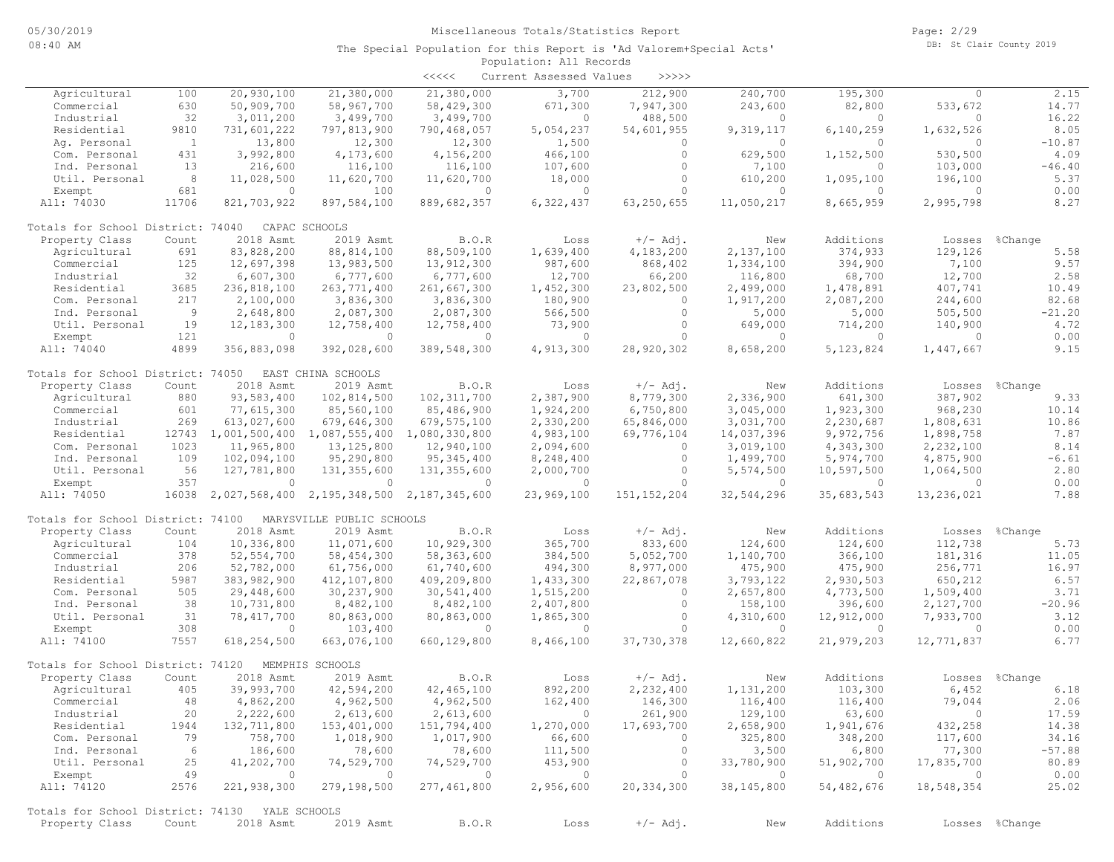Page: 2/29 DB: St Clair County 2019

|                                                |                 |                                                 |                             | $\prec\prec\prec\prec\prec$       | Current Assessed Values | $>>>>>$        |                          |                        |                |                |
|------------------------------------------------|-----------------|-------------------------------------------------|-----------------------------|-----------------------------------|-------------------------|----------------|--------------------------|------------------------|----------------|----------------|
| Agricultural                                   | 100             | 20,930,100                                      | 21,380,000                  | 21,380,000                        | 3,700                   | 212,900        | 240,700                  | 195,300                | $\mathbf{0}$   | 2.15           |
| Commercial                                     | 630             | 50,909,700                                      | 58,967,700                  | 58,429,300                        | 671,300                 | 7,947,300      | 243,600                  | 82,800                 | 533,672        | 14.77          |
| Industrial                                     | 32              | 3,011,200                                       | 3,499,700                   | 3,499,700                         | $\Omega$                | 488,500        | $\Omega$                 | $\Omega$               | $\Omega$       | 16.22          |
| Residential                                    | 9810            | 731,601,222                                     | 797,813,900                 | 790,468,057                       | 5,054,237               | 54,601,955     | 9,319,117                | 6,140,259              | 1,632,526      | 8.05           |
| Aq. Personal                                   | $\overline{1}$  | 13,800                                          | 12,300                      | 12,300                            | 1,500                   | $\circ$        | $\circ$                  | $\Omega$               | $\mathbf{0}$   | $-10.87$       |
| Com. Personal                                  | 431             | 3,992,800                                       | 4,173,600                   | 4,156,200                         | 466,100                 | $\circ$        | 629,500                  | 1,152,500              | 530,500        | 4.09           |
| Ind. Personal                                  | 13              | 216,600                                         | 116,100                     | 116,100                           | 107,600                 | $\circ$        | 7,100                    | $\Omega$               | 103,000        | $-46.40$       |
| Util. Personal                                 | 8               | 11,028,500                                      | 11,620,700                  | 11,620,700                        | 18,000                  | $\circ$        | 610,200                  | 1,095,100              | 196,100        | 5.37           |
| Exempt                                         | 681             | $\circ$                                         | 100                         | $\circ$                           | $\mathbf{0}$            | $\circ$        | $\circ$                  | $\Omega$               | $\circ$        | 0.00           |
| All: 74030                                     | 11706           | 821,703,922                                     | 897,584,100                 | 889,682,357                       | 6,322,437               | 63,250,655     | 11,050,217               | 8,665,959              | 2,995,798      | 8.27           |
| Totals for School District: 74040              |                 |                                                 | CAPAC SCHOOLS               |                                   |                         |                |                          |                        |                |                |
| Property Class                                 | Count           | 2018 Asmt                                       | 2019 Asmt                   | B.O.R                             | Loss                    | $+/-$ Adj.     | New                      | Additions              | Losses         | %Change        |
| Agricultural                                   | 691             | 83,828,200                                      | 88, 814, 100                | 88,509,100                        | 1,639,400               | 4,183,200      | 2,137,100                | 374,933                | 129,126        | 5.58           |
| Commercial                                     | 125             | 12,697,398                                      | 13,983,500                  | 13,912,300                        | 987,600                 | 868,402        | 1,334,100                | 394,900                | 7,100          | 9.57           |
| Industrial                                     | 32              | 6,607,300                                       | 6,777,600                   | 6,777,600                         | 12,700                  | 66,200         | 116,800                  | 68,700                 | 12,700         | 2.58           |
| Residential                                    | 3685            | 236,818,100                                     | 263, 771, 400               | 261,667,300                       | 1,452,300               | 23,802,500     | 2,499,000                | 1,478,891              | 407,741        | 10.49          |
| Com. Personal                                  | 217             | 2,100,000                                       | 3,836,300                   | 3,836,300                         | 180,900                 | $\circ$        | 1,917,200                | 2,087,200              | 244,600        | 82.68          |
| Ind. Personal                                  | 9               | 2,648,800                                       | 2,087,300                   | 2,087,300                         | 566,500                 | $\circ$        | 5,000                    | 5,000                  | 505,500        | $-21.20$       |
| Util. Personal                                 | 19              | 12, 183, 300                                    | 12,758,400                  | 12,758,400                        | 73,900                  | $\circ$        | 649,000                  | 714,200                | 140,900        | 4.72           |
| Exempt                                         | 121             | $\circ$                                         | $\circ$                     | $\Omega$                          | $\mathbf{0}$            | $\Omega$       | $\Omega$                 | $\Omega$               | $\mathbf{0}$   | 0.00           |
| All: 74040                                     | 4899            | 356,883,098                                     | 392,028,600                 | 389,548,300                       | 4,913,300               | 28,920,302     | 8,658,200                | 5, 123, 824            | 1,447,667      | 9.15           |
| Totals for School District: 74050              |                 |                                                 | EAST CHINA SCHOOLS          |                                   |                         |                |                          |                        |                |                |
| Property Class                                 | Count           | 2018 Asmt                                       | 2019 Asmt                   | B.O.R                             | Loss                    | $+/-$ Adj.     | New                      | Additions              | Losses         | %Change        |
| Agricultural                                   | 880             | 93,583,400                                      | 102,814,500                 | 102, 311, 700                     | 2,387,900               | 8,779,300      | 2,336,900                | 641,300                | 387,902        | 9.33           |
| Commercial                                     | 601             | 77,615,300                                      | 85,560,100                  | 85,486,900                        | 1,924,200               | 6,750,800      | 3,045,000                | 1,923,300              | 968,230        | 10.14          |
| Industrial                                     | 269             | 613,027,600                                     | 679,646,300                 | 679, 575, 100                     | 2,330,200               | 65,846,000     | 3,031,700                | 2,230,687              | 1,808,631      | 10.86          |
| Residential                                    |                 | 12743 1,001,500,400 1,087,555,400 1,080,330,800 |                             |                                   | 4,983,100               | 69,776,104     | 14,037,396               | 9,972,756              | 1,898,758      | 7.87           |
| Com. Personal                                  | 1023            | 11,965,800                                      | 13, 125, 800                | 12,940,100                        | 2,094,600               | $\circ$        | 3,019,100                | 4,343,300              | 2,232,100      | 8.14           |
| Ind. Personal                                  | 109             | 102,094,100                                     | 95,290,800                  | 95, 345, 400                      | 8,248,400               | $\circ$        | 1,499,700                | 5,974,700              | 4,875,900      | $-6.61$        |
| Util. Personal                                 | 56              | 127,781,800                                     | 131, 355, 600               | 131, 355, 600                     | 2,000,700               | $\circ$        | 5,574,500                | 10,597,500             | 1,064,500      | 2.80           |
| Exempt                                         | 357             | $\circ$                                         | $\circ$                     | $\circ$                           | $\circ$                 | $\Omega$       | $\circ$                  | $\Omega$               | $\circ$        | 0.00           |
| All: 74050                                     | 16038           |                                                 | 2,027,568,400 2,195,348,500 | 2,187,345,600                     | 23,969,100              | 151, 152, 204  | 32,544,296               | 35,683,543             | 13,236,021     | 7.88           |
| Totals for School District: 74100              |                 |                                                 | MARYSVILLE PUBLIC SCHOOLS   |                                   |                         |                |                          |                        |                |                |
|                                                | Count           | 2018 Asmt                                       | 2019 Asmt                   | B.O.R                             |                         | $+/-$ Adj.     | New                      | Additions              |                |                |
| Property Class                                 | 104             |                                                 |                             |                                   | Loss                    |                |                          |                        | Losses         | %Change        |
| Agricultural                                   | 378             | 10,336,800                                      | 11,071,600                  | 10,929,300                        | 365,700                 | 833,600        | 124,600                  | 124,600                | 112,738        | 5.73           |
| Commercial                                     |                 | 52, 554, 700                                    | 58,454,300                  | 58,363,600                        | 384,500                 | 5,052,700      | 1,140,700                | 366,100                | 181,316        | 11.05          |
| Industrial                                     | 206             | 52,782,000                                      | 61,756,000                  | 61,740,600                        | 494,300                 | 8,977,000      | 475,900                  | 475,900                | 256,771        | 16.97          |
| Residential                                    | 5987            | 383,982,900                                     | 412,107,800                 | 409,209,800                       | 1,433,300               | 22,867,078     | 3,793,122                | 2,930,503              | 650,212        | 6.57           |
| Com. Personal                                  | 505             | 29,448,600                                      | 30,237,900                  | 30,541,400                        | 1,515,200               | $\circ$        | 2,657,800                | 4,773,500              | 1,509,400      | 3.71           |
| Ind. Personal                                  | 38              | 10,731,800                                      | 8,482,100                   | 8,482,100                         | 2,407,800               | $\circ$        | 158,100                  | 396,600                | 2,127,700      | $-20.96$       |
| Util. Personal                                 | 31              | 78,417,700                                      | 80,863,000                  | 80,863,000                        | 1,865,300               | $\circ$        | 4,310,600                | 12,912,000             | 7,933,700      | 3.12           |
| Exempt                                         | 308             | $\circ$                                         | 103,400                     | $\Omega$                          | $\mathbf{0}$            | $\circ$        | $\Omega$                 | $\Omega$<br>21,979,203 | $\mathbf{0}$   | 0.00<br>6.77   |
| All: 74100                                     | 7557            | 618,254,500                                     | 663,076,100                 | 660,129,800                       | 8,466,100               | 37,730,378     | 12,660,822               |                        | 12,771,837     |                |
| Totals for School District: 74120              |                 |                                                 | MEMPHIS SCHOOLS             |                                   |                         |                |                          |                        |                |                |
| Property Class                                 | Count           | 2018 Asmt                                       | 2019 Asmt                   | B.O.R                             | Loss                    | $+/-$ Adj.     | New                      | Additions              | Losses         | %Change        |
| Agricultural                                   | 405             | 39,993,700                                      | 42,594,200                  | 42, 465, 100                      | 892,200                 | 2,232,400      | 1,131,200                | 103,300                | 6,452          | 6.18           |
| Commercial                                     | 48              | 4,862,200                                       | 4,962,500                   | 4,962,500                         | 162,400                 | 146,300        | 116,400                  | 116,400                | 79,044         | 2.06           |
| Industrial                                     | 20              | 2,222,600                                       | 2,613,600                   | 2,613,600                         | $\sim$ 0                | 261,900        | 129,100                  | 63,600                 | $\overline{0}$ | 17.59          |
| Residential                                    | 1944            | 132,711,800                                     | 153,401,000                 | 151,794,400                       | 1,270,000               | 17,693,700     | 2,658,900                | 1,941,676              | 432,258        | 14.38          |
| Com. Personal                                  | 79              | 758,700                                         | 1,018,900                   | 1,017,900                         | 66,600                  | $\circ$        | 325,800                  | 348,200                | 117,600        | 34.16          |
| Ind. Personal                                  | $6\overline{6}$ | 186,600                                         | 78,600                      | 78,600                            | 111,500                 | $\circ$        | 3,500                    | 6,800                  | 77,300         | $-57.88$       |
| Util. Personal                                 | 25              | 41,202,700                                      | 74,529,700                  | 74,529,700                        | 453,900                 | $\overline{0}$ | 33,780,900               | 51,902,700             | 17,835,700     | 80.89          |
| Exempt                                         | 49              | $\sim$ 000 $\sim$ 000 $\sim$ 000 $\sim$         | $\overline{0}$              | $\sim$ 0 $\sim$ 0 $\sim$ 0 $\sim$ | $\sim$ 0                | $\overline{0}$ | $\overline{\phantom{0}}$ | $\sim$ 0               | $\overline{0}$ | 0.00           |
| All: 74120                                     | 2576            | 221,938,300                                     | 279,198,500                 | 277,461,800                       | 2,956,600               | 20, 334, 300   | 38,145,800               | 54,482,676             | 18,548,354     | 25.02          |
| Totals for School District: 74130 YALE SCHOOLS |                 |                                                 |                             |                                   |                         |                |                          |                        |                |                |
| Property Class                                 | Count           | 2018 Asmt                                       | 2019 Asmt                   | B.O.R                             | Loss                    | $+/-$ Adj.     | New                      | Additions              |                | Losses %Change |
|                                                |                 |                                                 |                             |                                   |                         |                |                          |                        |                |                |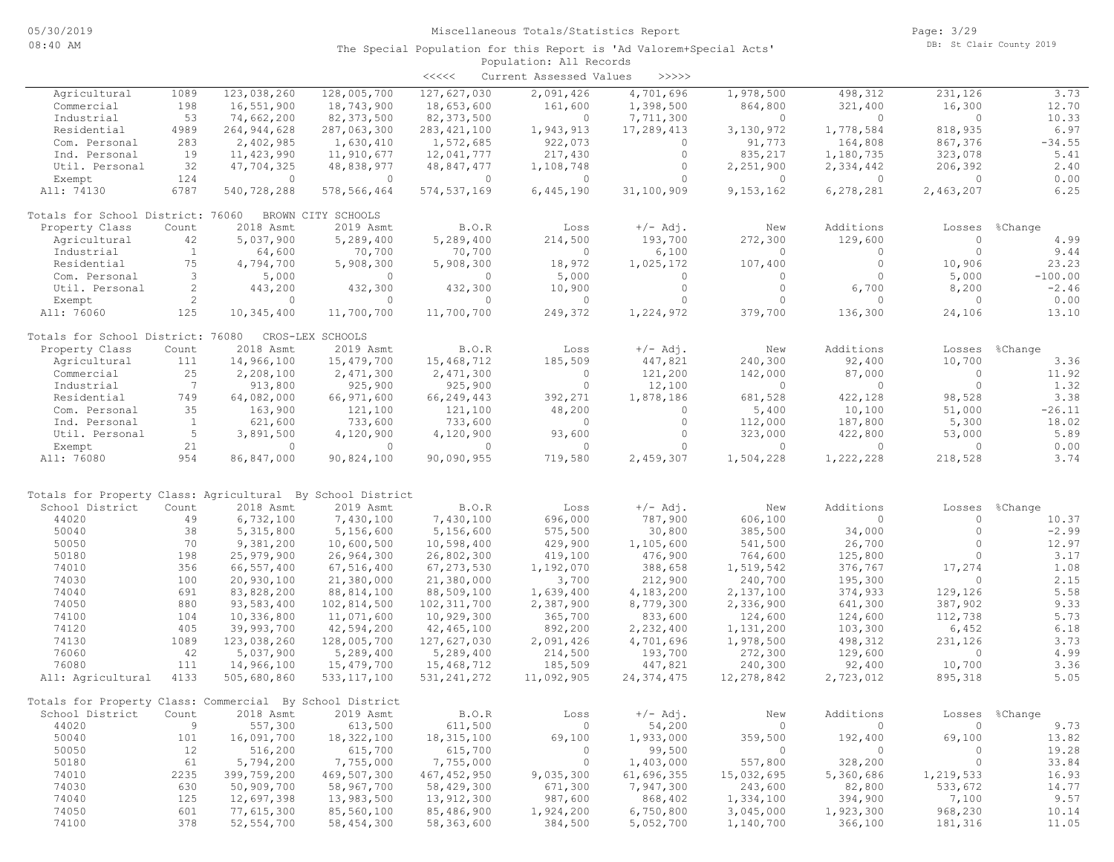|                                                                               |                      |                          |                           | $\prec\prec\prec\prec\prec$ | Current Assessed Values | >>>>>                |                      |           |                   |           |
|-------------------------------------------------------------------------------|----------------------|--------------------------|---------------------------|-----------------------------|-------------------------|----------------------|----------------------|-----------|-------------------|-----------|
| Agricultural                                                                  | 1089                 | 123,038,260              | 128,005,700               | 127,627,030                 | 2,091,426               | 4,701,696            | 1,978,500            | 498,312   | 231,126           | 3.73      |
| Commercial                                                                    | 198                  | 16,551,900               | 18,743,900                | 18,653,600                  | 161,600                 | 1,398,500            | 864,800              | 321,400   | 16,300            | 12.70     |
| Industrial                                                                    | 53                   | 74,662,200               | 82, 373, 500              | 82, 373, 500                | $\circ$                 | 7,711,300            | $\Omega$             | $\Omega$  | $\circ$           | 10.33     |
| Residential                                                                   | 4989                 | 264, 944, 628            | 287,063,300               | 283, 421, 100               | 1,943,913               | 17,289,413           | 3,130,972            | 1,778,584 | 818,935           | 6.97      |
| Com. Personal                                                                 | 283                  | 2,402,985                | 1,630,410                 | 1,572,685                   | 922,073                 | $\circ$              | 91,773               | 164,808   | 867,376           | $-34.55$  |
| Ind. Personal                                                                 | 19                   | 11,423,990               | 11,910,677                | 12,041,777                  | 217,430                 | $\circ$              | 835,217              | 1,180,735 | 323,078           | 5.41      |
| Util. Personal                                                                | 32                   | 47,704,325               | 48,838,977                | 48,847,477                  | 1,108,748               | $\circ$              | 2,251,900            | 2,334,442 | 206,392           | 2.40      |
| Exempt                                                                        | 124                  | $\circ$                  | $\overline{0}$            | $\overline{0}$              | $\overline{0}$          | $\circ$              | $\circ$              | $\circ$   | $\circ$           | 0.00      |
| All: 74130                                                                    | 6787                 | 540,728,288              | 578,566,464               | 574, 537, 169               | 6,445,190               | 31,100,909           | 9,153,162            | 6,278,281 | 2,463,207         | 6.25      |
| Totals for School District: 76060                                             |                      |                          | BROWN CITY SCHOOLS        |                             |                         |                      |                      |           |                   |           |
| Property Class                                                                | Count                | 2018 Asmt                | 2019 Asmt                 | B.O.R                       | Loss                    | $+/-$ Adj.           | New                  | Additions | Losses            | %Change   |
| Agricultural                                                                  | 42                   | 5,037,900                | 5,289,400                 | 5,289,400                   | 214,500                 | 193,700              | 272,300              | 129,600   | $\circ$           | 4.99      |
| Industrial                                                                    | <sup>1</sup>         | 64,600                   | 70,700                    | 70,700                      | $\circ$                 | 6,100                | $\circ$              | $\circ$   | $\circ$           | 9.44      |
| Residential                                                                   | 75                   | 4,794,700                | 5,908,300                 | 5,908,300                   | 18,972                  | 1,025,172            | 107,400              | $\circ$   | 10,906            | 23.23     |
| Com. Personal                                                                 | 3                    | 5,000                    | $\Omega$                  | $\overline{0}$              | 5,000                   | $\circ$              | $\circ$              | $\circ$   | 5,000             | $-100.00$ |
| Util. Personal                                                                | $\mathbf{2}$         | 443,200                  | 432,300                   | 432,300                     | 10,900                  | $\circ$              | $\circ$              | 6,700     | 8,200             | $-2.46$   |
| Exempt                                                                        | $\mathbf{2}^{\circ}$ | $\circ$                  | $\circ$                   | $\Omega$                    | $\circ$                 | $\circ$              | $\circ$              | $\circ$   | $\circ$           | 0.00      |
| All: 76060                                                                    | 125                  | 10,345,400               | 11,700,700                | 11,700,700                  | 249,372                 | 1,224,972            | 379,700              | 136,300   | 24,106            | 13.10     |
| Totals for School District: 76080                                             |                      |                          | CROS-LEX SCHOOLS          |                             |                         |                      |                      |           |                   |           |
| Property Class                                                                | Count                | 2018 Asmt                | 2019 Asmt                 | B.O.R                       | Loss                    | $+/-$ Adj.           | New                  | Additions | Losses            | %Change   |
| Agricultural                                                                  | 111                  | 14,966,100               | 15,479,700                | 15,468,712                  | 185,509                 | 447,821              | 240,300              | 92,400    | 10,700            | 3.36      |
| Commercial                                                                    | 25                   | 2,208,100                | 2,471,300                 | 2,471,300                   | $\overline{0}$          | 121,200              | 142,000              | 87,000    | $\circ$           | 11.92     |
| Industrial                                                                    | 7                    | 913,800                  | 925,900                   | 925,900                     | $\circ$                 | 12,100               | $\circ$              | $\circ$   | $\circ$           | 1.32      |
| Residential                                                                   | 749                  | 64,082,000               | 66,971,600                | 66,249,443                  | 392,271                 | 1,878,186            | 681,528              | 422,128   | 98,528            | 3.38      |
| Com. Personal                                                                 | 35                   | 163,900                  | 121,100                   | 121,100                     | 48,200                  | $\circ$              | 5,400                | 10,100    | 51,000            | $-26.11$  |
| Ind. Personal                                                                 | $\mathbf{1}$         | 621,600                  | 733,600                   | 733,600                     | $\circ$                 | $\circ$              | 112,000              | 187,800   | 5,300             | 18.02     |
| Util. Personal                                                                | 5                    | 3,891,500                | 4,120,900                 | 4,120,900                   | 93,600                  | $\circ$              | 323,000              | 422,800   | 53,000            | 5.89      |
| Exempt                                                                        | 21                   | $\circ$                  | $\overline{0}$            | $\overline{0}$              | $\circ$                 | $\circ$              | $\circ$              | $\circ$   | $\circ$           | 0.00      |
| All: 76080                                                                    | 954                  | 86,847,000               | 90,824,100                | 90,090,955                  | 719,580                 | 2,459,307            | 1,504,228            | 1,222,228 | 218,528           | 3.74      |
|                                                                               |                      |                          |                           |                             |                         |                      |                      |           |                   |           |
| Totals for Property Class: Agricultural By School District<br>School District | Count                | 2018 Asmt                | 2019 Asmt                 | B.O.R                       | Loss                    | $+/-$ Adj.           |                      | Additions |                   | %Change   |
| 44020                                                                         | 49                   | 6,732,100                | 7,430,100                 | 7,430,100                   | 696,000                 | 787,900              | New<br>606,100       | $\circ$   | Losses<br>$\circ$ | 10.37     |
| 50040                                                                         | 38                   | 5, 315, 800              | 5,156,600                 | 5,156,600                   | 575,500                 | 30,800               | 385,500              | 34,000    | $\circ$           | $-2.99$   |
| 50050                                                                         | 70                   | 9,381,200                | 10,600,500                | 10,598,400                  | 429,900                 | 1,105,600            | 541,500              | 26,700    | $\circ$           | 12.97     |
| 50180                                                                         | 198                  | 25,979,900               | 26,964,300                |                             | 419,100                 | 476,900              | 764,600              | 125,800   | $\circ$           | 3.17      |
| 74010                                                                         | 356                  | 66,557,400               | 67,516,400                | 26,802,300<br>67, 273, 530  | 1,192,070               | 388,658              | 1,519,542            | 376,767   | 17,274            | 1.08      |
| 74030                                                                         | 100                  |                          |                           |                             | 3,700                   | 212,900              | 240,700              | 195,300   | $\circ$           | 2.15      |
| 74040                                                                         | 691                  | 20,930,100<br>83,828,200 | 21,380,000                | 21,380,000<br>88,509,100    |                         |                      | 2,137,100            | 374,933   | 129,126           | 5.58      |
| 74050                                                                         | 880                  | 93,583,400               | 88,814,100                | 102, 311, 700               | 1,639,400               | 4,183,200            |                      | 641,300   | 387,902           | 9.33      |
| 74100                                                                         | 104                  | 10,336,800               | 102,814,500<br>11,071,600 | 10,929,300                  | 2,387,900<br>365,700    | 8,779,300<br>833,600 | 2,336,900<br>124,600 | 124,600   | 112,738           | 5.73      |
| 74120                                                                         | 405                  | 39,993,700               | 42,594,200                | 42,465,100                  | 892,200                 | 2,232,400            | 1,131,200            | 103,300   | 6,452             | 6.18      |
| 74130                                                                         | 1089                 | 123,038,260              | 128,005,700               | 127,627,030                 | 2,091,426               | 4,701,696            | 1,978,500            | 498,312   | 231,126           | 3.73      |
| 76060                                                                         | 42                   | 5,037,900                | 5,289,400                 |                             | 214,500                 | 193,700              |                      | 129,600   | $\circ$           | 4.99      |
| 76080                                                                         | 111                  | 14,966,100               |                           | 5,289,400                   |                         |                      | 272,300              |           |                   | 3.36      |
|                                                                               |                      |                          | 15,479,700                | 15,468,712                  | 185,509                 | 447,821              | 240,300              | 92,400    | 10,700            |           |
| All: Agricultural                                                             | 4133                 | 505,680,860              | 533, 117, 100             | 531, 241, 272               | 11,092,905              | 24, 374, 475         | 12,278,842           | 2,723,012 | 895,318           | 5.05      |
| Totals for Property Class: Commercial By School District                      |                      |                          |                           |                             |                         |                      |                      |           |                   |           |
| School District                                                               | Count                | 2018 Asmt                | 2019 Asmt                 | B.O.R                       | Loss                    | $+/-$ Adj.           | New                  | Additions | Losses            | %Change   |
| 44020                                                                         | 9                    | 557,300                  | 613,500                   | 611,500                     | $\circ$                 | 54,200               | $\circ$              | $\circ$   | $\circ$           | 9.73      |
| 50040                                                                         | 101                  | 16,091,700               | 18,322,100                | 18, 315, 100                | 69,100                  | 1,933,000            | 359,500              | 192,400   | 69,100            | 13.82     |
| 50050                                                                         | 12                   | 516,200                  | 615,700                   | 615,700                     | $\circ$                 | 99,500               | $\circ$              | 0         | 0                 | 19.28     |
| 50180                                                                         | 61                   | 5,794,200                | 7,755,000                 | 7,755,000                   | $\overline{0}$          | 1,403,000            | 557,800              | 328,200   | $\circ$           | 33.84     |
| 74010                                                                         | 2235                 | 399,759,200              | 469,507,300               | 467, 452, 950               | 9,035,300               | 61,696,355           | 15,032,695           | 5,360,686 | 1,219,533         | 16.93     |
| 74030                                                                         | 630                  | 50,909,700               | 58,967,700                | 58,429,300                  | 671,300                 | 7,947,300            | 243,600              | 82,800    | 533,672           | 14.77     |
| 74040                                                                         | 125                  | 12,697,398               | 13,983,500                | 13,912,300                  | 987,600                 | 868,402              | 1,334,100            | 394,900   | 7,100             | 9.57      |
| 74050                                                                         | 601                  | 77,615,300               | 85,560,100                | 85,486,900                  | 1,924,200               | 6,750,800            | 3,045,000            | 1,923,300 | 968,230           | 10.14     |
| 74100                                                                         | 378                  | 52, 554, 700             | 58,454,300                | 58,363,600                  | 384,500                 | 5,052,700            | 1,140,700            | 366,100   | 181,316           | 11.05     |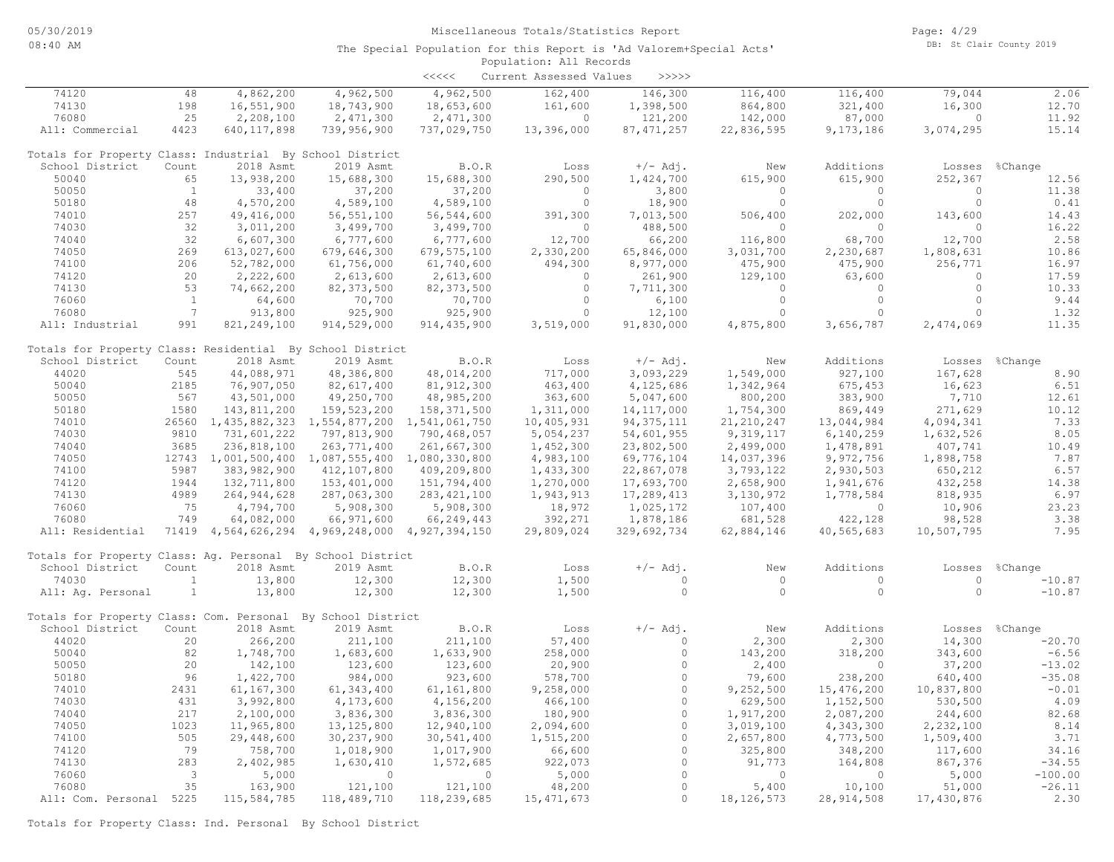|                                                             |                                |                                                 |               | <<<<          | Current Assessed Values | >>>>>              |                |                |            |                  |
|-------------------------------------------------------------|--------------------------------|-------------------------------------------------|---------------|---------------|-------------------------|--------------------|----------------|----------------|------------|------------------|
| 74120                                                       | 48                             | 4,862,200                                       | 4,962,500     | 4,962,500     | 162,400                 | 146,300            | 116,400        | 116,400        | 79,044     | 2.06             |
| 74130                                                       | 198                            | 16,551,900                                      | 18,743,900    | 18,653,600    | 161,600                 | 1,398,500          | 864,800        | 321,400        | 16,300     | 12.70            |
| 76080                                                       | 25                             | 2,208,100                                       | 2,471,300     | 2,471,300     | $\bigcirc$              | 121,200            | 142,000        | 87,000         | $\Omega$   | 11.92            |
| All: Commercial                                             | 4423                           | 640, 117, 898                                   | 739,956,900   | 737,029,750   | 13,396,000              | 87, 471, 257       | 22,836,595     | 9,173,186      | 3,074,295  | 15.14            |
| Totals for Property Class: Industrial By School District    |                                |                                                 |               |               |                         |                    |                |                |            |                  |
| School District                                             | Count                          | 2018 Asmt                                       | 2019 Asmt     | B.O.R         | Loss                    | $+/-$ Adj.         | New            | Additions      |            | Losses %Change   |
| 50040                                                       | 65                             | 13,938,200                                      | 15,688,300    | 15,688,300    | 290,500                 | 1,424,700          | 615,900        | 615,900        | 252,367    | 12.56            |
| 50050                                                       | $\mathbf{1}$                   | 33,400                                          | 37,200        | 37,200        | $\bigcap$               | 3,800              | $\Omega$       | $\cap$         | $\Omega$   | 11.38            |
| 50180                                                       | 48                             | 4,570,200                                       | 4,589,100     | 4,589,100     | $\circ$                 | 18,900             | $\circ$        | $\circ$        | $\circ$    | 0.41             |
| 74010                                                       | 257                            | 49,416,000                                      | 56, 551, 100  | 56, 544, 600  | 391,300                 | 7,013,500          | 506,400        | 202,000        | 143,600    | 14.43            |
| 74030                                                       | 32                             | 3,011,200                                       | 3,499,700     | 3,499,700     | $\circ$                 | 488,500            | $\circ$        | $\circ$        | $\circ$    | 16.22            |
| 74040                                                       | 32                             | 6,607,300                                       | 6,777,600     | 6,777,600     | 12,700                  | 66,200             | 116,800        | 68,700         | 12,700     | 2.58             |
| 74050                                                       | 269                            | 613,027,600                                     | 679,646,300   | 679, 575, 100 | 2,330,200               | 65,846,000         | 3,031,700      | 2,230,687      | 1,808,631  | 10.86            |
| 74100                                                       | 206                            | 52,782,000                                      | 61,756,000    | 61,740,600    | 494,300                 | 8,977,000          | 475,900        | 475,900        | 256,771    | 16.97            |
| 74120                                                       | 20                             | 2,222,600                                       | 2,613,600     | 2,613,600     | $\circ$                 | 261,900            | 129,100        | 63,600         | $\circ$    | 17.59            |
| 74130                                                       | 53                             | 74,662,200                                      | 82, 373, 500  | 82, 373, 500  | $\circ$                 | 7,711,300          | $\circ$        | $\Omega$       | $\circ$    | 10.33            |
| 76060                                                       | $\mathbf{1}$                   | 64,600                                          | 70,700        | 70,700        | $\circ$                 | 6,100              | $\circ$        | $\circ$        | $\circ$    | 9.44             |
| 76080                                                       | 7                              | 913,800                                         | 925,900       | 925,900       | $\Omega$                | 12,100             | $\Omega$       | $\Omega$       | $\Omega$   | 1.32             |
| All: Industrial                                             | 991                            | 821, 249, 100                                   | 914,529,000   | 914, 435, 900 | 3,519,000               | 91,830,000         | 4,875,800      | 3,656,787      | 2,474,069  | 11.35            |
| Totals for Property Class: Residential By School District   |                                |                                                 |               |               |                         |                    |                |                |            |                  |
| School District                                             | Count                          | 2018 Asmt                                       | 2019 Asmt     | B.O.R         | Loss                    | $+/-$ Adj.         | New            | Additions      |            | Losses %Change   |
| 44020                                                       | 545                            | 44,088,971                                      | 48,386,800    | 48,014,200    | 717,000                 | 3,093,229          | 1,549,000      | 927,100        | 167,628    | 8.90             |
| 50040                                                       | 2185                           | 76,907,050                                      | 82,617,400    | 81, 912, 300  | 463,400                 | 4,125,686          | 1,342,964      | 675,453        | 16,623     | 6.51             |
| 50050                                                       | 567                            | 43,501,000                                      | 49,250,700    | 48,985,200    | 363,600                 | 5,047,600          | 800,200        | 383,900        | 7,710      | 12.61            |
| 50180                                                       | 1580                           | 143,811,200                                     | 159,523,200   | 158,371,500   | 1,311,000               | 14, 117, 000       | 1,754,300      | 869,449        | 271,629    | 10.12            |
| 74010                                                       |                                | 26560 1,435,882,323 1,554,877,200 1,541,061,750 |               |               | 10,405,931              | 94, 375, 111       | 21, 210, 247   | 13,044,984     | 4,094,341  | 7.33             |
| 74030                                                       | 9810                           | 731,601,222                                     | 797,813,900   | 790,468,057   | 5,054,237               | 54,601,955         | 9, 319, 117    | 6, 140, 259    | 1,632,526  | 8.05             |
| 74040                                                       | 3685                           | 236,818,100                                     | 263, 771, 400 | 261,667,300   | 1,452,300               | 23,802,500         | 2,499,000      | 1,478,891      | 407,741    | 10.49            |
| 74050                                                       |                                | 12743 1,001,500,400 1,087,555,400 1,080,330,800 |               |               | 4,983,100               | 69,776,104         | 14,037,396     | 9,972,756      | 1,898,758  | 7.87             |
| 74100                                                       | 5987                           | 383,982,900                                     | 412,107,800   | 409,209,800   | 1,433,300               | 22,867,078         | 3,793,122      | 2,930,503      | 650,212    | 6.57             |
| 74120                                                       | 1944                           | 132,711,800                                     | 153,401,000   | 151,794,400   | 1,270,000               | 17,693,700         | 2,658,900      | 1,941,676      | 432,258    | 14.38            |
| 74130                                                       | 4989                           | 264, 944, 628                                   | 287,063,300   | 283, 421, 100 | 1,943,913               | 17,289,413         | 3,130,972      | 1,778,584      | 818,935    | 6.97             |
| 76060                                                       | 75                             | 4,794,700                                       | 5,908,300     | 5,908,300     | 18,972                  | 1,025,172          | 107,400        | $\overline{0}$ | 10,906     | 23.23            |
| 76080                                                       | 749                            | 64,082,000                                      | 66,971,600    | 66,249,443    | 392,271                 | 1,878,186          | 681,528        | 422,128        | 98,528     | 3.38             |
| All: Residential                                            |                                | 71419 4,564,626,294 4,969,248,000 4,927,394,150 |               |               | 29,809,024              | 329,692,734        | 62,884,146     | 40,565,683     | 10,507,795 | 7.95             |
| Totals for Property Class: Aq. Personal By School District  |                                |                                                 |               |               |                         |                    |                |                |            |                  |
| School District                                             | Count                          | 2018 Asmt                                       | 2019 Asmt     | B.O.R         | Loss                    | $+/-$ Adj.         | New            | Additions      |            | Losses %Change   |
| 74030                                                       | $\mathbf{1}$                   | 13,800                                          | 12,300        | 12,300        | 1,500                   | $\circ$            | $\overline{0}$ | $\circ$        | $\circ$    | $-10.87$         |
| All: Aq. Personal                                           | $\mathbf{1}$                   | 13,800                                          | 12,300        | 12,300        | 1,500                   | $\Omega$           | $\Omega$       | $\Omega$       | $\Omega$   | $-10.87$         |
| Totals for Property Class: Com. Personal By School District |                                |                                                 |               |               |                         |                    |                |                |            |                  |
| School District                                             | Count                          | 2018 Asmt                                       | 2019 Asmt     | B.O.R         | Loss                    | $+/-$ Adj.         | New            | Additions      | Losses     | %Change          |
| 44020                                                       | 20                             | 266,200                                         | 211,100       | 211,100       | 57,400                  | $\Omega$           | 2,300          | 2,300          | 14,300     | $-20.70$         |
| 50040                                                       | 82                             | 1,748,700                                       | 1,683,600     | 1,633,900     | 258,000                 | $\circ$            | 143,200        | 318,200        | 343,600    | $-6.56$          |
| 50050                                                       | 20                             | 142,100                                         | 123,600       | 123,600       | 20,900                  | $\circ$            | 2,400          | $\circ$        | 37,200     | $-13.02$         |
| 50180                                                       | 96                             | 1,422,700                                       | 984,000       | 923,600       | 578,700                 | $\circ$            | 79,600         | 238,200        | 640,400    | $-35.08$         |
| 74010                                                       | 2431                           | 61, 167, 300                                    | 61, 343, 400  | 61,161,800    | 9,258,000               | $\circ$            | 9,252,500      | 15,476,200     | 10,837,800 | $-0.01$          |
| 74030                                                       | 431                            | 3,992,800                                       | 4,173,600     | 4,156,200     | 466,100                 | $\circ$            | 629,500        | 1,152,500      | 530,500    | 4.09             |
| 74040                                                       | 217                            | 2,100,000                                       | 3,836,300     | 3,836,300     | 180,900                 | $\Omega$           | 1,917,200      | 2,087,200      | 244,600    | 82.68            |
| 74050                                                       | 1023                           | 11,965,800                                      | 13, 125, 800  | 12,940,100    | 2,094,600               | $\circ$            | 3,019,100      | 4,343,300      | 2,232,100  | 8.14             |
| 74100                                                       | 505                            | 29,448,600                                      | 30,237,900    | 30,541,400    | 1,515,200               | $\circ$            | 2,657,800      | 4,773,500      | 1,509,400  | 3.71             |
| 74120                                                       | 79                             | 758,700                                         | 1,018,900     | 1,017,900     | 66,600                  | $\circ$            | 325,800        | 348,200        | 117,600    | 34.16            |
| 74130                                                       | 283                            | 2,402,985                                       | 1,630,410     | 1,572,685     | 922,073                 | $\circ$            | 91,773         | 164,808        | 867,376    | $-34.55$         |
| 76060<br>76080                                              | $\overline{\phantom{a}}$<br>35 | 5,000                                           | $\circ$       | $\circ$       | 5,000                   | $\circ$<br>$\circ$ | $\overline{0}$ | $\circ$        | 5,000      | $-100.00$        |
|                                                             |                                | 163,900                                         | 121,100       | 121,100       | 48,200                  | $\circ$            | 5,400          | 10,100         | 51,000     | $-26.11$<br>2.30 |
| All: Com. Personal 5225                                     |                                | 115,584,785                                     | 118,489,710   | 118,239,685   | 15, 471, 673            |                    | 18, 126, 573   | 28, 914, 508   | 17,430,876 |                  |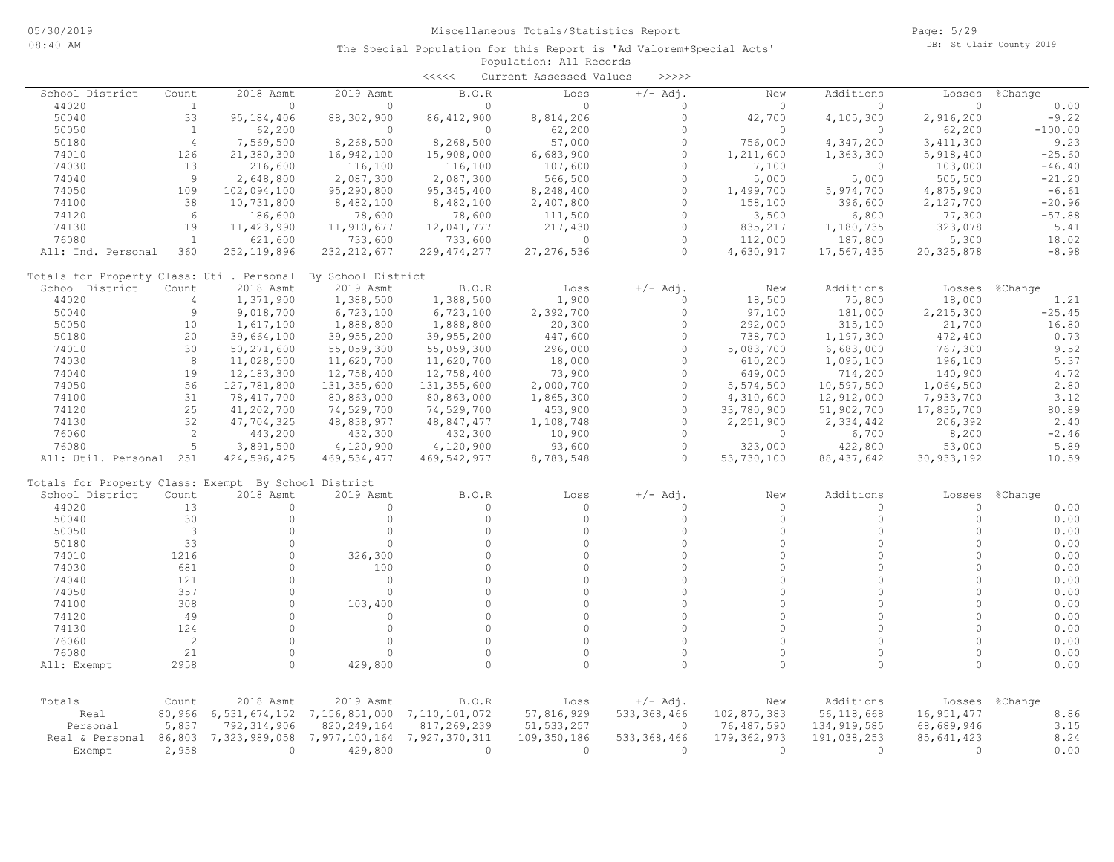|                                                      |                |               |                    | $\begin{array}{c} \begin{array}{c} < \  \  < \  \  < \end{array} \end{array}$ | Current Assessed Values | >>>>>                     |                          |               |                        |              |
|------------------------------------------------------|----------------|---------------|--------------------|-------------------------------------------------------------------------------|-------------------------|---------------------------|--------------------------|---------------|------------------------|--------------|
| School District                                      | Count          | 2018 Asmt     | 2019 Asmt          | B.O.R                                                                         | Loss                    | $+/-$ Adj.                | New                      | Additions     | Losses                 | %Change      |
| 44020                                                | $\mathbf{1}$   | $\circ$       | $\Omega$           | $\Omega$                                                                      | $\Omega$                | $\Omega$                  | $\Omega$                 | $\Omega$      | $\Omega$               | 0.00         |
| 50040                                                | 33             | 95, 184, 406  | 88,302,900         | 86, 412, 900                                                                  | 8,814,206               | $\circ$                   | 42,700                   | 4,105,300     | 2,916,200              | $-9.22$      |
| 50050                                                | $\mathbf{1}$   | 62,200        | $\circ$            | $\circ$                                                                       | 62,200                  | $\Omega$                  | $\Omega$                 | $\circ$       | 62,200                 | $-100.00$    |
| 50180                                                | $\overline{4}$ | 7,569,500     | 8,268,500          | 8,268,500                                                                     | 57,000                  | $\Omega$                  | 756,000                  | 4,347,200     | 3, 411, 300            | 9.23         |
| 74010                                                | 126            | 21,380,300    | 16,942,100         | 15,908,000                                                                    | 6,683,900               | $\Omega$                  | 1,211,600                | 1,363,300     | 5,918,400              | $-25.60$     |
| 74030                                                | 13             | 216,600       | 116,100            | 116,100                                                                       | 107,600                 | $\circ$                   | 7,100                    | 0             | 103,000                | $-46.40$     |
| 74040                                                | 9              | 2,648,800     | 2,087,300          | 2,087,300                                                                     | 566,500                 | $\Omega$                  | 5,000                    | 5,000         | 505,500                | $-21.20$     |
| 74050                                                | 109            | 102,094,100   | 95,290,800         | 95, 345, 400                                                                  | 8,248,400               | $\Omega$                  | 1,499,700                | 5,974,700     | 4,875,900              | $-6.61$      |
| 74100                                                | 38             | 10,731,800    | 8,482,100          | 8,482,100                                                                     | 2,407,800               | $\Omega$                  | 158,100                  | 396,600       | 2,127,700              | $-20.96$     |
| 74120                                                | 6              | 186,600       | 78,600             | 78,600                                                                        | 111,500                 | $\Omega$                  | 3,500                    | 6,800         | 77,300                 | $-57.88$     |
| 74130                                                | 19             | 11, 423, 990  | 11,910,677         | 12,041,777                                                                    | 217,430                 | $\circ$                   | 835,217                  | 1,180,735     | 323,078                | 5.41         |
| 76080                                                | <sup>1</sup>   | 621,600       | 733,600            | 733,600                                                                       | $\circ$                 | $\Omega$                  | 112,000                  | 187,800       | 5,300                  | 18.02        |
| All: Ind. Personal                                   | 360            | 252, 119, 896 | 232, 212, 677      | 229, 474, 277                                                                 | 27, 276, 536            | $\Omega$                  | 4,630,917                | 17,567,435    | 20,325,878             | $-8.98$      |
| Totals for Property Class: Util. Personal            |                |               | By School District |                                                                               |                         |                           |                          |               |                        |              |
| School District                                      | Count          | 2018 Asmt     | 2019 Asmt          | B.O.R                                                                         | Loss                    | $+/-$ Adj.                | New                      | Additions     | Losses                 | %Change      |
| 44020                                                | $\overline{4}$ | 1,371,900     | 1,388,500          | 1,388,500                                                                     | 1,900                   | $\Omega$                  | 18,500                   | 75,800        | 18,000                 | 1.21         |
| 50040                                                | $\overline{9}$ | 9,018,700     | 6,723,100          | 6,723,100                                                                     | 2,392,700               | $\Omega$                  | 97,100                   | 181,000       | 2,215,300              | $-25.45$     |
| 50050                                                | 10             | 1,617,100     | 1,888,800          | 1,888,800                                                                     | 20,300                  | $\Omega$                  | 292,000                  | 315,100       | 21,700                 | 16.80        |
| 50180                                                | 20             | 39,664,100    | 39,955,200         | 39,955,200                                                                    | 447,600                 | $\circ$                   | 738,700                  | 1,197,300     | 472,400                | 0.73         |
| 74010                                                | 30             | 50, 271, 600  | 55,059,300         | 55,059,300                                                                    | 296,000                 | $\Omega$                  | 5,083,700                | 6,683,000     | 767,300                | 9.52         |
| 74030                                                | 8              | 11,028,500    | 11,620,700         | 11,620,700                                                                    | 18,000                  | $\Omega$                  | 610,200                  | 1,095,100     | 196,100                | 5.37         |
| 74040                                                | 19             | 12, 183, 300  | 12,758,400         | 12,758,400                                                                    | 73,900                  | $\Omega$                  | 649,000                  | 714,200       | 140,900                | 4.72         |
| 74050                                                | 56             | 127,781,800   | 131, 355, 600      | 131, 355, 600                                                                 | 2,000,700               | $\Omega$                  | 5,574,500                | 10,597,500    | 1,064,500              | 2.80         |
| 74100                                                | 31             | 78, 417, 700  | 80,863,000         | 80,863,000                                                                    | 1,865,300               | $\Omega$                  | 4,310,600                | 12,912,000    | 7,933,700              | 3.12         |
| 74120                                                | 25             | 41,202,700    | 74,529,700         | 74,529,700                                                                    | 453,900                 | $\Omega$                  | 33,780,900               | 51,902,700    | 17,835,700             | 80.89        |
| 74130                                                | 32             | 47,704,325    | 48,838,977         | 48,847,477                                                                    | 1,108,748               | $\Omega$                  | 2,251,900                | 2,334,442     | 206,392                | 2.40         |
| 76060                                                | $\overline{2}$ | 443,200       | 432,300            | 432,300                                                                       | 10,900                  | $\Omega$                  | $\circ$                  | 6,700         | 8,200                  | $-2.46$      |
| 76080                                                | 5              | 3,891,500     | 4,120,900          | 4,120,900                                                                     | 93,600                  | $\Omega$                  | 323,000                  | 422,800       | 53,000                 | 5.89         |
| All: Util. Personal 251                              |                | 424,596,425   | 469,534,477        | 469, 542, 977                                                                 | 8,783,548               | $\Omega$                  | 53,730,100               | 88, 437, 642  | 30, 933, 192           | 10.59        |
| Totals for Property Class: Exempt By School District |                |               |                    |                                                                               |                         |                           |                          |               |                        |              |
| School District                                      | Count          | 2018 Asmt     | 2019 Asmt          | B.O.R                                                                         | Loss                    | $+/-$ Adj.                | New                      | Additions     | Losses                 | %Change      |
| 44020                                                | 13             | 0             | $\circ$            | 0                                                                             | $\Omega$                | $\Omega$                  | 0                        | $\circ$       | $\circ$                | 0.00         |
| 50040                                                | 30             | $\circ$       | $\circ$            | $\circ$                                                                       | $\circ$                 | $\Omega$                  | $\circ$                  | $\circ$       | $\circ$                | 0.00         |
| 50050                                                | $\mathbf{3}$   | $\circ$       | $\circ$            | 0                                                                             | $\circ$                 | $\Omega$                  | $\circ$                  | $\circ$       | $\circ$                | 0.00         |
| 50180                                                | 33             | $\circ$       | $\circ$            | $\circ$                                                                       | $\Omega$                | $\Omega$                  | $\Omega$                 | $\circ$       | $\Omega$               | 0.00         |
| 74010                                                | 1216           | $\Omega$      | 326,300            | $\Omega$                                                                      | $\Omega$                | $\Omega$                  | $\Omega$                 | $\Omega$      | $\cap$                 | 0.00         |
| 74030                                                | 681            | $\Omega$      | 100                | $\Omega$                                                                      | $\Omega$                | $\Omega$                  | $\Omega$                 | $\Omega$      | $\Omega$               | 0.00         |
| 74040                                                | 121            | $\Omega$      | $\circ$            | $\Omega$                                                                      | $\Omega$                | $\Omega$                  | $\Omega$                 | $\Omega$      | $\Omega$               | 0.00         |
| 74050                                                | 357            | $\circ$       | $\Omega$           | $\Omega$                                                                      | $\Omega$                | $\Omega$                  | $\Omega$                 | $\Omega$      | $\cap$                 | 0.00         |
| 74100                                                | 308            | $\Omega$      | 103,400            | $\circ$                                                                       | $\Omega$                | $\Omega$                  | $\Omega$                 | $\Omega$      | $\circ$                | 0.00         |
| 74120                                                | 49             | $\circ$       | $\circ$            | $\Omega$                                                                      | $\Omega$                | $\Omega$                  | $\Omega$                 | $\Omega$      | $\Omega$               | 0.00         |
| 74130                                                | 124            | $\Omega$      | $\Omega$           | $\Omega$                                                                      | $\Omega$                | $\Omega$                  | $\Omega$                 | $\Omega$      | $\cap$                 | 0.00         |
| 76060                                                | 2              | $\circ$       | $\circ$            | $\circ$                                                                       | $\circ$                 | $\Omega$                  | $\circ$                  | $\circ$       | $\circ$                | 0.00         |
| 76080                                                | 21             | $\Omega$      | $\Omega$           | $\Omega$                                                                      | $\Omega$                | $\Omega$                  | $\Omega$                 | $\Omega$      | $\circ$                | 0.00         |
| All: Exempt                                          | 2958           | $\Omega$      | 429,800            | $\cap$                                                                        | $\cap$                  | $\cap$                    | $\Omega$                 | $\cap$        | $\cap$                 | 0.00         |
|                                                      |                |               |                    |                                                                               |                         |                           |                          |               |                        |              |
| Totals                                               | Count          | 2018 Asmt     | 2019 Asmt          | B.O.R                                                                         | Loss                    | $+/-$ Adj.                | New                      | Additions     | Losses                 | %Change      |
| Real                                                 | 80,966         | 6,531,674,152 | 7,156,851,000      | 7,110,101,072                                                                 | 57,816,929              | 533, 368, 466<br>$\circ$  | 102,875,383              | 56,118,668    | 16,951,477             | 8.86         |
| Personal                                             | 5,837          | 792, 314, 906 | 820, 249, 164      | 817,269,239                                                                   | 51, 533, 257            |                           | 76,487,590               | 134, 919, 585 | 68,689,946             | 3.15<br>8.24 |
| Real & Personal                                      | 86,803         | 7,323,989,058 | 7,977,100,164      | 7,927,370,311                                                                 | 109,350,186<br>$\circ$  | 533, 368, 466<br>$\Omega$ | 179, 362, 973<br>$\circ$ | 191,038,253   | 85,641,423<br>$\Omega$ |              |
| Exempt                                               | 2,958          | $\circ$       | 429,800            | $\circ$                                                                       |                         |                           |                          | $\circ$       |                        | 0.00         |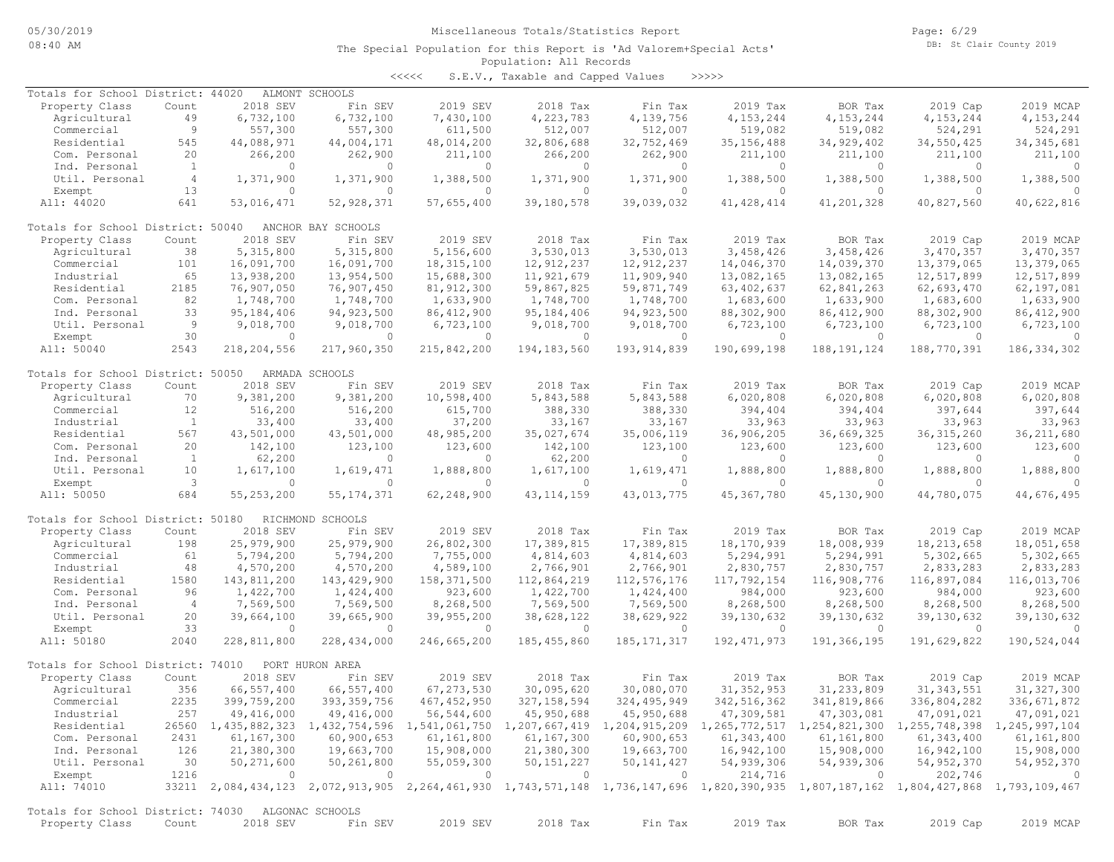<<<<< S.E.V., Taxable and Capped Values >>>>>

| Totals for School District: 44020                 |                |                | ALMONT SCHOOLS     |                |                |               |                                                                                                                                     |                |              |                |
|---------------------------------------------------|----------------|----------------|--------------------|----------------|----------------|---------------|-------------------------------------------------------------------------------------------------------------------------------------|----------------|--------------|----------------|
| Property Class                                    | Count          | 2018 SEV       | Fin SEV            | 2019 SEV       | 2018 Tax       | Fin Tax       | 2019 Tax                                                                                                                            | BOR Tax        | 2019 Cap     | 2019 MCAP      |
| Agricultural                                      | 49             | 6,732,100      | 6,732,100          | 7,430,100      | 4,223,783      | 4,139,756     | 4, 153, 244                                                                                                                         | 4,153,244      | 4, 153, 244  | 4, 153, 244    |
| Commercial                                        | 9              | 557,300        | 557,300            | 611,500        | 512,007        | 512,007       | 519,082                                                                                                                             | 519,082        | 524,291      | 524,291        |
| Residential                                       | 545            | 44,088,971     | 44,004,171         | 48,014,200     | 32,806,688     | 32,752,469    | 35, 156, 488                                                                                                                        | 34,929,402     | 34,550,425   | 34, 345, 681   |
| Com. Personal                                     | 20             | 266,200        | 262,900            | 211,100        | 266,200        | 262,900       | 211,100                                                                                                                             | 211,100        | 211,100      | 211,100        |
| Ind. Personal                                     | $\mathbf{1}$   | $\Omega$       | $\Omega$           | $\Omega$       | $\mathbf{0}$   | $\circ$       | $\Omega$                                                                                                                            | 0              | $\Omega$     | $\Omega$       |
| Util. Personal                                    | $\overline{4}$ | 1,371,900      | 1,371,900          | 1,388,500      | 1,371,900      | 1,371,900     | 1,388,500                                                                                                                           | 1,388,500      | 1,388,500    | 1,388,500      |
| Exempt                                            | 13             | $\circ$        | $\circ$            | $\mathbf{0}$   | $\circ$        | $\circ$       | $\circ$                                                                                                                             | $\circ$        | $\circ$      | $\Omega$       |
| All: 44020                                        | 641            | 53,016,471     | 52, 928, 371       | 57,655,400     | 39,180,578     | 39,039,032    | 41, 428, 414                                                                                                                        | 41,201,328     | 40,827,560   | 40,622,816     |
|                                                   |                |                |                    |                |                |               |                                                                                                                                     |                |              |                |
|                                                   |                |                |                    |                |                |               |                                                                                                                                     |                |              |                |
| Totals for School District: 50040                 |                |                | ANCHOR BAY SCHOOLS |                |                |               |                                                                                                                                     |                |              |                |
| Property Class                                    | Count          | 2018 SEV       | Fin SEV            | 2019 SEV       | 2018 Tax       | Fin Tax       | 2019 Tax                                                                                                                            | BOR Tax        | 2019 Cap     | 2019 MCAP      |
| Agricultural                                      | 38             | 5,315,800      | 5,315,800          | 5,156,600      | 3,530,013      | 3,530,013     | 3,458,426                                                                                                                           | 3,458,426      | 3,470,357    | 3,470,357      |
| Commercial                                        | 101            | 16,091,700     | 16,091,700         | 18, 315, 100   | 12,912,237     | 12,912,237    | 14,046,370                                                                                                                          | 14,039,370     | 13,379,065   | 13,379,065     |
| Industrial                                        | 65             | 13,938,200     | 13,954,500         | 15,688,300     | 11,921,679     | 11,909,940    | 13,082,165                                                                                                                          | 13,082,165     | 12,517,899   | 12,517,899     |
| Residential                                       | 2185           | 76,907,050     | 76,907,450         | 81, 912, 300   | 59,867,825     | 59,871,749    | 63, 402, 637                                                                                                                        | 62,841,263     | 62,693,470   | 62,197,081     |
| Com. Personal                                     | 82             | 1,748,700      | 1,748,700          | 1,633,900      | 1,748,700      | 1,748,700     | 1,683,600                                                                                                                           | 1,633,900      | 1,683,600    | 1,633,900      |
| Ind. Personal                                     | 33             | 95, 184, 406   | 94, 923, 500       | 86, 412, 900   | 95, 184, 406   | 94, 923, 500  | 88,302,900                                                                                                                          | 86, 412, 900   | 88,302,900   | 86, 412, 900   |
| Util. Personal                                    | - 9            | 9,018,700      | 9,018,700          | 6,723,100      | 9,018,700      | 9,018,700     | 6,723,100                                                                                                                           | 6,723,100      | 6,723,100    | 6,723,100      |
| Exempt                                            | 30             | $\Omega$       | $\Omega$           | $\Omega$       | $\Omega$       | $\circ$       | $\circ$                                                                                                                             | $\circ$        | $\circ$      | $\Omega$       |
|                                                   |                |                |                    |                |                |               |                                                                                                                                     |                |              |                |
| All: 50040                                        | 2543           | 218,204,556    | 217,960,350        | 215,842,200    | 194, 183, 560  | 193, 914, 839 | 190,699,198                                                                                                                         | 188, 191, 124  | 188,770,391  | 186, 334, 302  |
|                                                   |                |                |                    |                |                |               |                                                                                                                                     |                |              |                |
| Totals for School District: 50050                 |                |                | ARMADA SCHOOLS     |                |                |               |                                                                                                                                     |                |              |                |
| Property Class                                    | Count          | 2018 SEV       | Fin SEV            | 2019 SEV       | 2018 Tax       | Fin Tax       | 2019 Tax                                                                                                                            | BOR Tax        | 2019 Cap     | 2019 MCAP      |
| Agricultural                                      | 70             | 9,381,200      | 9,381,200          | 10,598,400     | 5,843,588      | 5,843,588     | 6,020,808                                                                                                                           | 6,020,808      | 6,020,808    | 6,020,808      |
| Commercial                                        | 12             | 516,200        | 516,200            | 615,700        | 388,330        | 388,330       | 394,404                                                                                                                             | 394,404        | 397,644      | 397,644        |
| Industrial                                        | $\mathbf{1}$   | 33,400         | 33,400             | 37,200         | 33,167         | 33,167        | 33,963                                                                                                                              | 33,963         | 33,963       | 33,963         |
| Residential                                       | 567            | 43,501,000     | 43,501,000         | 48,985,200     | 35,027,674     | 35,006,119    | 36,906,205                                                                                                                          | 36,669,325     | 36, 315, 260 | 36, 211, 680   |
| Com. Personal                                     | 20             | 142,100        | 123,100            | 123,600        | 142,100        | 123,100       | 123,600                                                                                                                             | 123,600        | 123,600      | 123,600        |
| Ind. Personal                                     | $\mathbf{1}$   | 62,200         | $\circ$            | $\Omega$       | 62,200         | $\Omega$      | $\Omega$                                                                                                                            | $\circ$        | $\Omega$     | $\circ$        |
| Util. Personal                                    | 10             | 1,617,100      | 1,619,471          | 1,888,800      | 1,617,100      | 1,619,471     | 1,888,800                                                                                                                           | 1,888,800      | 1,888,800    | 1,888,800      |
| Exempt                                            | 3              | $\Omega$       | $\Omega$           | $\Omega$       | $\Omega$       | $\circ$       | $\Omega$                                                                                                                            | $\Omega$       | $\Omega$     |                |
|                                                   |                |                |                    |                |                |               |                                                                                                                                     |                |              |                |
| All: 50050                                        | 684            | 55,253,200     | 55, 174, 371       | 62,248,900     | 43, 114, 159   | 43,013,775    | 45, 367, 780                                                                                                                        | 45,130,900     | 44,780,075   | 44,676,495     |
|                                                   |                |                |                    |                |                |               |                                                                                                                                     |                |              |                |
| Totals for School District: 50180                 |                |                | RICHMOND SCHOOLS   |                |                |               |                                                                                                                                     |                |              |                |
| Property Class                                    | Count          | 2018 SEV       | Fin SEV            | 2019 SEV       | 2018 Tax       | Fin Tax       | 2019 Tax                                                                                                                            | BOR Tax        | 2019 Cap     | 2019 MCAP      |
| Agricultural                                      | 198            | 25,979,900     | 25,979,900         | 26,802,300     | 17,389,815     | 17,389,815    | 18,170,939                                                                                                                          | 18,008,939     | 18, 213, 658 | 18,051,658     |
| Commercial                                        | 61             | 5,794,200      | 5,794,200          | 7,755,000      | 4,814,603      | 4,814,603     | 5,294,991                                                                                                                           | 5,294,991      | 5,302,665    | 5,302,665      |
| Industrial                                        | 48             | 4,570,200      | 4,570,200          | 4,589,100      | 2,766,901      | 2,766,901     | 2,830,757                                                                                                                           | 2,830,757      | 2,833,283    | 2,833,283      |
| Residential                                       | 1580           | 143,811,200    | 143,429,900        | 158,371,500    | 112,864,219    | 112,576,176   | 117,792,154                                                                                                                         | 116,908,776    | 116,897,084  | 116,013,706    |
| Com. Personal                                     | 96             | 1,422,700      | 1,424,400          | 923,600        | 1,422,700      | 1,424,400     | 984,000                                                                                                                             | 923,600        | 984,000      | 923,600        |
| Ind. Personal                                     | $\overline{4}$ | 7,569,500      | 7,569,500          | 8,268,500      | 7,569,500      | 7,569,500     | 8,268,500                                                                                                                           | 8,268,500      | 8,268,500    | 8,268,500      |
| Util. Personal                                    | 20             | 39,664,100     | 39,665,900         | 39,955,200     | 38,628,122     | 38,629,922    | 39, 130, 632                                                                                                                        | 39, 130, 632   | 39, 130, 632 | 39,130,632     |
| Exempt                                            | 33             | $\Omega$       | $\bigcirc$         | $\Omega$       | $\Omega$       | $\Omega$      | $\Omega$                                                                                                                            | $\overline{0}$ | $\Omega$     | $\bigcirc$     |
|                                                   |                |                |                    |                |                |               |                                                                                                                                     |                |              |                |
| All: 50180                                        | 2040           | 228,811,800    | 228, 434, 000      | 246,665,200    | 185, 455, 860  | 185, 171, 317 | 192, 471, 973                                                                                                                       | 191,366,195    | 191,629,822  | 190,524,044    |
|                                                   |                |                |                    |                |                |               |                                                                                                                                     |                |              |                |
| Totals for School District: 74010                 |                |                | PORT HURON AREA    |                |                |               |                                                                                                                                     |                |              |                |
| Property Class                                    | Count          | 2018 SEV       | Fin SEV            | 2019 SEV       | 2018 Tax       | Fin Tax       | 2019 Tax                                                                                                                            | BOR Tax        | 2019 Cap     | 2019 MCAP      |
| Agricultural                                      | 356            | 66,557,400     | 66,557,400         | 67, 273, 530   | 30,095,620     | 30,080,070    | 31, 352, 953                                                                                                                        | 31, 233, 809   | 31, 343, 551 | 31, 327, 300   |
| Commercial                                        | 2235           | 399,759,200    | 393, 359, 756      | 467, 452, 950  | 327, 158, 594  | 324, 495, 949 | 342, 516, 362                                                                                                                       | 341,819,866    | 336,804,282  | 336, 671, 872  |
| Industrial                                        | 257            | 49,416,000     | 49,416,000         | 56,544,600     | 45,950,688     | 45,950,688    | 47,309,581                                                                                                                          | 47,303,081     | 47,091,021   | 47,091,021     |
| Residential                                       |                |                |                    |                |                |               | 26560 1,435,882,323 1,432,754,596 1,541,061,750 1,207,667,419 1,204,915,209 1,265,772,517 1,254,821,300 1,255,748,398 1,245,997,104 |                |              |                |
| Com. Personal                                     | 2431           | 61,167,300     | 60,900,653         | 61,161,800     | 61,167,300     | 60,900,653    | 61,343,400                                                                                                                          | 61,161,800     | 61, 343, 400 | 61,161,800     |
| Ind. Personal                                     | 126            | 21,380,300     | 19,663,700         | 15,908,000     | 21,380,300     | 19,663,700    |                                                                                                                                     | 15,908,000     | 16,942,100   | 15,908,000     |
|                                                   |                |                |                    |                |                | 50, 141, 427  | 16,942,100                                                                                                                          |                |              |                |
| Util. Personal                                    | 30             | 50,271,600     | 50,261,800         | 55,059,300     | 50, 151, 227   |               | 54,939,306                                                                                                                          | 54,939,306     | 54,952,370   | 54, 952, 370   |
| Exempt                                            | 1216           | $\overline{0}$ | $\sim$ 0           | $\overline{0}$ | $\overline{0}$ | $\circ$       | 214,716                                                                                                                             | $\overline{0}$ | 202,746      | $\overline{0}$ |
| All: 74010                                        |                |                |                    |                |                |               | 33211 2,084,434,123 2,072,913,905 2,264,461,930 1,743,571,148 1,736,147,696 1,820,390,935 1,807,187,162 1,804,427,868 1,793,109,467 |                |              |                |
|                                                   |                |                |                    |                |                |               |                                                                                                                                     |                |              |                |
| Totals for School District: 74030 ALGONAC SCHOOLS |                |                |                    |                |                |               |                                                                                                                                     |                |              |                |
| Property Class                                    | Count          | 2018 SEV       | Fin SEV            | 2019 SEV       | 2018 Tax       | Fin Tax       | 2019 Tax                                                                                                                            | BOR Tax        | 2019 Cap     | 2019 MCAP      |
|                                                   |                |                |                    |                |                |               |                                                                                                                                     |                |              |                |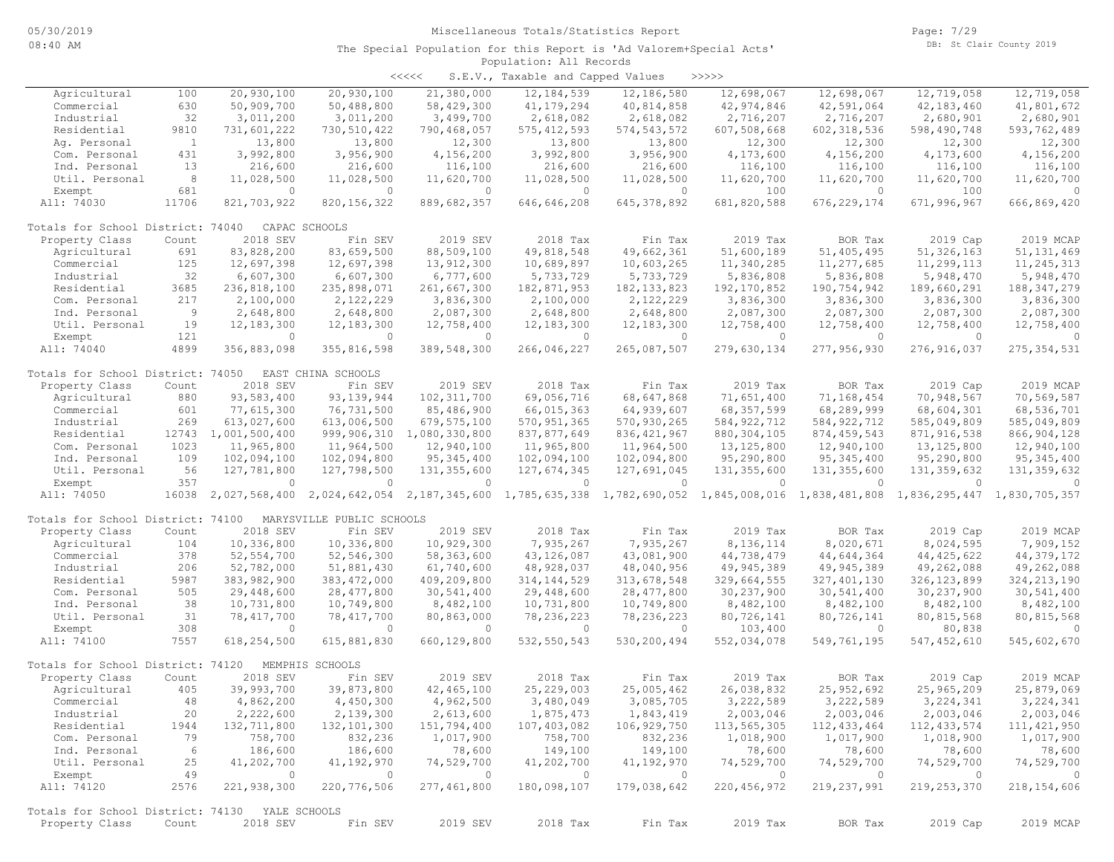| くくくくく | S.E.V., Taxable and Capped Values |  |  |  | >>>>> |
|-------|-----------------------------------|--|--|--|-------|
|-------|-----------------------------------|--|--|--|-------|

|                                                                  |              |                |                           |                | $28.182222$ $31.822222$                   |                             |               |               |               |               |
|------------------------------------------------------------------|--------------|----------------|---------------------------|----------------|-------------------------------------------|-----------------------------|---------------|---------------|---------------|---------------|
| Agricultural                                                     | 100          | 20,930,100     | 20,930,100                | 21,380,000     | 12,184,539                                | 12,186,580                  | 12,698,067    | 12,698,067    | 12,719,058    | 12,719,058    |
| Commercial                                                       | 630          | 50,909,700     | 50,488,800                | 58,429,300     | 41, 179, 294                              | 40,814,858                  | 42,974,846    | 42,591,064    | 42, 183, 460  | 41,801,672    |
| Industrial                                                       | 32           | 3,011,200      | 3,011,200                 | 3,499,700      | 2,618,082                                 | 2,618,082                   | 2,716,207     | 2,716,207     | 2,680,901     | 2,680,901     |
| Residential                                                      | 9810         | 731,601,222    | 730,510,422               | 790,468,057    | 575, 412, 593                             | 574, 543, 572               | 607,508,668   | 602, 318, 536 | 598,490,748   | 593,762,489   |
| Aq. Personal                                                     | $\mathbf{1}$ | 13,800         | 13,800                    | 12,300         | 13,800                                    | 13,800                      | 12,300        | 12,300        | 12,300        | 12,300        |
| Com. Personal                                                    | 431          | 3,992,800      | 3,956,900                 | 4,156,200      | 3,992,800                                 | 3,956,900                   | 4,173,600     | 4,156,200     | 4,173,600     | 4,156,200     |
| Ind. Personal                                                    | 13           | 216,600        | 216,600                   | 116,100        | 216,600                                   | 216,600                     | 116,100       | 116,100       | 116,100       | 116,100       |
| Util. Personal                                                   | 8            | 11,028,500     | 11,028,500                | 11,620,700     | 11,028,500                                | 11,028,500                  | 11,620,700    | 11,620,700    | 11,620,700    | 11,620,700    |
| Exempt                                                           | 681          | 0              | $\circ$                   | $\Omega$       | $\overline{0}$                            | $\Omega$                    | 100           | $\circ$       | 100           | $\Omega$      |
| All: 74030                                                       | 11706        | 821,703,922    | 820, 156, 322             | 889,682,357    | 646,646,208                               | 645, 378, 892               | 681,820,588   | 676, 229, 174 | 671,996,967   | 666,869,420   |
|                                                                  |              |                |                           |                |                                           |                             |               |               |               |               |
| Totals for School District: 74040                                |              |                | CAPAC SCHOOLS             |                |                                           |                             |               |               |               |               |
| Property Class                                                   | Count        | 2018 SEV       | Fin SEV                   | 2019 SEV       | 2018 Tax                                  | Fin Tax                     | 2019 Tax      | BOR Tax       | 2019 Cap      | 2019 MCAP     |
| Agricultural                                                     | 691          | 83,828,200     | 83,659,500                | 88,509,100     | 49,818,548                                | 49,662,361                  | 51,600,189    | 51,405,495    | 51,326,163    | 51, 131, 469  |
| Commercial                                                       | 125          | 12,697,398     | 12,697,398                | 13,912,300     | 10,689,897                                | 10,603,265                  | 11,340,285    | 11,277,685    | 11,299,113    | 11, 245, 313  |
| Industrial                                                       | 32           | 6,607,300      | 6,607,300                 | 6,777,600      | 5,733,729                                 | 5,733,729                   | 5,836,808     | 5,836,808     | 5,948,470     | 5,948,470     |
| Residential                                                      | 3685         | 236,818,100    | 235,898,071               | 261,667,300    | 182,871,953                               | 182, 133, 823               | 192, 170, 852 | 190,754,942   | 189,660,291   | 188, 347, 279 |
| Com. Personal                                                    | 217          | 2,100,000      | 2,122,229                 | 3,836,300      | 2,100,000                                 | 2,122,229                   | 3,836,300     | 3,836,300     | 3,836,300     | 3,836,300     |
| Ind. Personal                                                    | - 9          | 2,648,800      | 2,648,800                 | 2,087,300      | 2,648,800                                 | 2,648,800                   | 2,087,300     | 2,087,300     | 2,087,300     | 2,087,300     |
| Util. Personal                                                   | 19           | 12,183,300     | 12, 183, 300              | 12,758,400     | 12,183,300                                | 12,183,300                  | 12,758,400    | 12,758,400    | 12,758,400    | 12,758,400    |
| Exempt                                                           | 121          | $\Omega$       | $\overline{0}$            | $\circ$        | $\circ$                                   | $\Omega$                    | $\Omega$      | $\Omega$      | $\Omega$      | $\Omega$      |
| All: 74040                                                       | 4899         | 356,883,098    | 355,816,598               | 389,548,300    | 266,046,227                               | 265,087,507                 | 279,630,134   | 277,956,930   | 276, 916, 037 | 275, 354, 531 |
|                                                                  |              |                |                           |                |                                           |                             |               |               |               |               |
| Totals for School District: 74050                                |              |                | EAST CHINA SCHOOLS        |                |                                           |                             |               |               |               |               |
| Property Class                                                   | Count        | 2018 SEV       | Fin SEV                   | 2019 SEV       | 2018 Tax                                  | Fin Tax                     | 2019 Tax      | BOR Tax       | 2019 Cap      | 2019 MCAP     |
| Agricultural                                                     | 880          | 93,583,400     | 93, 139, 944              | 102, 311, 700  | 69,056,716                                | 68,647,868                  | 71,651,400    | 71,168,454    | 70,948,567    | 70,569,587    |
| Commercial                                                       | 601          | 77,615,300     | 76,731,500                | 85,486,900     | 66,015,363                                | 64,939,607                  | 68, 357, 599  | 68,289,999    | 68,604,301    | 68,536,701    |
| Industrial                                                       | 269          | 613,027,600    | 613,006,500               | 679,575,100    | 570, 951, 365                             | 570,930,265                 | 584, 922, 712 | 584, 922, 712 | 585,049,809   | 585,049,809   |
| Residential                                                      | 12743        | 1,001,500,400  | 999,906,310               | 1,080,330,800  | 837,877,649                               | 836, 421, 967               | 880, 304, 105 | 874, 459, 543 | 871, 916, 538 | 866, 904, 128 |
| Com. Personal                                                    | 1023         | 11,965,800     | 11,964,500                | 12,940,100     | 11,965,800                                | 11,964,500                  | 13, 125, 800  | 12,940,100    | 13, 125, 800  | 12,940,100    |
| Ind. Personal                                                    | 109          | 102,094,100    | 102,094,800               | 95, 345, 400   | 102,094,100                               | 102,094,800                 | 95,290,800    | 95, 345, 400  | 95,290,800    | 95, 345, 400  |
| Util. Personal                                                   | 56           | 127,781,800    | 127,798,500               | 131, 355, 600  | 127,674,345                               | 127,691,045                 | 131,355,600   | 131, 355, 600 | 131, 359, 632 | 131, 359, 632 |
| Exempt                                                           | 357          | $\circ$        | $\circ$                   | $\circ$        | $\circ$                                   | $\circ$                     | $\circ$       | $\circ$       | $\circ$       | $\circ$       |
| All: 74050                                                       | 16038        | 2,027,568,400  |                           |                | 2,024,642,054 2,187,345,600 1,785,635,338 | 1,782,690,052 1,845,008,016 |               | 1,838,481,808 | 1,836,295,447 | 1,830,705,357 |
|                                                                  |              |                |                           |                |                                           |                             |               |               |               |               |
| Totals for School District: 74100                                |              |                | MARYSVILLE PUBLIC SCHOOLS |                |                                           |                             |               |               |               |               |
| Property Class                                                   | Count        | 2018 SEV       | Fin SEV                   | 2019 SEV       | 2018 Tax                                  | Fin Tax                     | 2019 Tax      | BOR Tax       | 2019 Cap      | 2019 MCAP     |
| Agricultural                                                     | 104          | 10,336,800     | 10,336,800                | 10,929,300     | 7,935,267                                 | 7,935,267                   | 8,136,114     | 8,020,671     | 8,024,595     | 7,909,152     |
| Commercial                                                       | 378          | 52, 554, 700   | 52,546,300                | 58,363,600     | 43, 126, 087                              | 43,081,900                  | 44,738,479    | 44,644,364    | 44, 425, 622  | 44, 379, 172  |
| Industrial                                                       | 206          | 52,782,000     | 51,881,430                | 61,740,600     | 48,928,037                                | 48,040,956                  | 49, 945, 389  | 49,945,389    | 49,262,088    | 49,262,088    |
| Residential                                                      | 5987         | 383,982,900    | 383, 472, 000             | 409,209,800    | 314, 144, 529                             | 313,678,548                 | 329,664,555   | 327, 401, 130 | 326, 123, 899 | 324, 213, 190 |
| Com. Personal                                                    | 505          | 29,448,600     | 28, 477, 800              | 30,541,400     | 29,448,600                                | 28,477,800                  | 30,237,900    | 30,541,400    | 30,237,900    | 30,541,400    |
| Ind. Personal                                                    | 38           | 10,731,800     | 10,749,800                | 8,482,100      | 10,731,800                                | 10,749,800                  | 8,482,100     | 8,482,100     | 8,482,100     | 8,482,100     |
| Util. Personal                                                   | 31           | 78, 417, 700   | 78, 417, 700              | 80,863,000     | 78,236,223                                | 78, 236, 223                | 80,726,141    | 80,726,141    | 80, 815, 568  | 80, 815, 568  |
| Exempt                                                           | 308          | $\circ$        | $\circ$                   | $\circ$        | $\circ$                                   | $\mathbf{0}$                | 103,400       | $\circ$       | 80,838        | $\cap$        |
| All: 74100                                                       | 7557         | 618,254,500    | 615,881,830               | 660,129,800    | 532, 550, 543                             | 530,200,494                 | 552,034,078   | 549,761,195   | 547, 452, 610 | 545,602,670   |
|                                                                  |              |                |                           |                |                                           |                             |               |               |               |               |
| Totals for School District: 74120                                |              | 2018 SEV       | MEMPHIS SCHOOLS           |                |                                           |                             |               |               |               | 2019 MCAP     |
| Property Class                                                   | Count        |                | Fin SEV                   | 2019 SEV       | 2018 Tax                                  | Fin Tax                     | 2019 Tax      | BOR Tax       | 2019 Cap      |               |
| Agricultural                                                     | 405          | 39,993,700     | 39,873,800                | 42,465,100     | 25, 229, 003                              | 25,005,462                  | 26,038,832    | 25, 952, 692  | 25,965,209    | 25,879,069    |
| Commercial                                                       | 48           | 4,862,200      | 4,450,300                 | 4,962,500      | 3,480,049                                 | 3,085,705                   | 3,222,589     | 3,222,589     | 3,224,341     | 3, 224, 341   |
| Industrial                                                       | 20           | 2,222,600      | 2,139,300                 | 2,613,600      | 1,875,473                                 | 1,843,419                   | 2,003,046     | 2,003,046     | 2,003,046     | 2,003,046     |
| Residential                                                      | 1944         | 132,711,800    | 132, 101, 300             | 151,794,400    | 107,403,082                               | 106,929,750                 | 113,565,305   | 112, 433, 464 | 112, 433, 574 | 111, 421, 950 |
| Com. Personal                                                    | 79           | 758,700        | 832,236                   | 1,017,900      | 758,700                                   | 832,236                     | 1,018,900     | 1,017,900     | 1,018,900     | 1,017,900     |
| Ind. Personal                                                    | 6            | 186,600        | 186,600                   | 78,600         | 149,100                                   | 149,100                     | 78,600        | 78,600        | 78,600        | 78,600        |
| Util. Personal                                                   | 25           | 41,202,700     | 41,192,970                | 74,529,700     | 41,202,700                                | 41,192,970                  | 74,529,700    | 74,529,700    | 74,529,700    | 74,529,700    |
| Exempt                                                           | 49           | $\overline{0}$ | $\overline{0}$            | $\overline{0}$ | $\circ$                                   | $\circ$                     | $\circ$       | $\circ$       | $\circ$       | $\circ$       |
| All: 74120                                                       | 2576         | 221,938,300    | 220,776,506               | 277,461,800    | 180,098,107                               | 179,038,642                 | 220, 456, 972 | 219, 237, 991 | 219, 253, 370 | 218, 154, 606 |
|                                                                  |              |                |                           |                |                                           |                             |               |               |               |               |
| Totals for School District: 74130 YALE SCHOOLS<br>Property Class | Count        | 2018 SEV       | Fin SEV                   | 2019 SEV       | 2018 Tax                                  | Fin Tax                     | 2019 Tax      | BOR Tax       | 2019 Cap      | 2019 MCAP     |
|                                                                  |              |                |                           |                |                                           |                             |               |               |               |               |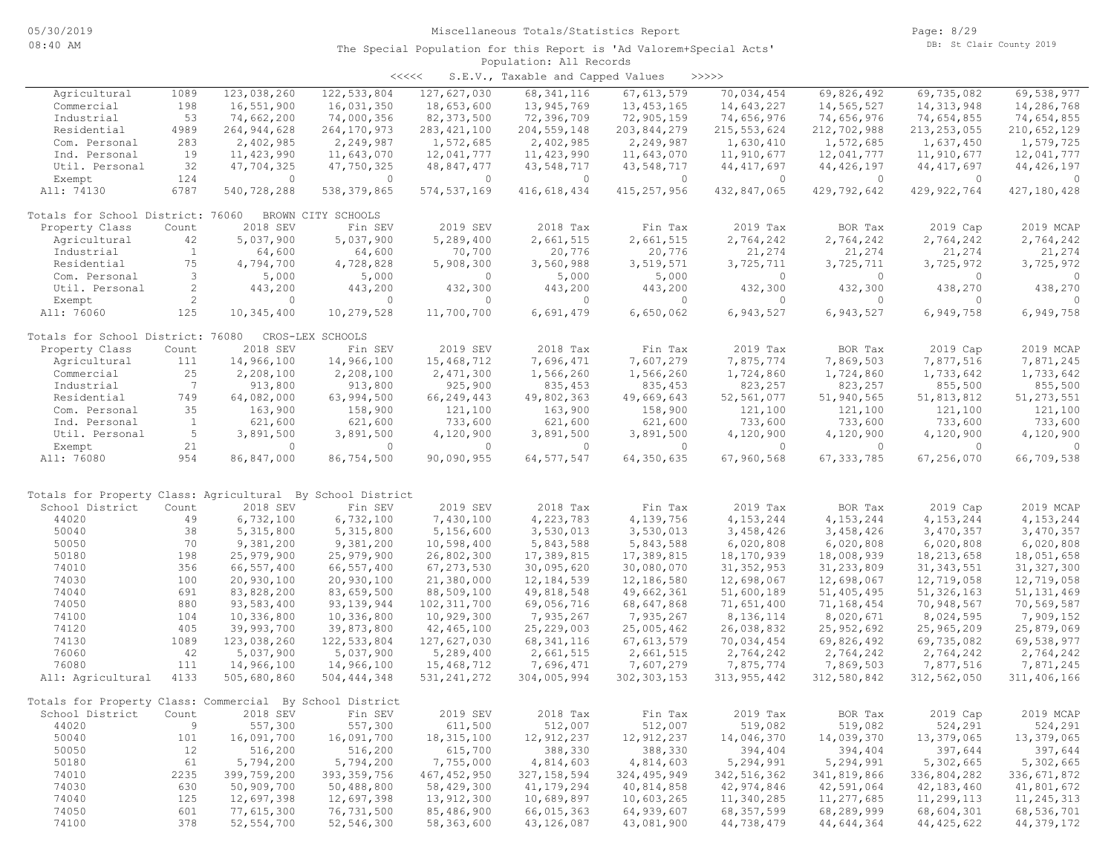| くくくくく | S.E.V., Taxable and Capped Values |  |  |  | >>>>> |
|-------|-----------------------------------|--|--|--|-------|
|-------|-----------------------------------|--|--|--|-------|

| Agricultural                                               | 1089           | 123,038,260   | 122, 533, 804      | 127,627,030   | 68, 341, 116  | 67, 613, 579  | 70,034,454    | 69,826,492   | 69,735,082    | 69,538,977    |
|------------------------------------------------------------|----------------|---------------|--------------------|---------------|---------------|---------------|---------------|--------------|---------------|---------------|
| Commercial                                                 | 198            | 16,551,900    | 16,031,350         | 18,653,600    | 13,945,769    | 13, 453, 165  | 14,643,227    | 14,565,527   | 14,313,948    | 14,286,768    |
| Industrial                                                 | 53             | 74,662,200    | 74,000,356         | 82, 373, 500  | 72,396,709    | 72,905,159    | 74,656,976    | 74,656,976   | 74,654,855    | 74,654,855    |
| Residential                                                | 4989           | 264, 944, 628 | 264, 170, 973      | 283, 421, 100 | 204, 559, 148 | 203,844,279   | 215, 553, 624 | 212,702,988  | 213, 253, 055 | 210,652,129   |
| Com. Personal                                              | 283            |               | 2,249,987          | 1,572,685     |               |               |               |              |               | 1,579,725     |
|                                                            |                | 2,402,985     |                    |               | 2,402,985     | 2,249,987     | 1,630,410     | 1,572,685    | 1,637,450     |               |
| Ind. Personal                                              | 19             | 11, 423, 990  | 11,643,070         | 12,041,777    | 11, 423, 990  | 11,643,070    | 11,910,677    | 12,041,777   | 11,910,677    | 12,041,777    |
| Util. Personal                                             | 32             | 47,704,325    | 47,750,325         | 48,847,477    | 43,548,717    | 43,548,717    | 44, 417, 697  | 44, 426, 197 | 44, 417, 697  | 44, 426, 197  |
| Exempt                                                     | 124            | $\Omega$      | $\circ$            | $\Omega$      | $\circ$       | $\Omega$      | $\Omega$      | $\circ$      | $\circ$       | $\Omega$      |
| All: 74130                                                 | 6787           | 540,728,288   | 538, 379, 865      | 574, 537, 169 | 416,618,434   | 415, 257, 956 | 432,847,065   | 429,792,642  | 429, 922, 764 | 427,180,428   |
|                                                            |                |               |                    |               |               |               |               |              |               |               |
| Totals for School District: 76060                          |                |               | BROWN CITY SCHOOLS |               |               |               |               |              |               |               |
| Property Class                                             | Count          | 2018 SEV      | Fin SEV            | 2019 SEV      | 2018 Tax      | Fin Tax       | 2019 Tax      | BOR Tax      | 2019 Cap      | 2019 MCAP     |
| Agricultural                                               | 42             | 5,037,900     | 5,037,900          | 5,289,400     | 2,661,515     | 2,661,515     | 2,764,242     | 2,764,242    | 2,764,242     | 2,764,242     |
| Industrial                                                 | $\mathbf{1}$   | 64,600        | 64,600             | 70,700        | 20,776        | 20,776        | 21,274        | 21,274       | 21,274        | 21,274        |
| Residential                                                | 75             | 4,794,700     | 4,728,828          | 5,908,300     | 3,560,988     | 3,519,571     | 3,725,711     | 3,725,711    | 3,725,972     | 3,725,972     |
| Com. Personal                                              | 3              | 5,000         | 5,000              | $\circ$       | 5,000         | 5,000         | $\circ$       | $\circ$      | $\circ$       | $\circ$       |
| Util. Personal                                             | $\overline{c}$ | 443,200       | 443,200            | 432,300       | 443,200       | 443,200       | 432,300       | 432,300      | 438,270       | 438,270       |
|                                                            |                |               |                    |               |               |               |               |              |               |               |
| Exempt                                                     | $\overline{c}$ | $\circ$       | $\circ$            | $\circ$       | $\circ$       | $\circ$       | $\mathbf{0}$  | 0            | $\circ$       | $\circ$       |
| All: 76060                                                 | 125            | 10,345,400    | 10,279,528         | 11,700,700    | 6,691,479     | 6,650,062     | 6,943,527     | 6,943,527    | 6,949,758     | 6,949,758     |
|                                                            |                |               |                    |               |               |               |               |              |               |               |
| Totals for School District: 76080                          |                |               | CROS-LEX SCHOOLS   |               |               |               |               |              |               |               |
| Property Class                                             | Count          | 2018 SEV      | Fin SEV            | 2019 SEV      | 2018 Tax      | Fin Tax       | 2019 Tax      | BOR Tax      | 2019 Cap      | 2019 MCAP     |
| Agricultural                                               | 111            | 14,966,100    | 14,966,100         | 15,468,712    | 7,696,471     | 7,607,279     | 7,875,774     | 7,869,503    | 7,877,516     | 7,871,245     |
| Commercial                                                 | 25             | 2,208,100     | 2,208,100          | 2,471,300     | 1,566,260     | 1,566,260     | 1,724,860     | 1,724,860    | 1,733,642     | 1,733,642     |
| Industrial                                                 | 7              | 913,800       | 913,800            | 925,900       | 835, 453      | 835, 453      | 823,257       | 823,257      | 855,500       | 855,500       |
| Residential                                                | 749            | 64,082,000    | 63,994,500         | 66,249,443    | 49,802,363    | 49,669,643    | 52, 561, 077  | 51,940,565   | 51,813,812    | 51, 273, 551  |
| Com. Personal                                              | 35             | 163,900       | 158,900            | 121,100       | 163,900       | 158,900       | 121,100       | 121,100      | 121,100       | 121,100       |
| Ind. Personal                                              | $\mathbf{1}$   | 621,600       | 621,600            | 733,600       | 621,600       | 621,600       | 733,600       | 733,600      | 733,600       | 733,600       |
|                                                            | 5              |               |                    |               |               |               |               |              |               |               |
| Util. Personal                                             |                | 3,891,500     | 3,891,500          | 4,120,900     | 3,891,500     | 3,891,500     | 4,120,900     | 4,120,900    | 4,120,900     | 4,120,900     |
| Exempt                                                     | 21             | $\circ$       | $\circ$            | $\circ$       | $\circ$       | $\circ$       | $\circ$       | $\circ$      | $\circ$       | $\circ$       |
| All: 76080                                                 | 954            | 86,847,000    | 86,754,500         | 90,090,955    | 64, 577, 547  | 64,350,635    | 67,960,568    | 67, 333, 785 | 67,256,070    | 66,709,538    |
|                                                            |                |               |                    |               |               |               |               |              |               |               |
| Totals for Property Class: Agricultural By School District |                |               |                    |               |               |               |               |              |               |               |
| School District                                            | Count          | 2018 SEV      | Fin SEV            | 2019 SEV      | 2018 Tax      | Fin Tax       | 2019 Tax      | BOR Tax      | 2019 Cap      | 2019 MCAP     |
| 44020                                                      | 49             | 6,732,100     | 6,732,100          | 7,430,100     | 4,223,783     | 4,139,756     | 4, 153, 244   | 4, 153, 244  | 4, 153, 244   | 4, 153, 244   |
| 50040                                                      | 38             | 5, 315, 800   | 5, 315, 800        | 5,156,600     | 3,530,013     | 3,530,013     | 3,458,426     | 3,458,426    | 3,470,357     | 3,470,357     |
| 50050                                                      | 70             | 9,381,200     | 9,381,200          | 10,598,400    | 5,843,588     | 5,843,588     | 6,020,808     | 6,020,808    | 6,020,808     | 6,020,808     |
| 50180                                                      | 198            | 25,979,900    | 25,979,900         | 26,802,300    | 17,389,815    | 17,389,815    | 18,170,939    | 18,008,939   | 18, 213, 658  | 18,051,658    |
| 74010                                                      | 356            | 66,557,400    | 66,557,400         | 67, 273, 530  | 30,095,620    | 30,080,070    | 31, 352, 953  | 31, 233, 809 | 31, 343, 551  | 31, 327, 300  |
| 74030                                                      | 100            | 20,930,100    | 20,930,100         | 21,380,000    | 12,184,539    | 12,186,580    | 12,698,067    | 12,698,067   | 12,719,058    | 12,719,058    |
| 74040                                                      | 691            | 83,828,200    | 83,659,500         | 88,509,100    | 49,818,548    | 49,662,361    | 51,600,189    | 51, 405, 495 | 51, 326, 163  | 51, 131, 469  |
| 74050                                                      | 880            | 93,583,400    | 93, 139, 944       | 102, 311, 700 | 69,056,716    | 68,647,868    | 71,651,400    | 71,168,454   | 70,948,567    | 70,569,587    |
|                                                            |                |               |                    |               | 7,935,267     |               |               |              |               |               |
| 74100                                                      | 104            | 10,336,800    | 10,336,800         | 10,929,300    |               | 7,935,267     | 8, 136, 114   | 8,020,671    | 8,024,595     | 7,909,152     |
| 74120                                                      | 405            | 39,993,700    | 39,873,800         | 42,465,100    | 25, 229, 003  | 25,005,462    | 26,038,832    | 25, 952, 692 | 25,965,209    | 25,879,069    |
| 74130                                                      | 1089           | 123,038,260   | 122,533,804        | 127,627,030   | 68, 341, 116  | 67, 613, 579  | 70,034,454    | 69,826,492   | 69,735,082    | 69,538,977    |
| 76060                                                      | 42             | 5,037,900     | 5,037,900          | 5,289,400     | 2,661,515     | 2,661,515     | 2,764,242     | 2,764,242    | 2,764,242     | 2,764,242     |
| 76080                                                      | 111            | 14,966,100    | 14,966,100         | 15,468,712    | 7,696,471     | 7,607,279     | 7,875,774     | 7,869,503    | 7,877,516     | 7,871,245     |
| All: Agricultural                                          | 4133           | 505,680,860   | 504, 444, 348      | 531, 241, 272 | 304,005,994   | 302, 303, 153 | 313, 955, 442 | 312,580,842  | 312,562,050   | 311,406,166   |
|                                                            |                |               |                    |               |               |               |               |              |               |               |
| Totals for Property Class: Commercial By School District   |                |               |                    |               |               |               |               |              |               |               |
| School District Count 2018 SEV                             |                |               | Fin SEV            | 2019 SEV      | 2018 Tax      | Fin Tax       | 2019 Tax      | BOR Tax      | 2019 Cap      | 2019 MCAP     |
| 44020                                                      | 9              | 557,300       | 557,300            | 611,500       | 512,007       | 512,007       | 519,082       | 519,082      | 524,291       | 524,291       |
| 50040                                                      | 101            | 16,091,700    | 16,091,700         | 18, 315, 100  | 12,912,237    | 12,912,237    | 14,046,370    | 14,039,370   | 13,379,065    | 13,379,065    |
| 50050                                                      | 12             | 516,200       | 516,200            | 615,700       | 388,330       | 388,330       | 394,404       | 394,404      | 397,644       | 397,644       |
| 50180                                                      | 61             | 5,794,200     | 5,794,200          | 7,755,000     | 4,814,603     | 4,814,603     | 5,294,991     | 5,294,991    | 5,302,665     | 5,302,665     |
| 74010                                                      | 2235           | 399,759,200   | 393, 359, 756      | 467,452,950   | 327, 158, 594 | 324,495,949   | 342, 516, 362 | 341,819,866  | 336,804,282   | 336, 671, 872 |
| 74030                                                      | 630            | 50,909,700    | 50,488,800         | 58,429,300    | 41, 179, 294  | 40,814,858    | 42,974,846    | 42,591,064   | 42,183,460    | 41,801,672    |
| 74040                                                      | 125            | 12,697,398    | 12,697,398         | 13,912,300    | 10,689,897    | 10,603,265    | 11,340,285    | 11,277,685   | 11,299,113    | 11,245,313    |
| 74050                                                      | 601            | 77,615,300    | 76,731,500         | 85,486,900    | 66,015,363    | 64,939,607    | 68,357,599    | 68,289,999   | 68,604,301    | 68,536,701    |
| 74100                                                      | 378            | 52, 554, 700  | 52,546,300         | 58,363,600    | 43,126,087    | 43,081,900    |               | 44,644,364   | 44, 425, 622  | 44, 379, 172  |
|                                                            |                |               |                    |               |               |               | 44,738,479    |              |               |               |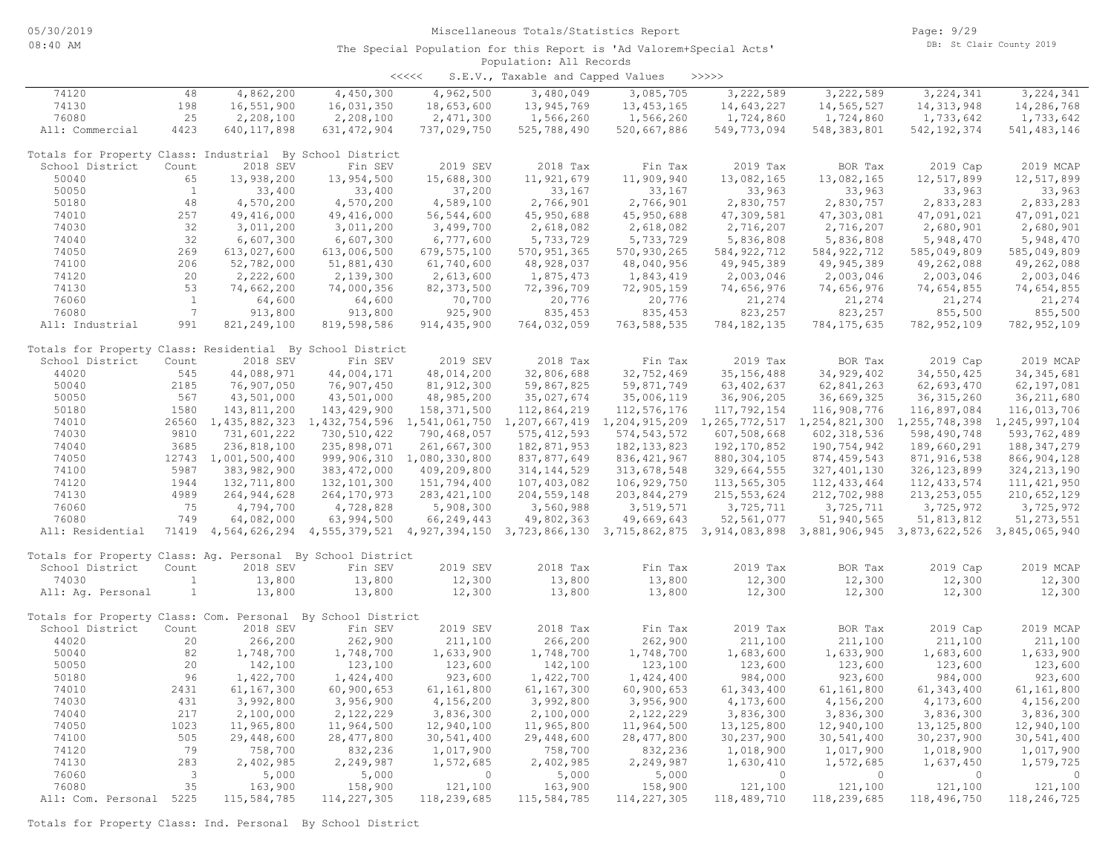| <<<< | S.E.V., Taxable and Capped Values |  |  |  | >>>>> |
|------|-----------------------------------|--|--|--|-------|
|------|-----------------------------------|--|--|--|-------|

| 74120                                                       | 48                      | 4,862,200           | 4,450,300                                                                                                                           | 4,962,500                      | 3,480,049     | 3,085,705     | 3,222,589                                                                                             | 3,222,589     | 3, 224, 341   | 3, 224, 341    |
|-------------------------------------------------------------|-------------------------|---------------------|-------------------------------------------------------------------------------------------------------------------------------------|--------------------------------|---------------|---------------|-------------------------------------------------------------------------------------------------------|---------------|---------------|----------------|
| 74130                                                       | 198                     | 16,551,900          | 16,031,350                                                                                                                          | 18,653,600                     | 13,945,769    | 13, 453, 165  | 14,643,227                                                                                            | 14,565,527    | 14, 313, 948  | 14,286,768     |
| 76080                                                       | 25                      | 2,208,100           | 2,208,100                                                                                                                           | 2,471,300                      | 1,566,260     | 1,566,260     | 1,724,860                                                                                             | 1,724,860     | 1,733,642     | 1,733,642      |
| All: Commercial                                             | 4423                    | 640, 117, 898       | 631, 472, 904                                                                                                                       | 737,029,750                    | 525,788,490   | 520,667,886   | 549,773,094                                                                                           | 548, 383, 801 | 542, 192, 374 | 541, 483, 146  |
|                                                             |                         |                     |                                                                                                                                     |                                |               |               |                                                                                                       |               |               |                |
| Totals for Property Class: Industrial By School District    |                         |                     |                                                                                                                                     |                                |               |               |                                                                                                       |               |               |                |
| School District                                             | Count                   | 2018 SEV            | Fin SEV                                                                                                                             | 2019 SEV                       | 2018 Tax      | Fin Tax       | 2019 Tax                                                                                              | BOR Tax       | 2019 Cap      | 2019 MCAP      |
| 50040                                                       | 65                      | 13,938,200          | 13,954,500                                                                                                                          | 15,688,300                     | 11,921,679    | 11,909,940    | 13,082,165                                                                                            | 13,082,165    | 12,517,899    | 12,517,899     |
| 50050                                                       | $\mathbf{1}$            |                     |                                                                                                                                     |                                |               | 33,167        | 33,963                                                                                                |               |               |                |
|                                                             |                         | 33,400              | 33,400                                                                                                                              | 37,200                         | 33,167        |               |                                                                                                       | 33,963        | 33,963        | 33,963         |
| 50180                                                       | 48                      | 4,570,200           | 4,570,200                                                                                                                           | 4,589,100                      | 2,766,901     | 2,766,901     | 2,830,757                                                                                             | 2,830,757     | 2,833,283     | 2,833,283      |
| 74010                                                       | 257                     | 49, 416, 000        | 49, 416, 000                                                                                                                        | 56, 544, 600                   | 45,950,688    | 45,950,688    | 47,309,581                                                                                            | 47,303,081    | 47,091,021    | 47,091,021     |
| 74030                                                       | 32                      | 3,011,200           | 3,011,200                                                                                                                           | 3,499,700                      | 2,618,082     | 2,618,082     | 2,716,207                                                                                             | 2,716,207     | 2,680,901     | 2,680,901      |
| 74040                                                       | 32                      | 6,607,300           | 6,607,300                                                                                                                           | 6,777,600                      | 5,733,729     | 5,733,729     | 5,836,808                                                                                             | 5,836,808     | 5,948,470     | 5,948,470      |
| 74050                                                       | 269                     | 613,027,600         | 613,006,500                                                                                                                         | 679, 575, 100                  | 570, 951, 365 | 570,930,265   | 584, 922, 712                                                                                         | 584, 922, 712 | 585,049,809   | 585,049,809    |
| 74100                                                       | 206                     | 52,782,000          | 51,881,430                                                                                                                          | 61,740,600                     | 48,928,037    | 48,040,956    | 49,945,389                                                                                            | 49, 945, 389  | 49,262,088    | 49,262,088     |
| 74120                                                       | 20                      | 2,222,600           | 2,139,300                                                                                                                           | 2,613,600                      | 1,875,473     | 1,843,419     | 2,003,046                                                                                             | 2,003,046     | 2,003,046     | 2,003,046      |
| 74130                                                       | 53                      | 74,662,200          | 74,000,356                                                                                                                          | 82, 373, 500                   | 72,396,709    | 72,905,159    | 74,656,976                                                                                            | 74,656,976    | 74,654,855    | 74,654,855     |
| 76060                                                       | $\mathbf{1}$            | 64,600              | 64,600                                                                                                                              | 70,700                         | 20,776        | 20,776        | 21,274                                                                                                | 21,274        | 21,274        | 21,274         |
| 76080                                                       | $7\overline{ }$         | 913,800             |                                                                                                                                     |                                | 835,453       |               | 823,257                                                                                               |               |               | 855,500        |
|                                                             |                         |                     | 913,800                                                                                                                             | 925,900                        |               | 835, 453      |                                                                                                       | 823,257       | 855,500       |                |
| All: Industrial                                             | 991                     | 821, 249, 100       | 819,598,586                                                                                                                         | 914, 435, 900                  | 764,032,059   | 763, 588, 535 | 784, 182, 135                                                                                         | 784, 175, 635 | 782, 952, 109 | 782, 952, 109  |
|                                                             |                         |                     |                                                                                                                                     |                                |               |               |                                                                                                       |               |               |                |
| Totals for Property Class: Residential By School District   |                         |                     |                                                                                                                                     |                                |               |               |                                                                                                       |               |               |                |
| School District                                             | Count                   | 2018 SEV            | Fin SEV                                                                                                                             | 2019 SEV                       | 2018 Tax      | Fin Tax       | 2019 Tax                                                                                              | BOR Tax       | 2019 Cap      | 2019 MCAP      |
| 44020                                                       | 545                     | 44,088,971          | 44,004,171                                                                                                                          | 48,014,200                     | 32,806,688    | 32,752,469    | 35, 156, 488                                                                                          | 34, 929, 402  | 34,550,425    | 34, 345, 681   |
| 50040                                                       | 2185                    | 76,907,050          | 76,907,450                                                                                                                          | 81, 912, 300                   | 59,867,825    | 59,871,749    | 63, 402, 637                                                                                          | 62,841,263    | 62,693,470    | 62,197,081     |
| 50050                                                       | 567                     | 43,501,000          | 43,501,000                                                                                                                          | 48,985,200                     | 35,027,674    | 35,006,119    | 36,906,205                                                                                            | 36,669,325    | 36, 315, 260  | 36, 211, 680   |
| 50180                                                       | 1580                    | 143,811,200         | 143,429,900                                                                                                                         | 158,371,500                    | 112,864,219   | 112,576,176   | 117,792,154                                                                                           | 116,908,776   | 116,897,084   | 116,013,706    |
| 74010                                                       |                         | 26560 1,435,882,323 |                                                                                                                                     | 1,432,754,596 1,541,061,750    |               |               | 1, 207, 667, 419 1, 204, 915, 209 1, 265, 772, 517 1, 254, 821, 300 1, 255, 748, 398 1, 245, 997, 104 |               |               |                |
| 74030                                                       | 9810                    | 731,601,222         | 730,510,422                                                                                                                         | 790,468,057                    | 575, 412, 593 | 574, 543, 572 | 607,508,668                                                                                           | 602, 318, 536 | 598,490,748   | 593,762,489    |
| 74040                                                       | 3685                    | 236,818,100         | 235,898,071                                                                                                                         | 261,667,300                    | 182,871,953   | 182, 133, 823 | 192, 170, 852                                                                                         | 190,754,942   | 189,660,291   | 188, 347, 279  |
|                                                             |                         |                     |                                                                                                                                     |                                |               |               |                                                                                                       |               |               |                |
| 74050                                                       |                         | 12743 1,001,500,400 |                                                                                                                                     | 999, 906, 310 1, 080, 330, 800 | 837,877,649   | 836, 421, 967 | 880, 304, 105                                                                                         | 874, 459, 543 | 871, 916, 538 | 866, 904, 128  |
| 74100                                                       | 5987                    | 383,982,900         | 383, 472, 000                                                                                                                       | 409,209,800                    | 314, 144, 529 | 313,678,548   | 329,664,555                                                                                           | 327, 401, 130 | 326, 123, 899 | 324, 213, 190  |
| 74120                                                       | 1944                    | 132,711,800         | 132, 101, 300                                                                                                                       | 151,794,400                    | 107,403,082   | 106,929,750   | 113,565,305                                                                                           | 112, 433, 464 | 112, 433, 574 | 111, 421, 950  |
| 74130                                                       | 4989                    | 264, 944, 628       | 264, 170, 973                                                                                                                       | 283, 421, 100                  | 204, 559, 148 | 203,844,279   | 215, 553, 624                                                                                         | 212,702,988   | 213, 253, 055 | 210,652,129    |
| 76060                                                       | 75                      | 4,794,700           | 4,728,828                                                                                                                           | 5,908,300                      | 3,560,988     | 3,519,571     | 3,725,711                                                                                             | 3,725,711     | 3,725,972     | 3,725,972      |
| 76080                                                       | 749                     | 64,082,000          | 63,994,500                                                                                                                          | 66,249,443                     | 49,802,363    | 49,669,643    | 52,561,077                                                                                            | 51,940,565    | 51,813,812    | 51, 273, 551   |
| All: Residential                                            |                         |                     | 71419 4,564,626,294 4,555,379,521 4,927,394,150 3,723,866,130 3,715,862,875 3,914,083,898 3,881,906,945 3,873,622,526 3,845,065,940 |                                |               |               |                                                                                                       |               |               |                |
|                                                             |                         |                     |                                                                                                                                     |                                |               |               |                                                                                                       |               |               |                |
| Totals for Property Class: Aq. Personal By School District  |                         |                     |                                                                                                                                     |                                |               |               |                                                                                                       |               |               |                |
| School District                                             | Count                   | 2018 SEV            | Fin SEV                                                                                                                             | 2019 SEV                       | 2018 Tax      | Fin Tax       | 2019 Tax                                                                                              | BOR Tax       | 2019 Cap      | 2019 MCAP      |
| 74030                                                       | 1                       | 13,800              | 13,800                                                                                                                              | 12,300                         | 13,800        | 13,800        | 12,300                                                                                                | 12,300        | 12,300        | 12,300         |
|                                                             |                         |                     |                                                                                                                                     |                                |               |               |                                                                                                       |               |               |                |
| All: Aq. Personal                                           | $\mathbf{1}$            | 13,800              | 13,800                                                                                                                              | 12,300                         | 13,800        | 13,800        | 12,300                                                                                                | 12,300        | 12,300        | 12,300         |
|                                                             |                         |                     |                                                                                                                                     |                                |               |               |                                                                                                       |               |               |                |
| Totals for Property Class: Com. Personal By School District |                         |                     |                                                                                                                                     |                                |               |               |                                                                                                       |               |               |                |
| School District                                             | Count                   | 2018 SEV            | Fin SEV                                                                                                                             | 2019 SEV                       | 2018 Tax      | Fin Tax       | 2019 Tax                                                                                              | BOR Tax       | 2019 Cap      | 2019 MCAP      |
| 44020                                                       | 20                      | 266,200             | 262,900                                                                                                                             | 211,100                        | 266,200       | 262,900       | 211,100                                                                                               | 211,100       | 211,100       | 211,100        |
| 50040                                                       | 82                      | 1,748,700           | 1,748,700                                                                                                                           | 1,633,900                      | 1,748,700     | 1,748,700     | 1,683,600                                                                                             | 1,633,900     | 1,683,600     | 1,633,900      |
| 50050                                                       | 20                      | 142,100             | 123,100                                                                                                                             | 123,600                        | 142,100       | 123,100       | 123,600                                                                                               | 123,600       | 123,600       | 123,600        |
| 50180                                                       | 96                      | 1,422,700           | 1,424,400                                                                                                                           | 923,600                        | 1,422,700     | 1,424,400     | 984,000                                                                                               | 923,600       | 984,000       | 923,600        |
| 74010                                                       | 2431                    | 61,167,300          | 60,900,653                                                                                                                          | 61,161,800                     | 61,167,300    | 60,900,653    | 61, 343, 400                                                                                          | 61,161,800    | 61, 343, 400  | 61,161,800     |
| 74030                                                       | 431                     | 3,992,800           | 3,956,900                                                                                                                           | 4,156,200                      | 3,992,800     | 3,956,900     | 4,173,600                                                                                             | 4,156,200     | 4,173,600     | 4,156,200      |
| 74040                                                       | 217                     | 2,100,000           | 2,122,229                                                                                                                           | 3,836,300                      | 2,100,000     | 2,122,229     | 3,836,300                                                                                             | 3,836,300     | 3,836,300     | 3,836,300      |
|                                                             |                         |                     |                                                                                                                                     |                                |               |               |                                                                                                       |               |               |                |
| 74050                                                       | 1023                    | 11,965,800          | 11,964,500                                                                                                                          | 12,940,100                     | 11,965,800    | 11,964,500    | 13, 125, 800                                                                                          | 12,940,100    | 13, 125, 800  | 12,940,100     |
| 74100                                                       | 505                     | 29,448,600          | 28, 477, 800                                                                                                                        | 30,541,400                     | 29,448,600    | 28, 477, 800  | 30, 237, 900                                                                                          | 30,541,400    | 30, 237, 900  | 30,541,400     |
| 74120                                                       | 79                      | 758,700             | 832,236                                                                                                                             | 1,017,900                      | 758,700       | 832,236       | 1,018,900                                                                                             | 1,017,900     | 1,018,900     | 1,017,900      |
| 74130                                                       | 283                     | 2,402,985           | 2,249,987                                                                                                                           | 1,572,685                      | 2,402,985     | 2,249,987     | 1,630,410                                                                                             | 1,572,685     | 1,637,450     | 1,579,725      |
| 76060                                                       | $\overline{\mathbf{3}}$ | 5,000               | 5,000                                                                                                                               | $\circ$                        | 5,000         | 5,000         | $\circ$                                                                                               | $\Omega$      | $\Omega$      | $\overline{0}$ |
| 76080                                                       | 35                      | 163,900             | 158,900                                                                                                                             | 121,100                        | 163,900       | 158,900       | 121,100                                                                                               | 121,100       | 121,100       | 121,100        |
| All: Com. Personal 5225                                     |                         | 115,584,785         | 114, 227, 305                                                                                                                       | 118,239,685                    | 115,584,785   | 114, 227, 305 | 118,489,710                                                                                           | 118,239,685   | 118,496,750   | 118,246,725    |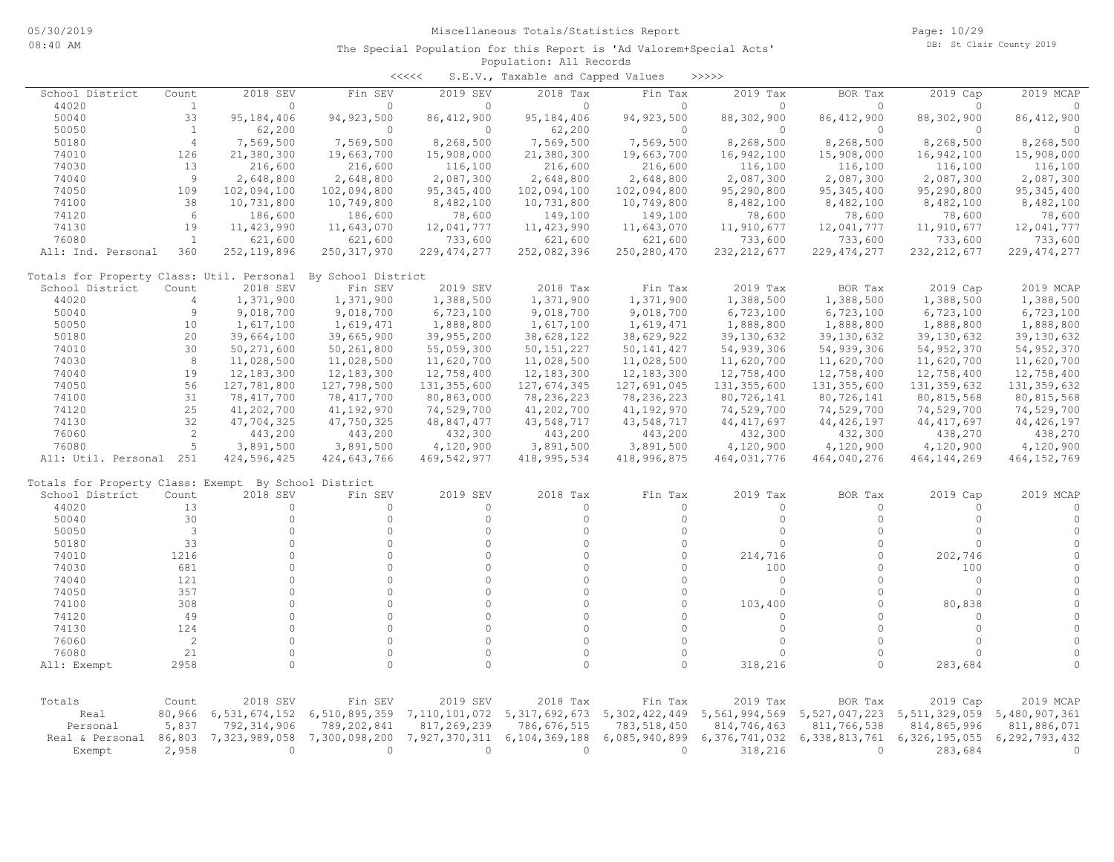| <<<<<br>S.E.V., Taxable and Capped Values            |                |               |                    |               |               |                                   |               |               |                  |               |  |  |
|------------------------------------------------------|----------------|---------------|--------------------|---------------|---------------|-----------------------------------|---------------|---------------|------------------|---------------|--|--|
| School District                                      | Count          | 2018 SEV      | Fin SEV            | 2019 SEV      | 2018 Tax      | Fin Tax                           | 2019 Tax      | BOR Tax       | 2019 Cap         | 2019 MCAP     |  |  |
| 44020                                                | $\mathbf{1}$   | $\circ$       | $\circ$            | $\circ$       | $\mathbf 0$   | $\circ$                           | $\Omega$      | $\circ$       | $\Omega$         | $\circ$       |  |  |
| 50040                                                | 33             | 95, 184, 406  | 94, 923, 500       | 86, 412, 900  | 95, 184, 406  | 94, 923, 500                      | 88,302,900    | 86, 412, 900  | 88,302,900       | 86, 412, 900  |  |  |
| 50050                                                | $\mathbf{1}$   | 62,200        | $\circ$            | $\circ$       | 62,200        | $\circ$                           | $\circ$       | $\circ$       | $\circ$          | $\circ$       |  |  |
| 50180                                                | $\overline{4}$ | 7,569,500     | 7,569,500          | 8,268,500     | 7,569,500     | 7,569,500                         | 8,268,500     | 8,268,500     | 8,268,500        | 8,268,500     |  |  |
| 74010                                                | 126            | 21,380,300    | 19,663,700         | 15,908,000    | 21,380,300    | 19,663,700                        | 16,942,100    | 15,908,000    | 16,942,100       | 15,908,000    |  |  |
| 74030                                                | 13             | 216,600       | 216,600            | 116,100       | 216,600       | 216,600                           | 116,100       | 116,100       | 116,100          | 116,100       |  |  |
| 74040                                                | 9              | 2,648,800     | 2,648,800          | 2,087,300     | 2,648,800     | 2,648,800                         | 2,087,300     | 2,087,300     | 2,087,300        | 2,087,300     |  |  |
| 74050                                                | 109            | 102,094,100   | 102,094,800        | 95, 345, 400  | 102,094,100   | 102,094,800                       | 95,290,800    | 95, 345, 400  | 95,290,800       | 95, 345, 400  |  |  |
|                                                      |                |               |                    |               |               |                                   |               |               |                  |               |  |  |
| 74100                                                | 38             | 10,731,800    | 10,749,800         | 8,482,100     | 10,731,800    | 10,749,800                        | 8,482,100     | 8,482,100     | 8,482,100        | 8,482,100     |  |  |
| 74120                                                | 6              | 186,600       | 186,600            | 78,600        | 149,100       | 149,100                           | 78,600        | 78,600        | 78,600           | 78,600        |  |  |
| 74130                                                | 19             | 11, 423, 990  | 11,643,070         | 12,041,777    | 11, 423, 990  | 11,643,070                        | 11,910,677    | 12,041,777    | 11,910,677       | 12,041,777    |  |  |
| 76080                                                | <sup>1</sup>   | 621,600       | 621,600            | 733,600       | 621,600       | 621,600                           | 733,600       | 733,600       | 733,600          | 733,600       |  |  |
| All: Ind. Personal                                   | 360            | 252, 119, 896 | 250, 317, 970      | 229, 474, 277 | 252,082,396   | 250,280,470                       | 232, 212, 677 | 229, 474, 277 | 232, 212, 677    | 229, 474, 277 |  |  |
| Totals for Property Class: Util. Personal            |                |               | By School District |               |               |                                   |               |               |                  |               |  |  |
| School District                                      | Count          | 2018 SEV      | Fin SEV            | 2019 SEV      | 2018 Tax      | Fin Tax                           | 2019 Tax      | BOR Tax       | 2019 Cap         | 2019 MCAP     |  |  |
| 44020                                                | $\overline{4}$ | 1,371,900     | 1,371,900          | 1,388,500     | 1,371,900     | 1,371,900                         | 1,388,500     | 1,388,500     | 1,388,500        | 1,388,500     |  |  |
| 50040                                                | 9              | 9,018,700     | 9,018,700          | 6,723,100     | 9,018,700     | 9,018,700                         | 6,723,100     | 6,723,100     | 6,723,100        | 6,723,100     |  |  |
| 50050                                                | 10             | 1,617,100     | 1,619,471          | 1,888,800     | 1,617,100     | 1,619,471                         | 1,888,800     | 1,888,800     | 1,888,800        | 1,888,800     |  |  |
| 50180                                                | 20             | 39,664,100    | 39,665,900         | 39, 955, 200  | 38,628,122    | 38,629,922                        | 39, 130, 632  | 39,130,632    | 39,130,632       | 39,130,632    |  |  |
| 74010                                                | 30             | 50,271,600    | 50,261,800         | 55,059,300    | 50, 151, 227  | 50, 141, 427                      | 54,939,306    | 54,939,306    | 54,952,370       | 54, 952, 370  |  |  |
| 74030                                                | 8              |               |                    |               |               |                                   |               |               |                  |               |  |  |
|                                                      |                | 11,028,500    | 11,028,500         | 11,620,700    | 11,028,500    | 11,028,500                        | 11,620,700    | 11,620,700    | 11,620,700       | 11,620,700    |  |  |
| 74040                                                | 19             | 12, 183, 300  | 12,183,300         | 12,758,400    | 12,183,300    | 12, 183, 300                      | 12,758,400    | 12,758,400    | 12,758,400       | 12,758,400    |  |  |
| 74050                                                | 56             | 127,781,800   | 127,798,500        | 131,355,600   | 127,674,345   | 127,691,045                       | 131, 355, 600 | 131, 355, 600 | 131, 359, 632    | 131, 359, 632 |  |  |
| 74100                                                | 31             | 78,417,700    | 78,417,700         | 80,863,000    | 78,236,223    | 78,236,223                        | 80,726,141    | 80,726,141    | 80,815,568       | 80, 815, 568  |  |  |
| 74120                                                | 25             | 41,202,700    | 41,192,970         | 74,529,700    | 41,202,700    | 41,192,970                        | 74,529,700    | 74,529,700    | 74,529,700       | 74,529,700    |  |  |
| 74130                                                | 32             | 47,704,325    | 47,750,325         | 48,847,477    | 43,548,717    | 43,548,717                        | 44, 417, 697  | 44, 426, 197  | 44, 417, 697     | 44, 426, 197  |  |  |
| 76060                                                | $\mathbf{2}$   | 443,200       | 443,200            | 432,300       | 443,200       | 443,200                           | 432,300       | 432,300       | 438,270          | 438,270       |  |  |
| 76080                                                | 5              | 3,891,500     | 3,891,500          | 4,120,900     | 3,891,500     | 3,891,500                         | 4,120,900     | 4,120,900     | 4,120,900        | 4,120,900     |  |  |
| All: Util. Personal 251                              |                | 424,596,425   | 424,643,766        | 469,542,977   | 418, 995, 534 | 418,996,875                       | 464,031,776   | 464,040,276   | 464, 144, 269    | 464, 152, 769 |  |  |
| Totals for Property Class: Exempt By School District |                |               |                    |               |               |                                   |               |               |                  |               |  |  |
| School District                                      | Count          | 2018 SEV      | Fin SEV            | 2019 SEV      | 2018 Tax      | Fin Tax                           | 2019 Tax      | BOR Tax       | 2019 Cap         | 2019 MCAP     |  |  |
| 44020                                                | 13             | $\circ$       | $\circ$            | $\mathbf{0}$  | $\Omega$      | $\Omega$                          | $\Omega$      | $\circ$       | $\Omega$         | $\circ$       |  |  |
| 50040                                                | 30             | $\circ$       | $\circ$            | $\circ$       | $\circ$       | $\Omega$                          | $\circ$       | $\circ$       | $\Omega$         | $\circ$       |  |  |
| 50050                                                | 3              | $\circ$       | $\circ$            | $\circ$       | $\Omega$      | $\circ$                           | $\circ$       | $\circ$       | $\Omega$         | $\circ$       |  |  |
| 50180                                                | 33             | $\circ$       | $\circ$            | $\circ$       | $\Omega$      | $\Omega$                          | $\Omega$      | $\Omega$      | $\Omega$         | $\circ$       |  |  |
|                                                      | 1216           | $\circ$       | $\Omega$           | $\circ$       | $\Omega$      | $\Omega$                          | 214,716       | $\circ$       |                  | $\circ$       |  |  |
| 74010                                                |                | $\circ$       | $\Omega$           | $\circ$       | $\Omega$      | $\Omega$                          |               | $\mathbf 0$   | 202,746          | $\mathbb O$   |  |  |
| 74030                                                | 681            |               | $\Omega$           |               | $\Omega$      | $\Omega$                          | 100           | $\Omega$      | 100              |               |  |  |
| 74040                                                | 121            | $\circ$       |                    | $\circ$       |               |                                   | 0             |               | $\Omega$         | $\circ$       |  |  |
| 74050                                                | 357            | $\circ$       | $\circ$            | $\circ$       | $\Omega$      | $\Omega$                          | $\circ$       | $\circ$       | $\circ$          | $\circ$       |  |  |
| 74100                                                | 308            | $\circ$       | $\Omega$           | $\circ$       | $\Omega$      | $\Omega$                          | 103,400       | $\mathbf 0$   | 80,838           | $\mathbb O$   |  |  |
| 74120                                                | 49             | $\Omega$      | $\Omega$           | $\circ$       | $\Omega$      | $\Omega$                          | $\Omega$      | $\Omega$      | $\Omega$         | $\circ$       |  |  |
| 74130                                                | 124            | $\circ$       | $\circ$            | $\circ$       | $\circ$       | $\mathbf 0$                       | $\circ$       | $\circ$       | $\circ$          | $\circ$       |  |  |
| 76060                                                | $\overline{c}$ | $\circ$       | $\circ$            | $\circ$       | $\circ$       | $\Omega$                          | $\Omega$      | $\circ$       | $\Omega$         | $\circ$       |  |  |
| 76080                                                | 21             | $\Omega$      | $\Omega$           | 0             | $\circ$       | $\Omega$                          | $\Omega$      | $\Omega$      | $\Omega$         | $\circ$       |  |  |
| All: Exempt                                          | 2958           | $\Omega$      | $\Omega$           | 0             | $\Omega$      | $\circ$                           | 318,216       | 0             | 283,684          | $\Omega$      |  |  |
|                                                      |                |               |                    |               |               |                                   |               |               |                  |               |  |  |
| Totals                                               | Count          | 2018 SEV      | Fin SEV            | 2019 SEV      | 2018 Tax      | Fin Tax                           | 2019 Tax      | BOR Tax       | 2019 Cap         | 2019 MCAP     |  |  |
| Real                                                 | 80,966         | 6,531,674,152 | 6,510,895,359      | 7,110,101,072 |               | 5, 317, 692, 673 5, 302, 422, 449 | 5,561,994,569 | 5,527,047,223 | 5, 511, 329, 059 | 5,480,907,361 |  |  |
| Personal                                             | 5,837          | 792, 314, 906 | 789,202,841        | 817,269,239   | 786,676,515   | 783, 518, 450                     | 814,746,463   | 811,766,538   | 814,865,996      | 811,886,071   |  |  |
| Real & Personal                                      | 86,803         | 7,323,989,058 | 7,300,098,200      | 7,927,370,311 | 6,104,369,188 | 6,085,940,899                     | 6,376,741,032 | 6,338,813,761 | 6,326,195,055    | 6,292,793,432 |  |  |
| Exempt                                               | 2,958          | $\circ$       | $\circ$            | $\circ$       | $\circ$       | $\circ$                           | 318,216       | $\circ$       | 283,684          | $\circ$       |  |  |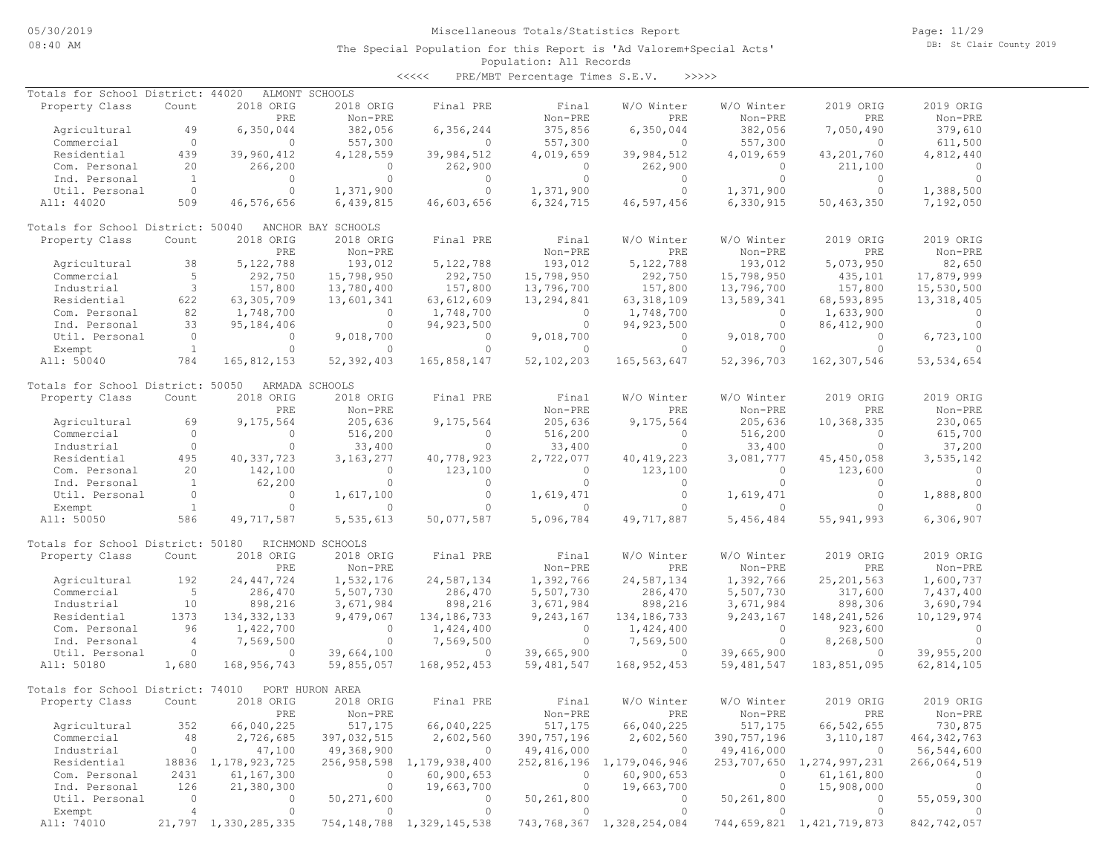Page: 11/29 DB: St Clair County 2019

#### Population: All Records The Special Population for this Report is 'Ad Valorem+Special Acts'

| Totals for School District: 44020 |                |                        | ALMONT SCHOOLS     |                                |              |                           |              |                           |               |
|-----------------------------------|----------------|------------------------|--------------------|--------------------------------|--------------|---------------------------|--------------|---------------------------|---------------|
| Property Class                    | Count          | 2018 ORIG              | 2018 ORIG          | Final PRE                      | Final        | W/O Winter                | W/O Winter   | 2019 ORIG                 | 2019 ORIG     |
|                                   |                | PRE                    | Non-PRE            |                                | Non-PRE      | PRE                       | Non-PRE      | PRE                       | Non-PRE       |
| Agricultural                      | 49             | 6,350,044              | 382,056            | 6,356,244                      | 375,856      | 6,350,044                 | 382,056      | 7,050,490                 | 379,610       |
| Commercial                        | $\circ$        | $\circ$                | 557,300            | $\mathbf{0}$                   | 557,300      | $\circ$                   | 557,300      | $\Omega$                  | 611,500       |
| Residential                       | 439            | 39,960,412             | 4,128,559          | 39,984,512                     | 4,019,659    | 39,984,512                | 4,019,659    | 43,201,760                | 4,812,440     |
| Com. Personal                     | 20             | 266,200                | $\Omega$           | 262,900                        | $\circ$      | 262,900                   | $\Omega$     | 211,100                   | $\Omega$      |
|                                   | $\overline{1}$ | $\circ$                | $\circ$            | $\mathbf{0}$                   | $\circ$      | $\Omega$                  | $\circ$      | $\Omega$                  | $\circ$       |
| Ind. Personal                     |                |                        |                    |                                |              |                           |              |                           |               |
| Util. Personal                    | $\circ$        | $\circ$                | 1,371,900          | $\circ$                        | 1,371,900    | $\circ$                   | 1,371,900    | $\circ$                   | 1,388,500     |
| All: 44020                        | 509            | 46,576,656             | 6,439,815          | 46,603,656                     | 6,324,715    | 46,597,456                | 6,330,915    | 50,463,350                | 7,192,050     |
| Totals for School District: 50040 |                |                        | ANCHOR BAY SCHOOLS |                                |              |                           |              |                           |               |
| Property Class                    | Count          | 2018 ORIG              | 2018 ORIG          | Final PRE                      | Final        | W/O Winter                | W/O Winter   | 2019 ORIG                 | 2019 ORIG     |
|                                   |                | PRE                    | Non-PRE            |                                | Non-PRE      | PRE                       | Non-PRE      | PRE                       | Non-PRE       |
| Agricultural                      | 38             | 5, 122, 788            | 193,012            | 5,122,788                      | 193,012      | 5, 122, 788               | 193,012      | 5,073,950                 | 82,650        |
| Commercial                        | 5              | 292,750                | 15,798,950         | 292,750                        | 15,798,950   | 292,750                   | 15,798,950   | 435,101                   | 17,879,999    |
| Industrial                        | 3              | 157,800                | 13,780,400         | 157,800                        | 13,796,700   | 157,800                   | 13,796,700   | 157,800                   | 15,530,500    |
|                                   |                |                        |                    |                                |              |                           |              |                           |               |
| Residential                       | 622            | 63,305,709             | 13,601,341         | 63,612,609                     | 13,294,841   | 63, 318, 109              | 13,589,341   | 68,593,895                | 13, 318, 405  |
| Com. Personal                     | 82             | 1,748,700              | $\circ$            | 1,748,700                      | 0            | 1,748,700                 | 0            | 1,633,900                 | $\circ$       |
| Ind. Personal                     | 33             | 95,184,406             | $\circ$            | 94, 923, 500                   | $\circ$      | 94, 923, 500              | $\circ$      | 86, 412, 900              | $\Omega$      |
| Util. Personal                    | $\overline{0}$ | $\circ$                | 9,018,700          | $\circ$                        | 9,018,700    | $\circ$                   | 9,018,700    | $\circ$                   | 6,723,100     |
| Exempt                            | $\mathbf{1}$   | $\circ$                | 0                  | $\circ$                        | $\circ$      | $\circ$                   | $\circ$      | $\Omega$                  | $\Omega$      |
| All: 50040                        | 784            | 165,812,153            | 52,392,403         | 165,858,147                    | 52,102,203   | 165,563,647               | 52,396,703   | 162,307,546               | 53, 534, 654  |
| Totals for School District: 50050 |                |                        | ARMADA SCHOOLS     |                                |              |                           |              |                           |               |
| Property Class                    | Count          | 2018 ORIG              | 2018 ORIG          | Final PRE                      | Final        | W/O Winter                | W/O Winter   | 2019 ORIG                 | 2019 ORIG     |
|                                   |                | PRE                    | Non-PRE            |                                | Non-PRE      | PRE                       | Non-PRE      | PRE                       | Non-PRE       |
|                                   |                |                        |                    |                                |              |                           |              |                           |               |
| Agricultural                      | 69             | 9,175,564              | 205,636            | 9,175,564                      | 205,636      | 9,175,564                 | 205,636      | 10,368,335                | 230,065       |
| Commercial                        | $\circ$        | $\circ$                | 516,200            | $\circ$                        | 516,200      | $\circ$                   | 516,200      | $\circ$                   | 615,700       |
| Industrial                        | $\circ$        | $\circ$                | 33,400             | $\circ$                        | 33,400       | $\circ$                   | 33,400       | $\circ$                   | 37,200        |
| Residential                       | 495            | 40, 337, 723           | 3, 163, 277        | 40,778,923                     | 2,722,077    | 40, 419, 223              | 3,081,777    | 45, 450, 058              | 3,535,142     |
| Com. Personal                     | 20             | 142,100                | $\Omega$           | 123,100                        | $\circ$      | 123,100                   | $\Omega$     | 123,600                   | $\Omega$      |
| Ind. Personal                     | $\mathbf{1}$   | 62,200                 | $\circ$            | $\circ$                        | $\circ$      | $\Omega$                  | $\circ$      | $\Omega$                  | $\circ$       |
| Util. Personal                    | $\circ$        | $\circ$                | 1,617,100          | $\circ$                        | 1,619,471    | $\circ$                   | 1,619,471    | $\circ$                   | 1,888,800     |
| Exempt                            | $\mathbf{1}$   | $\circ$                | $\circ$            | $\Omega$                       | $\circ$      | $\Omega$                  | $\circ$      | $\Omega$                  | $\circ$       |
| All: 50050                        | 586            |                        | 5,535,613          | 50,077,587                     | 5,096,784    | 49,717,887                | 5,456,484    | 55, 941, 993              |               |
|                                   |                | 49, 717, 587           |                    |                                |              |                           |              |                           | 6,306,907     |
| Totals for School District: 50180 |                |                        | RICHMOND SCHOOLS   |                                |              |                           |              |                           |               |
| Property Class                    | Count          | 2018 ORIG              | 2018 ORIG          | Final PRE                      | Final        | W/O Winter                | W/O Winter   | 2019 ORIG                 | 2019 ORIG     |
|                                   |                | PRE                    | Non-PRE            |                                | Non-PRE      | PRE                       | Non-PRE      | PRE                       | Non-PRE       |
| Agricultural                      | 192            | 24, 447, 724           | 1,532,176          | 24,587,134                     | 1,392,766    | 24,587,134                | 1,392,766    | 25, 201, 563              | 1,600,737     |
| Commercial                        | 5              | 286,470                | 5,507,730          | 286,470                        | 5,507,730    | 286,470                   | 5,507,730    | 317,600                   | 7,437,400     |
|                                   |                |                        |                    |                                |              |                           |              |                           |               |
| Industrial                        | 10             | 898,216                | 3,671,984          | 898,216                        | 3,671,984    | 898,216                   | 3,671,984    | 898,306                   | 3,690,794     |
| Residential                       | 1373           | 134, 332, 133          | 9,479,067          | 134, 186, 733                  | 9,243,167    | 134, 186, 733             | 9,243,167    | 148, 241, 526             | 10,129,974    |
| Com. Personal                     | 96             | 1,422,700              | $\circ$            | 1,424,400                      | $\circ$      | 1,424,400                 | $\circ$      | 923,600                   | $\circ$       |
| Ind. Personal                     | $\overline{4}$ | 7,569,500              | $\circ$            | 7,569,500                      | $\circ$      | 7,569,500                 | $\circ$      | 8,268,500                 | $\circ$       |
| Util. Personal                    | $\circ$        | $\circ$                | 39,664,100         | $\circ$                        | 39,665,900   | $\circ$                   | 39,665,900   | $\circ$                   | 39,955,200    |
| All: 50180                        | 1,680          | 168,956,743            | 59,855,057         | 168, 952, 453                  | 59, 481, 547 | 168, 952, 453             | 59, 481, 547 | 183,851,095               | 62,814,105    |
| Totals for School District: 74010 |                |                        | PORT HURON AREA    |                                |              |                           |              |                           |               |
|                                   |                | 2018 ORIG              | 2018 ORIG          |                                | Final        | W/O Winter                | W/O Winter   | 2019 ORIG                 | 2019 ORIG     |
| Property Class                    | Count          |                        |                    | Final PRE                      |              |                           |              |                           |               |
|                                   |                | PRE                    | Non-PRE            |                                | Non-PRE      | PRE                       | Non-PRE      | PRE                       | Non-PRE       |
| Agricultural                      | 352            | 66,040,225             | 517,175            | 66,040,225                     | 517,175      | 66,040,225                | 517,175      | 66, 542, 655              | 730,875       |
| Commercial                        | 48             | 2,726,685              | 397,032,515        | 2,602,560                      | 390,757,196  | 2,602,560                 | 390,757,196  | 3,110,187                 | 464, 342, 763 |
| Industrial                        | 0              | 47,100                 | 49,368,900         | $\overline{0}$                 | 49,416,000   | $\circ$                   | 49,416,000   | $\overline{\phantom{0}}$  | 56,544,600    |
| Residential                       |                | 18836 1, 178, 923, 725 |                    | 256,958,598 1,179,938,400      | 252,816,196  | 1,179,046,946             | 253,707,650  | 1,274,997,231             | 266,064,519   |
| Com. Personal                     | 2431           | 61,167,300             | $\mathbf{0}$       | 60,900,653                     | 0            | 60,900,653                | $\circ$      | 61,161,800                | 0             |
| Ind. Personal                     | 126            | 21,380,300             | 0                  | 19,663,700                     | 0            | 19,663,700                | $\circ$      | 15,908,000                | 0             |
|                                   | $\circ$        | 0                      |                    | 0                              | 50,261,800   | $\circ$                   |              | $\circ$                   |               |
| Util. Personal                    |                |                        | 50,271,600         | $\circ$                        |              |                           | 50,261,800   |                           | 55,059,300    |
| Exempt                            | 4              | $\circ$                | $\circ$            |                                | 0            | $\circ$                   | $\circ$      | $\circ$                   |               |
| All: 74010                        |                | 21,797 1,330,285,335   |                    | 754, 148, 788 1, 329, 145, 538 |              | 743,768,367 1,328,254,084 |              | 744,659,821 1,421,719,873 | 842,742,057   |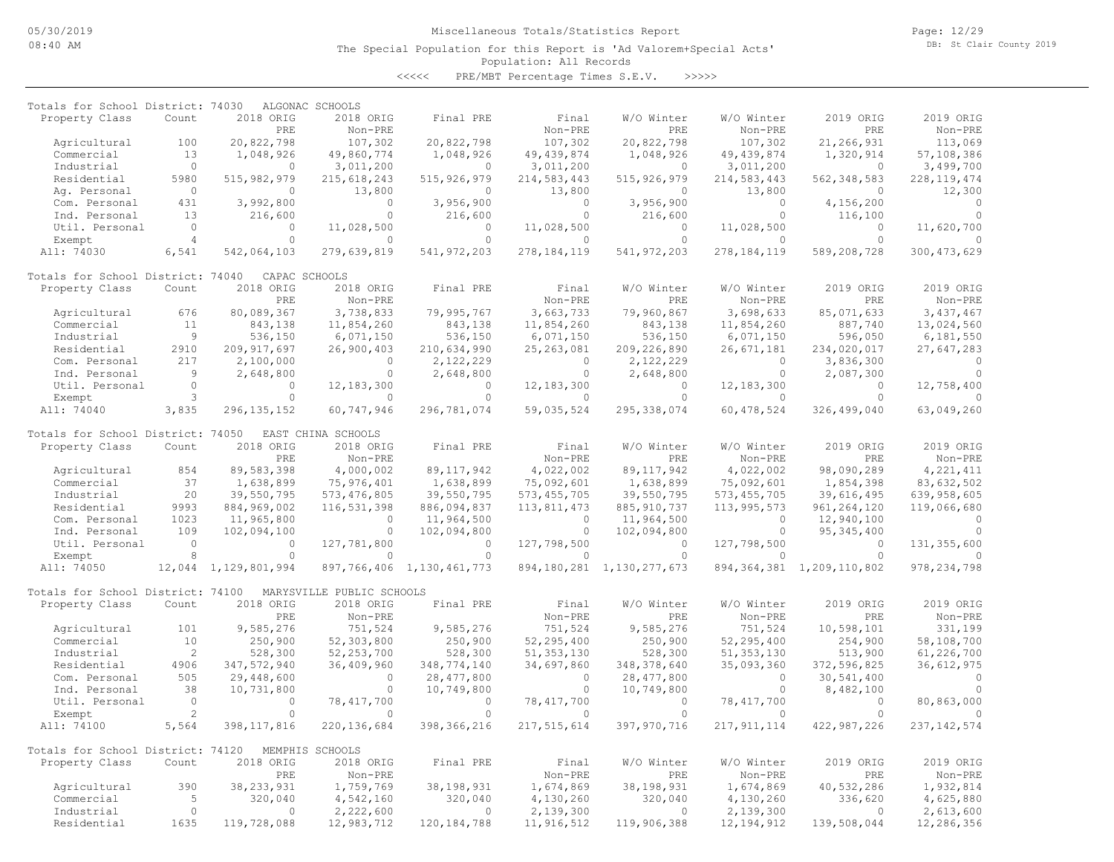Page: 12/29 DB: St Clair County 2019

#### Population: All Records The Special Population for this Report is 'Ad Valorem+Special Acts'

| Totals for School District: 74030 |                |                           | ALGONAC SCHOOLS           |                             |                        |                                |                        |                           |                        |
|-----------------------------------|----------------|---------------------------|---------------------------|-----------------------------|------------------------|--------------------------------|------------------------|---------------------------|------------------------|
| Property Class                    | Count          | 2018 ORIG                 | 2018 ORIG                 | Final PRE                   | Final                  | W/O Winter                     | W/O Winter             | 2019 ORIG                 | 2019 ORIG              |
|                                   |                | PRE                       | Non-PRE                   |                             | Non-PRE                | PRE                            | Non-PRE                | PRE                       | Non-PRE                |
| Agricultural                      | 100            | 20,822,798                | 107,302                   | 20,822,798                  | 107,302                | 20,822,798                     | 107,302                | 21,266,931                | 113,069                |
| Commercial                        | 13             | 1,048,926                 | 49,860,774                | 1,048,926                   | 49, 439, 874           | 1,048,926                      | 49, 439, 874           | 1,320,914                 | 57,108,386             |
| Industrial                        | $\circ$        | $\cap$                    | 3,011,200                 | $\Omega$                    | 3,011,200              | 0                              | 3,011,200              | $\circ$                   | 3,499,700              |
| Residential                       | 5980           | 515, 982, 979             | 215, 618, 243             | 515, 926, 979               | 214,583,443            | 515, 926, 979                  | 214,583,443            | 562, 348, 583             | 228, 119, 474          |
| Ag. Personal                      | $\Omega$       | $\Omega$                  | 13,800                    | $\Omega$                    | 13,800                 | $\Omega$                       | 13,800                 | $\Omega$                  | 12,300                 |
| Com. Personal                     | 431            | 3,992,800                 | $\circ$<br>$\circ$        | 3,956,900                   | $\circ$                | 3,956,900                      | $\Omega$<br>$\circ$    | 4,156,200                 | $\Omega$<br>$\Omega$   |
| Ind. Personal                     | 13<br>$\circ$  | 216,600                   |                           | 216,600<br>$\circ$          | $\circ$                | 216,600                        |                        | 116,100                   |                        |
| Util. Personal                    | $\overline{4}$ | 0<br>$\Omega$             | 11,028,500<br>$\Omega$    | $\Omega$                    | 11,028,500<br>$\Omega$ | 0<br>$\Omega$                  | 11,028,500<br>$\Omega$ | $\circ$<br>$\circ$        | 11,620,700<br>$\cap$   |
| Exempt                            | 6,541          | 542,064,103               |                           |                             | 278, 184, 119          |                                |                        | 589,208,728               |                        |
| All: 74030                        |                |                           | 279,639,819               | 541, 972, 203               |                        | 541, 972, 203                  | 278, 184, 119          |                           | 300, 473, 629          |
| Totals for School District: 74040 |                | CAPAC SCHOOLS             |                           |                             |                        |                                |                        |                           |                        |
| Property Class                    | Count          | 2018 ORIG                 | 2018 ORIG                 | Final PRE                   | Final                  | W/O Winter                     | W/O Winter             | 2019 ORIG                 | 2019 ORIG              |
|                                   |                | PRE                       | Non-PRE                   |                             | Non-PRE                | PRE                            | Non-PRE                | PRE                       | Non-PRE                |
| Agricultural                      | 676            | 80,089,367                | 3,738,833                 | 79,995,767                  | 3,663,733              | 79,960,867                     | 3,698,633              | 85,071,633                | 3,437,467              |
| Commercial                        | 11             | 843,138                   | 11,854,260                | 843,138                     | 11,854,260             | 843,138                        | 11,854,260             | 887,740                   | 13,024,560             |
| Industrial                        | 9              | 536,150                   | 6,071,150                 | 536,150                     | 6,071,150              | 536,150                        | 6,071,150              | 596,050                   | 6,181,550              |
| Residential                       | 2910           | 209, 917, 697             | 26,900,403                | 210,634,990                 | 25, 263, 081           | 209,226,890                    | 26,671,181             | 234,020,017               | 27,647,283             |
| Com. Personal                     | 217            | 2,100,000                 | $\circ$                   | 2,122,229                   | $\mathbf{0}$           | 2,122,229                      | $\circ$                | 3,836,300                 | $\circ$                |
| Ind. Personal                     | 9              | 2,648,800                 | $\circ$                   | 2,648,800                   | $\circ$                | 2,648,800                      | $\circ$                | 2,087,300                 | $\Omega$               |
| Util. Personal                    | $\circ$        | $\circ$                   | 12, 183, 300              | $\Omega$                    | 12, 183, 300           | $\circ$                        | 12, 183, 300           | $\circ$                   | 12,758,400             |
| Exempt                            | 3              | $\Omega$                  | $\Omega$                  | $\Omega$                    | $\Omega$               | $\Omega$                       | $\Omega$               | $\Omega$                  |                        |
| All: 74040                        | 3,835          | 296, 135, 152             | 60,747,946                | 296,781,074                 | 59,035,524             | 295, 338, 074                  | 60, 478, 524           | 326,499,040               | 63,049,260             |
| Totals for School District: 74050 |                |                           | EAST CHINA SCHOOLS        |                             |                        |                                |                        |                           |                        |
| Property Class                    | Count          | 2018 ORIG                 | 2018 ORIG                 | Final PRE                   | Final                  | W/O Winter                     | W/O Winter             | 2019 ORIG                 | 2019 ORIG              |
|                                   |                | PRE                       | Non-PRE                   |                             | Non-PRE                | PRE                            | Non-PRE                | PRE                       | Non-PRE                |
| Agricultural                      | 854            | 89,583,398                | 4,000,002                 | 89, 117, 942                | 4,022,002              | 89, 117, 942                   | 4,022,002              | 98,090,289                | 4, 221, 411            |
| Commercial                        | 37             | 1,638,899                 | 75,976,401                | 1,638,899                   | 75,092,601             | 1,638,899                      | 75,092,601             | 1,854,398                 | 83,632,502             |
| Industrial                        | 20             | 39,550,795                | 573, 476, 805             | 39,550,795                  | 573, 455, 705          | 39,550,795                     | 573, 455, 705          | 39,616,495                | 639,958,605            |
| Residential                       | 9993           | 884,969,002               | 116,531,398               | 886,094,837                 | 113,811,473            | 885, 910, 737                  | 113,995,573            | 961, 264, 120             | 119,066,680            |
| Com. Personal                     | 1023           | 11,965,800                | $\Omega$                  | 11,964,500                  | $\Omega$               | 11,964,500                     | $\Omega$               | 12,940,100                | $\cap$                 |
| Ind. Personal                     | 109            | 102,094,100               | $\circ$                   | 102,094,800                 | $\circ$                | 102,094,800                    | $\circ$                | 95, 345, 400              | $\cap$                 |
| Util. Personal                    | $\circ$        | $\Omega$                  | 127,781,800               | $\Omega$                    | 127,798,500            | $\circ$                        | 127,798,500            | $\circ$                   | 131, 355, 600          |
| Exempt                            | 8              | $\Omega$                  | $\circ$                   | $\Omega$                    | $\Omega$               | $\circ$                        | $\Omega$               | $\Omega$                  | $\Omega$               |
| All: 74050                        | 12,044         | 1,129,801,994             |                           | 897,766,406 1,130,461,773   |                        | 894, 180, 281 1, 130, 277, 673 | 894, 364, 381          | 1,209,110,802             | 978, 234, 798          |
|                                   |                |                           |                           |                             |                        |                                |                        |                           |                        |
| Totals for School District: 74100 |                |                           | MARYSVILLE PUBLIC SCHOOLS |                             |                        |                                |                        |                           |                        |
| Property Class                    | Count          | 2018 ORIG                 | 2018 ORIG                 | Final PRE                   | Final                  | W/O Winter                     | W/O Winter             | 2019 ORIG                 | 2019 ORIG              |
|                                   | 101            | PRE                       | Non-PRE                   |                             | Non-PRE                | PRE                            | Non-PRE                | PRE                       | Non-PRE                |
| Agricultural<br>Commercial        | 10             | 9,585,276<br>250,900      | 751,524                   | 9,585,276<br>250,900        | 751,524                | 9,585,276<br>250,900           | 751,524<br>52,295,400  | 10,598,101                | 331,199<br>58,108,700  |
|                                   | 2              |                           | 52,303,800                |                             | 52,295,400             |                                |                        | 254,900                   |                        |
| Industrial                        | 4906           | 528,300                   | 52, 253, 700              | 528,300                     | 51, 353, 130           | 528,300                        | 51, 353, 130           | 513,900                   | 61,226,700             |
| Residential<br>Com. Personal      | 505            | 347,572,940<br>29,448,600 | 36,409,960<br>$\circ$     | 348,774,140<br>28, 477, 800 | 34,697,860<br>$\circ$  | 348, 378, 640<br>28, 477, 800  | 35,093,360<br>$\circ$  | 372,596,825<br>30,541,400 | 36,612,975<br>$\Omega$ |
| Ind. Personal                     | 38             | 10,731,800                | $\circ$                   | 10,749,800                  | $\circ$                | 10,749,800                     | $\circ$                | 8,482,100                 | $\Omega$               |
| Util. Personal                    | $\circ$        | $\circ$                   | 78, 417, 700              | $\Omega$                    | 78, 417, 700           | $\circ$                        | 78, 417, 700           | $\circ$                   | 80,863,000             |
| Exempt                            | $\overline{c}$ | $\Omega$                  | 0                         | $\Omega$                    | $\Omega$               | $\Omega$                       | $\Omega$               | $\Omega$                  |                        |
| All: 74100                        | 5,564          | 398, 117, 816             | 220, 136, 684             | 398, 366, 216               | 217,515,614            | 397,970,716                    | 217, 911, 114          | 422,987,226               | 237, 142, 574          |
|                                   |                |                           |                           |                             |                        |                                |                        |                           |                        |
| Totals for School District: 74120 |                |                           | MEMPHIS SCHOOLS           |                             |                        |                                |                        |                           |                        |
| Property Class                    | Count          | 2018 ORIG                 | 2018 ORIG                 | Final PRE                   | Final                  | W/O Winter                     | W/O Winter             | 2019 ORIG                 | 2019 ORIG              |
|                                   |                | PRE                       | Non-PRE                   |                             | Non-PRE                | PRE                            | Non-PRE                | PRE                       | Non-PRE                |
| Agricultural                      | 390            | 38, 233, 931              | 1,759,769                 | 38, 198, 931                | 1,674,869              | 38, 198, 931                   | 1,674,869              | 40,532,286                | 1,932,814              |
| Commercial                        | 5              | 320,040                   | 4,542,160                 | 320,040                     | 4,130,260              | 320,040                        | 4,130,260              | 336,620                   | 4,625,880              |
| Industrial                        | $\circ$        | $\Omega$                  | 2,222,600                 | $\circ$                     | 2,139,300              | $\circ$                        | 2,139,300              | $\circ$                   | 2,613,600              |
| Residential                       | 1635           | 119,728,088               | 12,983,712                | 120, 184, 788               | 11, 916, 512           | 119,906,388                    | 12, 194, 912           | 139,508,044               | 12,286,356             |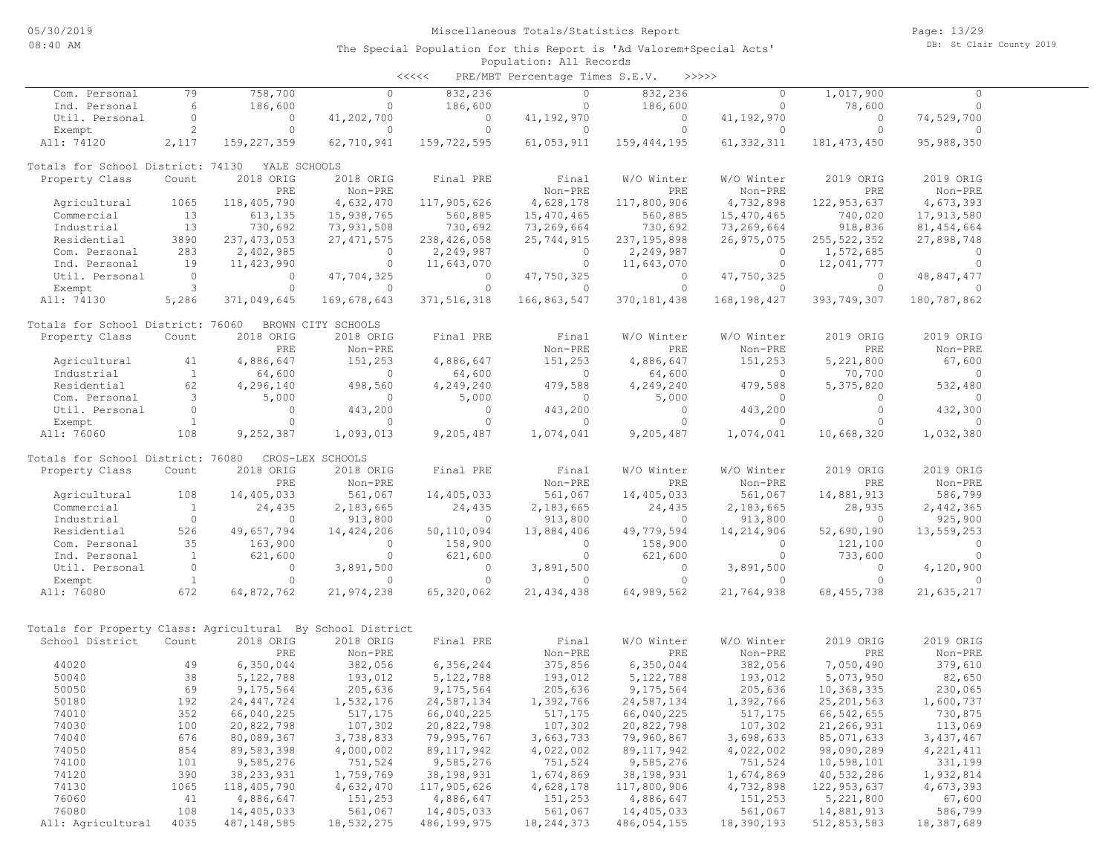| Com. Personal                                              | 79             | 758,700       | $\Omega$           | 832,236       | $\circ$      | 832,236       | $\circ$       | 1,017,900     | $\Omega$     |  |
|------------------------------------------------------------|----------------|---------------|--------------------|---------------|--------------|---------------|---------------|---------------|--------------|--|
| Ind. Personal                                              | 6              | 186,600       | $\circ$            | 186,600       | $\circ$      | 186,600       | $\circ$       | 78,600        | $\circ$      |  |
| Util. Personal                                             | $\circ$        | $\circ$       | 41,202,700         | $\circ$       | 41,192,970   | $\circ$       | 41,192,970    | $\mathbf{0}$  | 74,529,700   |  |
| Exempt                                                     | $\overline{c}$ | $\Omega$      | $\circ$            | $\circ$       | $\circ$      | $\circ$       | $\Omega$      | $\Omega$      | $\Omega$     |  |
| All: 74120                                                 | 2,117          | 159, 227, 359 | 62,710,941         | 159,722,595   | 61,053,911   | 159, 444, 195 | 61, 332, 311  | 181, 473, 450 | 95,988,350   |  |
| Totals for School District: 74130                          |                | YALE SCHOOLS  |                    |               |              |               |               |               |              |  |
| Property Class                                             | Count          | 2018 ORIG     | 2018 ORIG          | Final PRE     | Final        | W/O Winter    | W/O Winter    | 2019 ORIG     | 2019 ORIG    |  |
|                                                            |                | PRE           | Non-PRE            |               | Non-PRE      | PRE           | Non-PRE       | PRE           | Non-PRE      |  |
| Agricultural                                               | 1065           | 118,405,790   | 4,632,470          | 117,905,626   | 4,628,178    | 117,800,906   | 4,732,898     | 122, 953, 637 | 4,673,393    |  |
| Commercial                                                 | 13             | 613,135       | 15,938,765         | 560,885       | 15,470,465   | 560,885       | 15,470,465    | 740,020       | 17,913,580   |  |
| Industrial                                                 | 13             | 730,692       | 73,931,508         | 730,692       | 73,269,664   | 730,692       | 73,269,664    | 918,836       | 81, 454, 664 |  |
| Residential                                                | 3890           | 237, 473, 053 | 27, 471, 575       | 238,426,058   | 25,744,915   | 237, 195, 898 | 26,975,075    | 255, 522, 352 | 27,898,748   |  |
| Com. Personal                                              | 283            | 2,402,985     | $\circ$            | 2,249,987     | $\circ$      | 2,249,987     | 0             | 1,572,685     | $\mathbf{0}$ |  |
| Ind. Personal                                              | 19             | 11, 423, 990  | $\circ$            | 11,643,070    | $\circ$      | 11,643,070    | $\mathbf{0}$  | 12,041,777    | $\mathbf{0}$ |  |
| Util. Personal                                             | $\circ$        | 0             | 47,704,325         | $\circ$       | 47,750,325   | $\circ$       | 47,750,325    | 0             | 48,847,477   |  |
| Exempt                                                     | 3              | $\Omega$      | $\Omega$           | $\circ$       | $\Omega$     | $\circ$       | $\Omega$      | $\circ$       | $\Omega$     |  |
| All: 74130                                                 | 5,286          | 371,049,645   | 169,678,643        | 371, 516, 318 | 166,863,547  | 370, 181, 438 | 168, 198, 427 | 393,749,307   | 180,787,862  |  |
| Totals for School District: 76060                          |                |               | BROWN CITY SCHOOLS |               |              |               |               |               |              |  |
| Property Class                                             | Count          | 2018 ORIG     | 2018 ORIG          | Final PRE     | Final        | W/O Winter    | W/O Winter    | 2019 ORIG     | 2019 ORIG    |  |
|                                                            |                | PRE           | Non-PRE            |               | Non-PRE      | <b>PRE</b>    | Non-PRE       | PRE           | Non-PRE      |  |
| Agricultural                                               | 41             | 4,886,647     | 151,253            | 4,886,647     | 151,253      | 4,886,647     | 151,253       | 5,221,800     | 67,600       |  |
| Industrial                                                 | $\mathbf{1}$   | 64,600        | $\circ$            | 64,600        | $\circ$      | 64,600        | $\circ$       | 70,700        | $\circ$      |  |
| Residential                                                | 62             | 4,296,140     | 498,560            | 4,249,240     | 479,588      | 4,249,240     | 479,588       | 5,375,820     | 532,480      |  |
| Com. Personal                                              | 3              | 5,000         | $\circ$            | 5,000         | $\circ$      | 5,000         | 0             | 0             | $\mathbf{0}$ |  |
| Util. Personal                                             | $\circ$        | $\circ$       | 443,200            | $\circ$       | 443,200      | $\circ$       | 443,200       | $\circ$       | 432,300      |  |
| Exempt                                                     | $\mathbf{1}$   | $\Omega$      | $\Omega$           | $\Omega$      | $\Omega$     | $\Omega$      | $\Omega$      | $\Omega$      | $\Omega$     |  |
| All: 76060                                                 | 108            | 9,252,387     | 1,093,013          | 9,205,487     | 1,074,041    | 9,205,487     | 1,074,041     | 10,668,320    | 1,032,380    |  |
| Totals for School District: 76080                          |                |               | CROS-LEX SCHOOLS   |               |              |               |               |               |              |  |
| Property Class                                             | Count          | 2018 ORIG     | 2018 ORIG          | Final PRE     | Final        | W/O Winter    | W/O Winter    | 2019 ORIG     | 2019 ORIG    |  |
|                                                            |                | PRE           | Non-PRE            |               | Non-PRE      | PRE           | Non-PRE       | PRE           | Non-PRE      |  |
| Agricultural                                               | 108            | 14,405,033    | 561,067            | 14,405,033    | 561,067      | 14,405,033    | 561,067       | 14,881,913    | 586,799      |  |
| Commercial                                                 | $\mathbf{1}$   | 24,435        | 2,183,665          | 24,435        | 2,183,665    | 24,435        | 2,183,665     | 28,935        | 2,442,365    |  |
| Industrial                                                 | $\circ$        | $\circ$       | 913,800            | $\circ$       | 913,800      | $\circ$       | 913,800       | $\mathbf{0}$  | 925,900      |  |
| Residential                                                | 526            | 49,657,794    | 14,424,206         | 50,110,094    | 13,884,406   | 49,779,594    | 14,214,906    | 52,690,190    | 13,559,253   |  |
| Com. Personal                                              | 35             | 163,900       | $\Omega$           | 158,900       | $\Omega$     | 158,900       | $\Omega$      | 121,100       | $\circ$      |  |
| Ind. Personal                                              | $\overline{1}$ | 621,600       | $\circ$            | 621,600       | $\circ$      | 621,600       | $\circ$       | 733,600       | $\circ$      |  |
| Util. Personal                                             | $\circ$        | 0             | 3,891,500          | $\circ$       | 3,891,500    | $\circ$       | 3,891,500     | 0             | 4,120,900    |  |
| Exempt                                                     | $\mathbf{1}$   | $\circ$       | $\Omega$           | $\circ$       | $\Omega$     | $\circ$       | $\Omega$      | $\Omega$      | $\Omega$     |  |
| All: 76080                                                 | 672            | 64,872,762    | 21,974,238         | 65,320,062    | 21, 434, 438 | 64,989,562    | 21,764,938    | 68, 455, 738  | 21,635,217   |  |
|                                                            |                |               |                    |               |              |               |               |               |              |  |
| Totals for Property Class: Agricultural By School District |                |               |                    |               |              |               |               |               |              |  |
| School District                                            | Count          | 2018 ORIG     | 2018 ORIG          | Final PRE     | Final        | W/O Winter    | W/O Winter    | 2019 ORIG     | 2019 ORIG    |  |
|                                                            |                | PRE           | Non-PRE            |               | Non-PRE      | PRE           | Non-PRE       | PRE           | Non-PRE      |  |
| 44020                                                      | 49             | 6,350,044     | 382,056            | 6,356,244     | 375,856      | 6,350,044     | 382,056       | 7,050,490     | 379,610      |  |
| 50040                                                      | 38             | 5,122,788     | 193,012            | 5, 122, 788   | 193,012      | 5, 122, 788   | 193,012       | 5,073,950     | 82,650       |  |
| 50050                                                      | 69             | 9,175,564     | 205,636            | 9,175,564     | 205,636      | 9,175,564     | 205,636       | 10,368,335    | 230,065      |  |
| 50180                                                      | 192            | 24, 447, 724  | 1,532,176          | 24,587,134    | 1,392,766    | 24,587,134    | 1,392,766     | 25, 201, 563  | 1,600,737    |  |
| 74010                                                      | 352            | 66,040,225    | 517,175            | 66,040,225    | 517,175      | 66,040,225    | 517,175       | 66, 542, 655  | 730,875      |  |
| 74030                                                      | 100            | 20,822,798    | 107,302            | 20,822,798    | 107,302      | 20,822,798    | 107,302       | 21,266,931    | 113,069      |  |
| 74040                                                      | 676            | 80,089,367    | 3,738,833          | 79,995,767    | 3,663,733    | 79,960,867    | 3,698,633     | 85,071,633    | 3, 437, 467  |  |
| 74050                                                      | 854            | 89,583,398    | 4,000,002          | 89, 117, 942  | 4,022,002    | 89, 117, 942  | 4,022,002     | 98,090,289    | 4, 221, 411  |  |
| 74100                                                      | 101            | 9,585,276     | 751,524            | 9,585,276     | 751,524      | 9,585,276     | 751,524       | 10,598,101    | 331,199      |  |
| 74120                                                      | 390            | 38, 233, 931  | 1,759,769          | 38, 198, 931  | 1,674,869    | 38, 198, 931  | 1,674,869     | 40,532,286    | 1,932,814    |  |
| 74130                                                      | 1065           | 118,405,790   | 4,632,470          | 117,905,626   | 4,628,178    | 117,800,906   | 4,732,898     | 122, 953, 637 | 4,673,393    |  |
| 76060                                                      | 41             | 4,886,647     | 151,253            | 4,886,647     | 151,253      | 4,886,647     | 151,253       | 5,221,800     | 67,600       |  |
| 76080                                                      | 108            | 14,405,033    | 561,067            | 14,405,033    | 561,067      | 14,405,033    | 561,067       | 14,881,913    | 586,799      |  |
| All: Agricultural                                          | 4035           | 487, 148, 585 | 18,532,275         | 486,199,975   | 18, 244, 373 | 486,054,155   | 18,390,193    | 512,853,583   | 18,387,689   |  |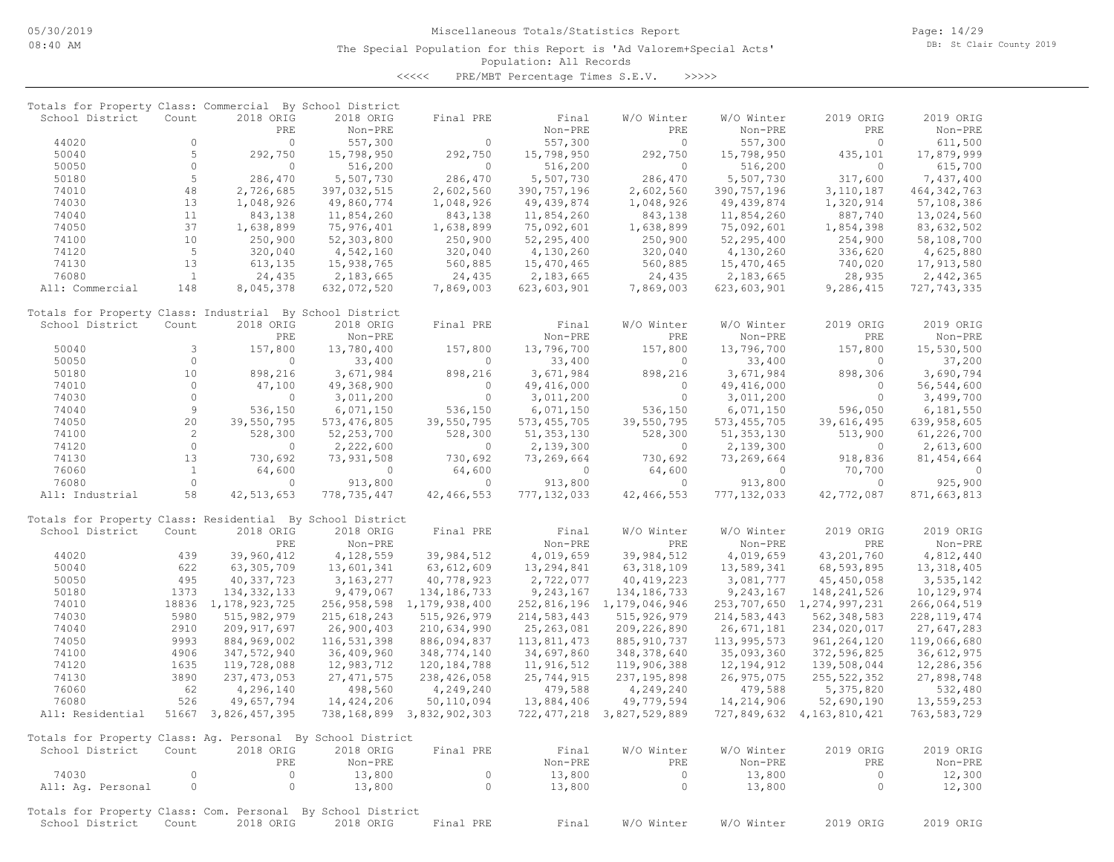| Totals for Property Class: Commercial By School District    |                |                        |                          |                           |                            |                                |                            |                           |                            |
|-------------------------------------------------------------|----------------|------------------------|--------------------------|---------------------------|----------------------------|--------------------------------|----------------------------|---------------------------|----------------------------|
| School District                                             | Count          | 2018 ORIG              | 2018 ORIG                | Final PRE                 | Final                      | W/O Winter                     | W/O Winter                 | 2019 ORIG                 | 2019 ORIG                  |
|                                                             |                | PRE                    | Non-PRE                  |                           | Non-PRE                    | PRE                            | Non-PRE                    | PRE                       | Non-PRE                    |
| 44020                                                       | $\Omega$       | $\Omega$               | 557,300                  | $\Omega$                  | 557,300                    | $\Omega$                       | 557,300                    | $\Omega$                  | 611,500                    |
| 50040                                                       | 5<br>$\circ$   | 292,750<br>$\circ$     | 15,798,950               | 292,750<br>$\Omega$       | 15,798,950                 | 292,750<br>$\circ$             | 15,798,950                 | 435,101<br>$\circ$        | 17,879,999                 |
| 50050<br>50180                                              | 5              | 286,470                | 516,200<br>5,507,730     | 286,470                   | 516,200<br>5,507,730       | 286,470                        | 516,200<br>5,507,730       | 317,600                   | 615,700<br>7,437,400       |
| 74010                                                       | 48             |                        |                          |                           |                            |                                |                            |                           |                            |
| 74030                                                       | 13             | 2,726,685              | 397,032,515              | 2,602,560<br>1,048,926    | 390, 757, 196              | 2,602,560                      | 390, 757, 196              | 3, 110, 187               | 464, 342, 763              |
| 74040                                                       | 11             | 1,048,926<br>843,138   | 49,860,774<br>11,854,260 | 843,138                   | 49, 439, 874<br>11,854,260 | 1,048,926<br>843,138           | 49, 439, 874<br>11,854,260 | 1,320,914<br>887,740      | 57,108,386<br>13,024,560   |
| 74050                                                       | 37             |                        |                          | 1,638,899                 |                            |                                |                            | 1,854,398                 |                            |
|                                                             | 10             | 1,638,899              | 75,976,401               |                           | 75,092,601                 | 1,638,899                      | 75,092,601                 |                           | 83,632,502                 |
| 74100<br>74120                                              | 5              | 250,900                | 52,303,800               | 250,900                   | 52,295,400                 | 250,900                        | 52,295,400                 | 254,900                   | 58,108,700                 |
| 74130                                                       | 13             | 320,040                | 4,542,160<br>15,938,765  | 320,040<br>560,885        | 4,130,260                  | 320,040<br>560,885             | 4,130,260<br>15,470,465    | 336,620                   | 4,625,880<br>17,913,580    |
| 76080                                                       | <sup>1</sup>   | 613,135<br>24,435      | 2,183,665                | 24,435                    | 15,470,465                 |                                |                            | 740,020<br>28,935         |                            |
| All: Commercial                                             | 148            | 8,045,378              |                          | 7,869,003                 | 2,183,665<br>623,603,901   | 24,435<br>7,869,003            | 2,183,665<br>623,603,901   | 9,286,415                 | 2,442,365<br>727, 743, 335 |
|                                                             |                |                        | 632,072,520              |                           |                            |                                |                            |                           |                            |
| Totals for Property Class: Industrial By School District    |                |                        |                          |                           |                            |                                |                            |                           |                            |
| School District                                             | Count          | 2018 ORIG              | 2018 ORIG                | Final PRE                 | Final                      | W/O Winter                     | W/O Winter                 | 2019 ORIG                 | 2019 ORIG                  |
|                                                             |                | PRE                    | Non-PRE                  |                           | Non-PRE                    | PRE                            | Non-PRE                    | PRE                       | Non-PRE                    |
| 50040                                                       | 3              | 157,800                | 13,780,400               | 157,800                   | 13,796,700                 | 157,800                        | 13,796,700                 | 157,800                   | 15,530,500                 |
| 50050                                                       | $\circ$        | $\circ$                | 33,400                   | 0                         | 33,400                     | 0                              | 33,400                     | 0                         | 37,200                     |
| 50180                                                       | 10             | 898,216                | 3,671,984                | 898,216                   | 3,671,984                  | 898,216                        | 3,671,984                  | 898,306                   | 3,690,794                  |
| 74010                                                       | $\circ$        | 47,100                 | 49,368,900               | $\circ$                   | 49, 416, 000               | $\circ$                        | 49,416,000                 | $\circ$                   | 56, 544, 600               |
| 74030                                                       | $\Omega$       | $\Omega$               | 3,011,200                | $\Omega$                  | 3,011,200                  | $\Omega$                       | 3,011,200                  | $\Omega$                  | 3,499,700                  |
| 74040                                                       | $\,9$          | 536,150                | 6,071,150                | 536,150                   | 6,071,150                  | 536,150                        | 6,071,150                  | 596,050                   | 6,181,550                  |
| 74050                                                       | 20             | 39,550,795             | 573, 476, 805            | 39,550,795                | 573, 455, 705              | 39,550,795                     | 573, 455, 705              | 39,616,495                | 639,958,605                |
| 74100                                                       | $\overline{c}$ | 528,300                | 52, 253, 700             | 528,300                   | 51, 353, 130               | 528,300                        | 51, 353, 130               | 513,900                   | 61,226,700                 |
| 74120                                                       | $\circ$        | $\circ$                | 2,222,600                | $\Omega$                  | 2,139,300                  | $\circ$                        | 2,139,300                  | $\mathbf{0}$              | 2,613,600                  |
| 74130                                                       | 13             | 730,692                | 73, 931, 508             | 730,692                   | 73,269,664                 | 730,692                        | 73,269,664                 | 918,836                   | 81, 454, 664               |
| 76060                                                       | $\mathbf{1}$   | 64,600                 | $\circ$                  | 64,600                    | $\Omega$                   | 64,600                         | $\circ$                    | 70,700                    | $\Omega$                   |
| 76080                                                       | $\circ$        | $\circ$                | 913,800                  | $\circ$                   | 913,800                    | $\circ$                        | 913,800                    | $\circ$                   | 925,900                    |
| All: Industrial                                             | 58             | 42, 513, 653           | 778,735,447              | 42, 466, 553              | 777, 132, 033              | 42,466,553                     | 777, 132, 033              | 42,772,087                | 871,663,813                |
| Totals for Property Class: Residential By School District   |                |                        |                          |                           |                            |                                |                            |                           |                            |
| School District                                             | Count          | 2018 ORIG              | 2018 ORIG                | Final PRE                 | Final                      | W/O Winter                     | W/O Winter                 | 2019 ORIG                 | 2019 ORIG                  |
|                                                             |                | PRE                    | $Non-PRE$                |                           | Non-PRE                    | PRE                            | Non-PRE                    | PRE                       | Non-PRE                    |
| 44020                                                       | 439            | 39,960,412             | 4,128,559                | 39,984,512                | 4,019,659                  | 39,984,512                     | 4,019,659                  | 43,201,760                | 4,812,440                  |
| 50040                                                       | 622            | 63, 305, 709           | 13,601,341               | 63, 612, 609              | 13,294,841                 | 63, 318, 109                   | 13,589,341                 | 68,593,895                | 13, 318, 405               |
| 50050                                                       | 495            | 40, 337, 723           | 3, 163, 277              | 40,778,923                | 2,722,077                  | 40, 419, 223                   | 3,081,777                  | 45, 450, 058              | 3,535,142                  |
| 50180                                                       | 1373           | 134, 332, 133          | 9,479,067                | 134, 186, 733             | 9,243,167                  | 134, 186, 733                  | 9,243,167                  | 148,241,526               | 10,129,974                 |
| 74010                                                       |                | 18836 1, 178, 923, 725 | 256,958,598              | 1,179,938,400             | 252,816,196                | 1,179,046,946                  | 253,707,650                | 1,274,997,231             | 266,064,519                |
| 74030                                                       | 5980           | 515, 982, 979          | 215, 618, 243            | 515, 926, 979             | 214,583,443                | 515, 926, 979                  | 214,583,443                | 562, 348, 583             | 228, 119, 474              |
| 74040                                                       | 2910           | 209, 917, 697          | 26,900,403               | 210,634,990               | 25, 263, 081               | 209, 226, 890                  | 26,671,181                 | 234,020,017               | 27,647,283                 |
| 74050                                                       | 9993           | 884,969,002            | 116,531,398              | 886,094,837               | 113,811,473                | 885, 910, 737                  | 113,995,573                | 961, 264, 120             | 119,066,680                |
| 74100                                                       | 4906           | 347,572,940            | 36,409,960               | 348,774,140               | 34,697,860                 | 348, 378, 640                  | 35,093,360                 | 372,596,825               | 36,612,975                 |
| 74120                                                       | 1635           | 119,728,088            | 12,983,712               | 120, 184, 788             | 11,916,512                 | 119,906,388                    | 12, 194, 912               | 139,508,044               | 12,286,356                 |
| 74130                                                       | 3890           | 237, 473, 053          | 27, 471, 575             | 238, 426, 058             | 25,744,915                 | 237, 195, 898                  | 26,975,075                 | 255, 522, 352             | 27,898,748                 |
| 76060                                                       | 62             | 4,296,140              | 498,560                  | 4,249,240                 | 479,588                    | 4,249,240                      | 479,588                    | 5,375,820                 | 532,480                    |
| 76080                                                       | 526            | 49,657,794             | 14,424,206               | 50,110,094                | 13,884,406                 | 49,779,594                     | 14,214,906                 | 52,690,190                | 13,559,253                 |
| All: Residential                                            |                | 51667 3,826,457,395    |                          | 738,168,899 3,832,902,303 |                            | 722, 477, 218 3, 827, 529, 889 |                            | 727,849,632 4,163,810,421 | 763,583,729                |
| Totals for Property Class: Ag. Personal By School District  |                |                        |                          |                           |                            |                                |                            |                           |                            |
| School District                                             | Count          | 2018 ORIG              | 2018 ORIG                | Final PRE                 | Final                      | W/O Winter                     | W/O Winter                 | 2019 ORIG                 | 2019 ORIG                  |
|                                                             |                | PRE                    | Non-PRE                  |                           | Non-PRE                    | PRE                            | Non-PRE                    | PRE                       | Non-PRE                    |
| 74030                                                       | $\circ$        | $\circ$                | 13,800                   | $\circ$                   | 13,800                     | $\circ$                        | 13,800                     | $\circ$                   | 12,300                     |
| All: Aq. Personal                                           | $\circ$        | $\circ$                | 13,800                   | $\circ$                   | 13,800                     | $\circ$                        | 13,800                     | $\circ$                   | 12,300                     |
| Totals for Property Class: Com. Personal By School District |                |                        |                          |                           |                            |                                |                            |                           |                            |
| School District                                             | Count          | 2018 ORIG              | 2018 ORIG                | Final PRE                 | Final                      | W/O Winter                     | W/O Winter                 | 2019 ORIG                 | 2019 ORIG                  |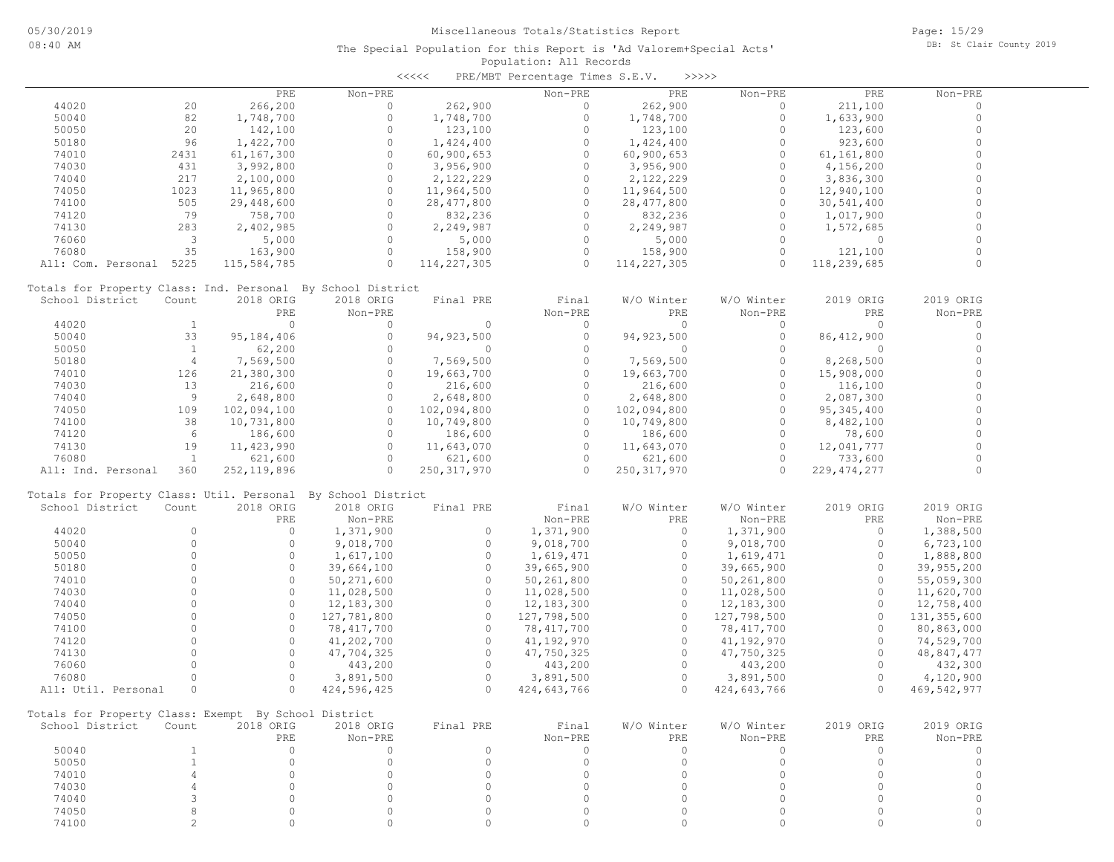| くくくくく | PRE/MBT Percentage Times S.E.V. |  | - >>>>> |
|-------|---------------------------------|--|---------|
|       |                                 |  |         |

|                                                              |                         | PRE           | Non-PRE      |               | Non-PRE      | PRE           | Non-PRE     | PRE           | Non-PRE       |
|--------------------------------------------------------------|-------------------------|---------------|--------------|---------------|--------------|---------------|-------------|---------------|---------------|
| 44020                                                        | 20                      | 266,200       | $\circ$      | 262,900       | $\Omega$     | 262,900       | $\circ$     | 211,100       | $\Omega$      |
| 50040                                                        | 82                      | 1,748,700     | $\circ$      | 1,748,700     | $\circ$      | 1,748,700     | $\circ$     | 1,633,900     | $\circ$       |
| 50050                                                        | 20                      | 142,100       | $\circ$      | 123,100       | $\circ$      | 123,100       | $\circ$     | 123,600       | $\Omega$      |
| 50180                                                        | 96                      | 1,422,700     | $\Omega$     | 1,424,400     | $\circ$      | 1,424,400     | $\Omega$    | 923,600       | $\Omega$      |
|                                                              |                         |               | $\Omega$     |               | $\circ$      |               | $\circ$     |               | $\Omega$      |
| 74010                                                        | 2431                    | 61,167,300    |              | 60, 900, 653  |              | 60,900,653    |             | 61,161,800    |               |
| 74030                                                        | 431                     | 3,992,800     | $\Omega$     | 3,956,900     | $\circ$      | 3,956,900     | $\circ$     | 4,156,200     | $\Omega$      |
| 74040                                                        | 217                     | 2,100,000     | $\circ$      | 2,122,229     | $\circ$      | 2,122,229     | $\circ$     | 3,836,300     | $\Omega$      |
| 74050                                                        | 1023                    | 11,965,800    | $\Omega$     | 11,964,500    | $\circ$      | 11,964,500    | $\Omega$    | 12,940,100    | $\Omega$      |
| 74100                                                        | 505                     | 29,448,600    | $\Omega$     | 28, 477, 800  | $\Omega$     | 28, 477, 800  | $\Omega$    | 30,541,400    | $\Omega$      |
| 74120                                                        | 79                      | 758,700       | $\Omega$     | 832,236       | $\Omega$     | 832,236       | $\circ$     | 1,017,900     | $\Omega$      |
| 74130                                                        | 283                     | 2,402,985     | $\circ$      | 2,249,987     | $\circ$      | 2,249,987     | $\circ$     | 1,572,685     | $\Omega$      |
| 76060                                                        | $\overline{\mathbf{3}}$ | 5,000         | $\circ$      | 5,000         | $\Omega$     | 5,000         | $\Omega$    | $\circ$       | $\Omega$      |
| 76080                                                        | 35                      | 163,900       | $\circ$      | 158,900       | $\circ$      | 158,900       | $\Omega$    | 121,100       | $\Omega$      |
|                                                              |                         |               | $\circ$      |               | $\Omega$     |               | $\Omega$    |               | $\Omega$      |
| All: Com. Personal 5225                                      |                         | 115,584,785   |              | 114,227,305   |              | 114,227,305   |             | 118,239,685   |               |
|                                                              |                         |               |              |               |              |               |             |               |               |
| Totals for Property Class: Ind. Personal By School District  |                         |               |              |               |              |               |             |               |               |
| School District                                              | Count                   | 2018 ORIG     | 2018 ORIG    | Final PRE     | Final        | W/O Winter    | W/O Winter  | 2019 ORIG     | 2019 ORIG     |
|                                                              |                         | PRE           | Non-PRE      |               | Non-PRE      | PRE           | Non-PRE     | PRE           | Non-PRE       |
| 44020                                                        | $\mathbf{1}$            | $\circ$       | $\circ$      | $\circ$       | $\circ$      | $\circ$       | $\circ$     | $\Omega$      | $\circ$       |
| 50040                                                        | 33                      | 95, 184, 406  | $\circ$      | 94, 923, 500  | $\circ$      | 94, 923, 500  | $\circ$     | 86, 412, 900  | $\circ$       |
| 50050                                                        | <sup>1</sup>            | 62,200        | $\circ$      | $\circ$       | $\circ$      | $\circ$       | $\Omega$    | $\circ$       | $\Omega$      |
| 50180                                                        | $\overline{4}$          | 7,569,500     | $\Omega$     | 7,569,500     | $\circ$      | 7,569,500     | $\circ$     | 8,268,500     | $\Omega$      |
| 74010                                                        | 126                     | 21,380,300    | $\circ$      | 19,663,700    | $\circ$      | 19,663,700    | $\circ$     | 15,908,000    | $\Omega$      |
|                                                              | 13                      | 216,600       | $\Omega$     | 216,600       | $\circ$      | 216,600       | $\Omega$    | 116,100       | $\Omega$      |
| 74030                                                        |                         |               |              |               |              |               |             |               |               |
| 74040                                                        | 9                       | 2,648,800     | $\circ$      | 2,648,800     | $\circ$      | 2,648,800     | $\circ$     | 2,087,300     | $\Omega$      |
| 74050                                                        | 109                     | 102,094,100   | $\circ$      | 102,094,800   | $\Omega$     | 102,094,800   | $\Omega$    | 95, 345, 400  | $\Omega$      |
| 74100                                                        | 38                      | 10,731,800    | $\circ$      | 10,749,800    | $\Omega$     | 10,749,800    | $\circ$     | 8,482,100     | $\Omega$      |
| 74120                                                        | 6                       | 186,600       | $\circ$      | 186,600       | $\circ$      | 186,600       | $\Omega$    | 78,600        | $\Omega$      |
| 74130                                                        | 19                      | 11,423,990    | $\circ$      | 11,643,070    | $\circ$      | 11,643,070    | $\Omega$    | 12,041,777    | $\Omega$      |
| 76080                                                        | $\mathbf{1}$            | 621,600       | $\circ$      | 621,600       | $\Omega$     | 621,600       | $\circ$     | 733,600       |               |
| All: Ind. Personal                                           | 360                     | 252, 119, 896 | $\Omega$     | 250, 317, 970 | $\Omega$     | 250, 317, 970 | $\Omega$    | 229, 474, 277 | $\Omega$      |
|                                                              |                         |               |              |               |              |               |             |               |               |
| Totals for Property Class: Util. Personal By School District |                         |               |              |               |              |               |             |               |               |
| School District                                              | Count                   | 2018 ORIG     | 2018 ORIG    | Final PRE     | Final        | W/O Winter    | W/O Winter  | 2019 ORIG     | 2019 ORIG     |
|                                                              |                         | PRE           |              |               | Non-PRE      | <b>PRE</b>    |             |               |               |
|                                                              |                         |               | Non-PRE      |               |              |               | Non-PRE     | PRE           | Non-PRE       |
| 44020                                                        | $\Omega$                | $\circ$       | 1,371,900    | $\circ$       | 1,371,900    | $\circ$       | 1,371,900   | $\circ$       | 1,388,500     |
| 50040                                                        | $\Omega$                | $\circ$       | 9,018,700    | $\circ$       | 9,018,700    | $\circ$       | 9,018,700   | $\circ$       | 6,723,100     |
| 50050                                                        | $\Omega$                | $\circ$       | 1,617,100    | $\circ$       | 1,619,471    | $\circ$       | 1,619,471   | $\circ$       | 1,888,800     |
| 50180                                                        | $\Omega$                | $\circ$       | 39,664,100   | $\circ$       | 39,665,900   | $\Omega$      | 39,665,900  | $\circ$       | 39,955,200    |
| 74010                                                        | $\Omega$                | $\circ$       | 50,271,600   | $\circ$       | 50,261,800   | $\Omega$      | 50,261,800  | $\circ$       | 55,059,300    |
| 74030                                                        | $\Omega$                | $\circ$       | 11,028,500   | $\circ$       | 11,028,500   | $\circ$       | 11,028,500  | $\circ$       | 11,620,700    |
| 74040                                                        | $\Omega$                | $\Omega$      | 12, 183, 300 | $\Omega$      | 12, 183, 300 | $\Omega$      | 12,183,300  | $\Omega$      | 12,758,400    |
| 74050                                                        | $\Omega$                | $\Omega$      | 127,781,800  | $\circ$       | 127,798,500  | $\circ$       | 127,798,500 | $\Omega$      | 131, 355, 600 |
|                                                              | $\Omega$                | $\Omega$      |              | $\circ$       |              | $\circ$       |             | $\Omega$      |               |
| 74100                                                        |                         |               | 78,417,700   |               | 78,417,700   |               | 78,417,700  |               | 80,863,000    |
| 74120                                                        | $\Omega$                | $\circ$       | 41,202,700   | $\circ$       | 41,192,970   | $\circ$       | 41,192,970  | $\circ$       | 74,529,700    |
| 74130                                                        | $\Omega$                | $\Omega$      | 47,704,325   | $\circ$       | 47,750,325   | $\circ$       | 47,750,325  | $\Omega$      | 48,847,477    |
| 76060                                                        | $\Omega$                | $\circ$       | 443,200      | $\circ$       | 443,200      | $\Omega$      | 443,200     | $\Omega$      | 432,300       |
| 76080                                                        | $\circ$                 | $\circ$       | 3,891,500    | $\circ$       | 3,891,500    | $\circ$       | 3,891,500   | $\circ$       | 4,120,900     |
| All: Util. Personal                                          | $\circ$                 | $\Omega$      | 424,596,425  | $\Omega$      | 424,643,766  | $\Omega$      | 424,643,766 | $\Omega$      | 469,542,977   |
|                                                              |                         |               |              |               |              |               |             |               |               |
| Totals for Property Class: Exempt By School District         |                         |               |              |               |              |               |             |               |               |
| School District Count                                        |                         | 2018 ORIG     | 2018 ORIG    | Final PRE     | Final        | W/O Winter    | W/O Winter  | 2019 ORIG     | 2019 ORIG     |
|                                                              |                         |               |              |               | Non-PRE      |               |             |               |               |
|                                                              |                         | PRE           | Non-PRE      |               |              | PRE           | Non-PRE     | PRE           | Non-PRE       |
| 50040                                                        | $\mathbf{1}$            | $\circ$       | $\circ$      | $\circ$       | $\circ$      | $\circ$       | $\circ$     | $\circ$       | 0             |
| 50050                                                        | $\mathbf{1}$            | $\circ$       | $\circ$      | $\circ$       | $\circ$      | $\circ$       | $\circ$     | $\circ$       | $\circ$       |
| 74010                                                        | 4                       | $\circ$       | $\circ$      | $\circ$       | $\circ$      | $\Omega$      | $\circ$     | $\circ$       | $\circ$       |
| 74030                                                        | $\overline{4}$          | $\circ$       | $\Omega$     | $\circ$       | $\circ$      | $\Omega$      | $\circ$     | $\circ$       | $\circ$       |
| 74040                                                        | 3                       | $\circ$       | $\Omega$     | $\mathbf{0}$  | $\circ$      | $\Omega$      | $\Omega$    | $\Omega$      | 0             |
| 74050                                                        | 8                       | $\circ$       | $\circ$      | $\circ$       | 0            | $\Omega$      | $\circ$     | $\circ$       | 0             |
| 74100                                                        | $\overline{c}$          | $\circ$       | $\circ$      | $\circ$       | 0            | $\circ$       | $\Omega$    | $\circ$       | 0             |
|                                                              |                         |               |              |               |              |               |             |               |               |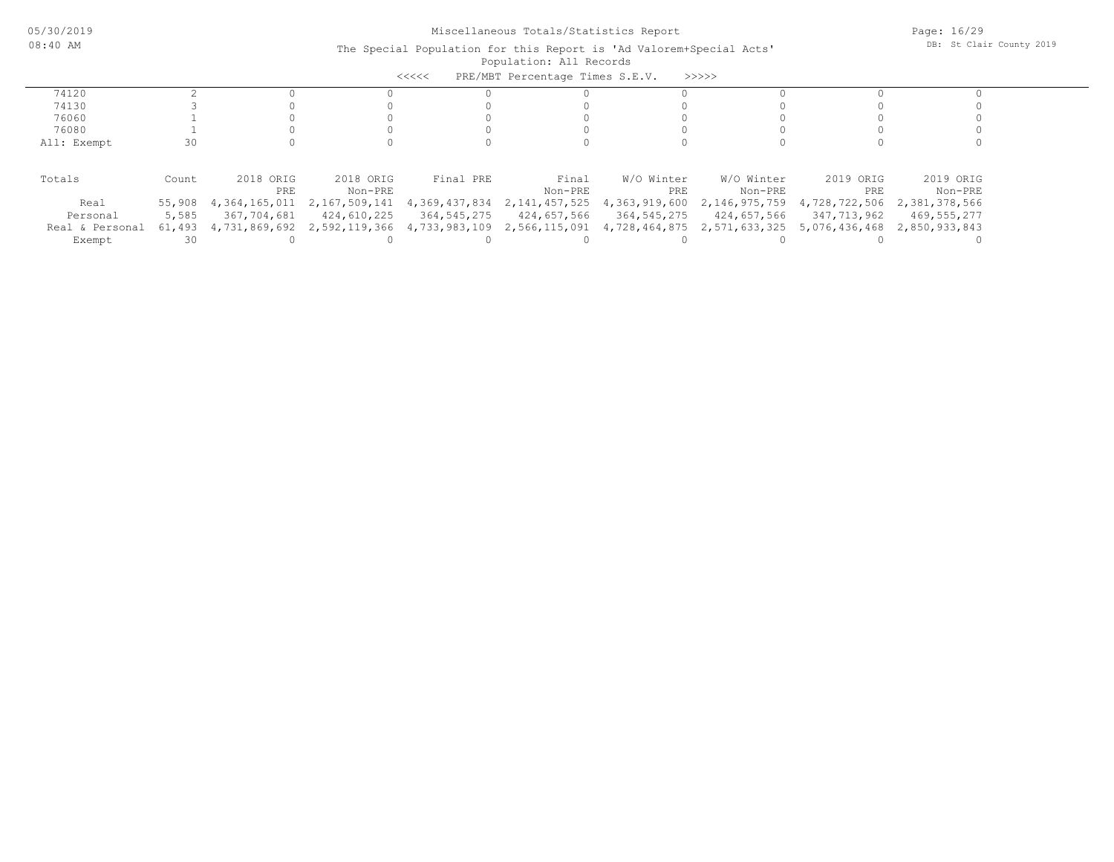| PRE/MBT Percentage Times S.E.V.<br><<<<<br>>>>>> |        |               |                                           |               |                  |               |               |                             |                             |  |  |
|--------------------------------------------------|--------|---------------|-------------------------------------------|---------------|------------------|---------------|---------------|-----------------------------|-----------------------------|--|--|
| 74120                                            |        |               |                                           |               |                  |               |               |                             |                             |  |  |
| 74130                                            |        |               |                                           |               |                  |               |               |                             |                             |  |  |
| 76060                                            |        |               |                                           |               |                  |               |               |                             |                             |  |  |
| 76080                                            |        |               |                                           |               |                  |               |               |                             |                             |  |  |
| All: Exempt                                      | 30     |               |                                           |               |                  |               |               |                             |                             |  |  |
|                                                  |        |               |                                           |               |                  |               |               |                             |                             |  |  |
| Totals                                           | Count  | 2018 ORIG     | 2018 ORIG                                 | Final PRE     | Final            | W/O Winter    | W/O Winter    | 2019 ORIG                   | 2019 ORIG                   |  |  |
|                                                  |        | PRE           | Non-PRE                                   |               | Non-PRE          | PRE           | Non-PRE       | PRE                         | Non-PRE                     |  |  |
| Real                                             | 55,908 | 4,364,165,011 | 2,167,509,141                             | 4,369,437,834 | 2, 141, 457, 525 | 4,363,919,600 | 2,146,975,759 |                             | 4,728,722,506 2,381,378,566 |  |  |
| Personal                                         | 5,585  | 367,704,681   | 424,610,225                               | 364,545,275   | 424,657,566      | 364,545,275   | 424,657,566   | 347,713,962                 | 469,555,277                 |  |  |
| Real & Personal                                  | 61,493 |               | 4,731,869,692 2,592,119,366 4,733,983,109 |               | 2,566,115,091    | 4,728,464,875 |               | 2,571,633,325 5,076,436,468 | 2,850,933,843               |  |  |
| Exempt                                           | 30     |               |                                           |               |                  |               |               |                             |                             |  |  |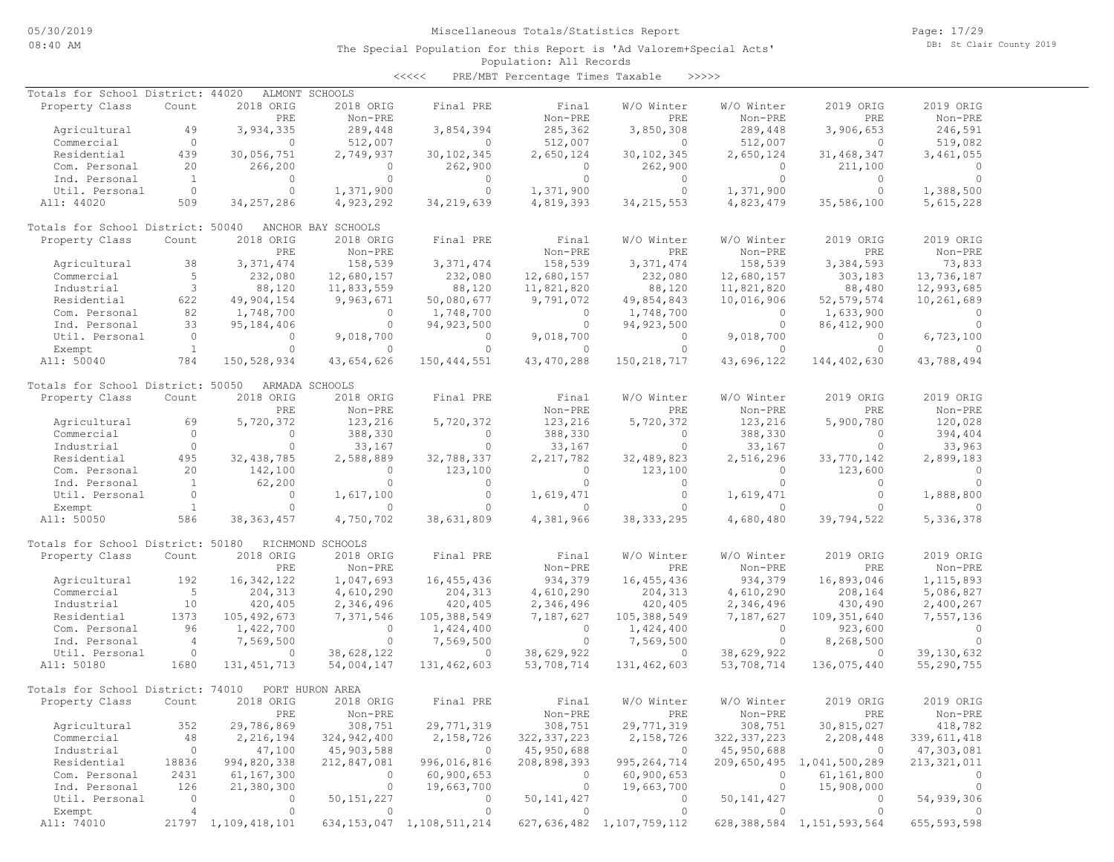Page: 17/29 DB: St Clair County 2019

#### Population: All Records The Special Population for this Report is 'Ad Valorem+Special Acts'

<<<<< PRE/MBT Percentage Times Taxable >>>>>

| Totals for School District: 44020 |                |                     | ALMONT SCHOOLS     |                                |               |                                |               |                                |               |
|-----------------------------------|----------------|---------------------|--------------------|--------------------------------|---------------|--------------------------------|---------------|--------------------------------|---------------|
| Property Class                    | Count          | 2018 ORIG           | 2018 ORIG          | Final PRE                      | Final         | W/O Winter                     | W/O Winter    | 2019 ORIG                      | 2019 ORIG     |
|                                   |                | PRE                 | Non-PRE            |                                | Non-PRE       | PRE                            | Non-PRE       | PRE                            | Non-PRE       |
| Agricultural                      | 49             | 3,934,335           | 289,448            | 3,854,394                      | 285,362       | 3,850,308                      | 289,448       | 3,906,653                      | 246,591       |
| Commercial                        | $\circ$        | $\circ$             | 512,007            | $\circ$                        | 512,007       | $\circ$                        | 512,007       | $\Omega$                       | 519,082       |
| Residential                       | 439            | 30,056,751          | 2,749,937          | 30, 102, 345                   | 2,650,124     | 30, 102, 345                   | 2,650,124     | 31, 468, 347                   | 3,461,055     |
|                                   |                |                     |                    |                                |               |                                |               |                                |               |
| Com. Personal                     | 20             | 266,200             | $\Omega$           | 262,900                        | $\Omega$      | 262,900                        | 0             | 211,100                        | $\Omega$      |
| Ind. Personal                     | $\overline{1}$ | $\circ$             | $\circ$            | $\circ$                        | $\circ$       | $\Omega$                       | $\circ$       | $\Omega$                       | $\circ$       |
| Util. Personal                    | $\circ$        | $\circ$             | 1,371,900          | $\circ$                        | 1,371,900     | $\circ$                        | 1,371,900     | $\circ$                        | 1,388,500     |
| All: 44020                        | 509            | 34, 257, 286        | 4,923,292          | 34, 219, 639                   | 4,819,393     | 34, 215, 553                   | 4,823,479     | 35,586,100                     | 5,615,228     |
| Totals for School District: 50040 |                |                     | ANCHOR BAY SCHOOLS |                                |               |                                |               |                                |               |
| Property Class                    | Count          | 2018 ORIG           | 2018 ORIG          | Final PRE                      | Final         | W/O Winter                     | W/O Winter    | 2019 ORIG                      | 2019 ORIG     |
|                                   |                | PRE                 | Non-PRE            |                                | Non-PRE       | PRE                            | Non-PRE       | PRE                            | Non-PRE       |
| Agricultural                      | 38             | 3, 371, 474         | 158,539            | 3, 371, 474                    | 158,539       | 3, 371, 474                    | 158,539       | 3,384,593                      | 73,833        |
|                                   | 5              |                     |                    |                                |               |                                |               |                                |               |
| Commercial                        |                | 232,080             | 12,680,157         | 232,080                        | 12,680,157    | 232,080                        | 12,680,157    | 303,183                        | 13,736,187    |
| Industrial                        | 3              | 88,120              | 11,833,559         | 88,120                         | 11,821,820    | 88,120                         | 11,821,820    | 88,480                         | 12,993,685    |
| Residential                       | 622            | 49,904,154          | 9,963,671          | 50,080,677                     | 9,791,072     | 49,854,843                     | 10,016,906    | 52, 579, 574                   | 10,261,689    |
| Com. Personal                     | 82             | 1,748,700           | 0                  | 1,748,700                      | $\circ$       | 1,748,700                      | 0             | 1,633,900                      | 0             |
| Ind. Personal                     | 33             | 95,184,406          | $\circ$            | 94,923,500                     | $\circ$       | 94, 923, 500                   | $\mathbf{0}$  | 86, 412, 900                   | $\Omega$      |
| Util. Personal                    | $\circ$        | $\circ$             | 9,018,700          | $\circ$                        | 9,018,700     | $\circ$                        | 9,018,700     | $\circ$                        | 6,723,100     |
|                                   | <sup>1</sup>   | $\Omega$            | $\mathbf{0}$       | $\mathbf{0}$                   | $\circ$       | $\Omega$                       | $\Omega$      | $\Omega$                       | $\cap$        |
| Exempt                            |                |                     |                    |                                |               |                                |               |                                |               |
| All: 50040                        | 784            | 150,528,934         | 43,654,626         | 150, 444, 551                  | 43, 470, 288  | 150, 218, 717                  | 43,696,122    | 144,402,630                    | 43,788,494    |
| Totals for School District: 50050 |                |                     | ARMADA SCHOOLS     |                                |               |                                |               |                                |               |
| Property Class                    | Count          | 2018 ORIG           | 2018 ORIG          | Final PRE                      | Final         | W/O Winter                     | W/O Winter    | 2019 ORIG                      | 2019 ORIG     |
|                                   |                | PRE                 | Non-PRE            |                                | Non-PRE       | PRE                            | Non-PRE       | PRE                            | Non-PRE       |
| Agricultural                      | 69             | 5,720,372           | 123,216            | 5,720,372                      | 123,216       | 5,720,372                      | 123,216       | 5,900,780                      | 120,028       |
| Commercial                        | $\circ$        | $\circ$             | 388,330            | $\circ$                        | 388,330       | $\circ$                        | 388,330       | $\circ$                        | 394,404       |
| Industrial                        | $\circ$        | $\circ$             | 33,167             | $\circ$                        | 33,167        | $\circ$                        | 33,167        | $\mathbf{0}$                   |               |
|                                   |                |                     |                    |                                |               |                                |               |                                | 33,963        |
| Residential                       | 495            | 32, 438, 785        | 2,588,889          | 32,788,337                     | 2, 217, 782   | 32,489,823                     | 2,516,296     | 33,770,142                     | 2,899,183     |
| Com. Personal                     | 20             | 142,100             | $\Omega$           | 123,100                        | $\circ$       | 123,100                        | 0             | 123,600                        | $\Omega$      |
| Ind. Personal                     | <sup>1</sup>   | 62,200              | $\circ$            | $\circ$                        | $\circ$       | $\circ$                        | $\circ$       | $\Omega$                       | $\Omega$      |
| Util. Personal                    | $\circ$        | $\circ$             | 1,617,100          | $\circ$                        | 1,619,471     | $\circ$                        | 1,619,471     | $\circ$                        | 1,888,800     |
| Exempt                            | <sup>1</sup>   | $\Omega$            | $\Omega$           | $\Omega$                       | $\circ$       | $\Omega$                       | $\mathbf{0}$  | $\Omega$                       | $\Omega$      |
| All: 50050                        | 586            | 38, 363, 457        | 4,750,702          | 38,631,809                     | 4,381,966     | 38, 333, 295                   | 4,680,480     | 39,794,522                     | 5,336,378     |
|                                   |                |                     |                    |                                |               |                                |               |                                |               |
| Totals for School District: 50180 |                |                     | RICHMOND SCHOOLS   |                                |               |                                |               |                                |               |
| Property Class                    | Count          | 2018 ORIG           | 2018 ORIG          | Final PRE                      | Final         | W/O Winter                     | W/O Winter    | 2019 ORIG                      | 2019 ORIG     |
|                                   |                | PRE                 | Non-PRE            |                                | Non-PRE       | PRE                            | Non-PRE       | PRE                            | Non-PRE       |
| Agricultural                      | 192            | 16, 342, 122        | 1,047,693          | 16,455,436                     | 934,379       | 16, 455, 436                   | 934,379       | 16,893,046                     | 1, 115, 893   |
|                                   | 5              |                     |                    |                                |               |                                | 4,610,290     | 208,164                        |               |
| Commercial                        |                | 204, 313            | 4,610,290          | 204, 313                       | 4,610,290     | 204,313                        |               |                                | 5,086,827     |
| Industrial                        | 10             | 420,405             | 2,346,496          | 420,405                        | 2,346,496     | 420,405                        | 2,346,496     | 430,490                        | 2,400,267     |
| Residential                       | 1373           | 105, 492, 673       | 7,371,546          | 105,388,549                    | 7,187,627     | 105,388,549                    | 7,187,627     | 109, 351, 640                  | 7,557,136     |
| Com. Personal                     | 96             | 1,422,700           | $\circ$            | 1,424,400                      | $\circ$       | 1,424,400                      | $\circ$       | 923,600                        | $\circ$       |
| Ind. Personal                     | $\overline{4}$ | 7,569,500           | $\circ$            | 7,569,500                      | $\circ$       | 7,569,500                      | $\circ$       | 8,268,500                      | $\circ$       |
| Util. Personal                    | $\circ$        | $\circ$             | 38,628,122         | $\circ$                        | 38,629,922    | $\circ$                        | 38,629,922    | 0                              | 39, 130, 632  |
| All: 50180                        | 1680           | 131, 451, 713       | 54,004,147         | 131, 462, 603                  | 53,708,714    | 131,462,603                    | 53,708,714    | 136,075,440                    | 55,290,755    |
|                                   |                |                     |                    |                                |               |                                |               |                                |               |
| Totals for School District: 74010 |                |                     | PORT HURON AREA    |                                |               |                                |               |                                |               |
| Property Class                    | Count          | 2018 ORIG           | 2018 ORIG          | Final PRE                      | Final         | W/O Winter                     | W/O Winter    | 2019 ORIG                      | 2019 ORIG     |
|                                   |                | PRE                 | Non-PRE            |                                | Non-PRE       | PRE                            | Non-PRE       | PRE                            | Non-PRE       |
| Agricultural                      | 352            | 29,786,869          | 308,751            | 29,771,319                     | 308,751       | 29,771,319                     | 308,751       | 30,815,027                     | 418,782       |
| Commercial                        | 48             | 2,216,194           | 324,942,400        | 2,158,726                      | 322, 337, 223 | 2,158,726                      | 322, 337, 223 | 2,208,448                      | 339,611,418   |
| Industrial                        | $\circ$        | 47,100              | 45,903,588         | $\overline{0}$                 | 45,950,688    | $\overline{0}$                 | 45,950,688    | $\overline{0}$                 | 47,303,081    |
|                                   |                |                     |                    |                                |               |                                |               |                                |               |
| Residential                       | 18836          | 994,820,338         | 212,847,081        | 996,016,816                    | 208,898,393   | 995, 264, 714                  |               | 209,650,495 1,041,500,289      | 213, 321, 011 |
| Com. Personal                     | 2431           | 61,167,300          | $\Omega$           | 60,900,653                     | $\circ$       | 60,900,653                     | $\circ$       | 61,161,800                     | 0             |
| Ind. Personal                     | 126            | 21,380,300          | 0                  | 19,663,700                     | $\circ$       | 19,663,700                     | $\circ$       | 15,908,000                     |               |
| Util. Personal                    | $\circ$        | 0                   | 50, 151, 227       | $\circ$                        | 50, 141, 427  | $\circ$                        | 50, 141, 427  | $\circ$                        | 54,939,306    |
| Exempt                            | $\overline{4}$ | $\circ$             | $\circ$            | $\Omega$                       | $\circ$       | $\circ$                        | $\mathbf{0}$  | $\Omega$                       |               |
| All: 74010                        |                | 21797 1,109,418,101 |                    | 634, 153, 047 1, 108, 511, 214 |               | 627, 636, 482 1, 107, 759, 112 |               | 628, 388, 584 1, 151, 593, 564 | 655, 593, 598 |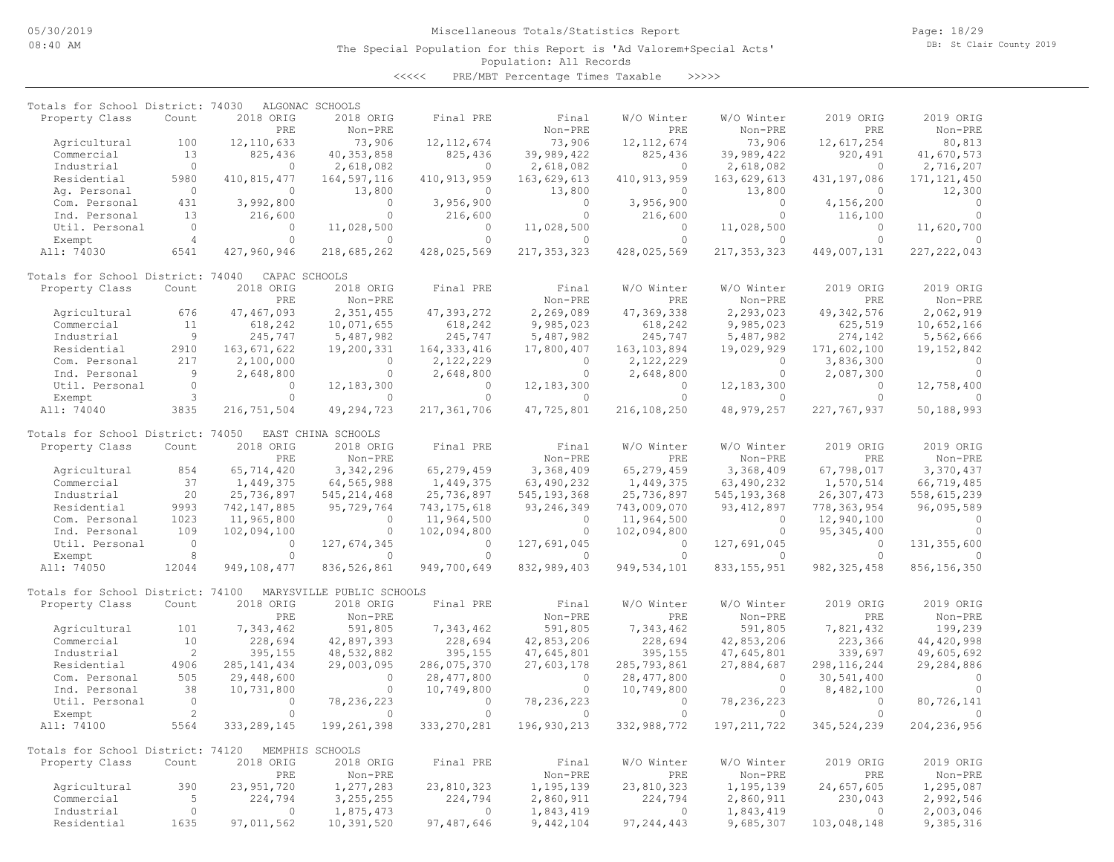Page: 18/29 DB: St Clair County 2019

#### Population: All Records The Special Population for this Report is 'Ad Valorem+Special Acts'

<<<<< PRE/MBT Percentage Times Taxable >>>>>

| Totals for School District: 74030 |                 |                         | ALGONAC SCHOOLS            |                           |                            |                       |                        |                       |                        |
|-----------------------------------|-----------------|-------------------------|----------------------------|---------------------------|----------------------------|-----------------------|------------------------|-----------------------|------------------------|
| Property Class                    | Count           | 2018 ORIG               | 2018 ORIG                  | Final PRE                 | Final                      | W/O Winter            | W/O Winter             | 2019 ORIG             | 2019 ORIG              |
|                                   |                 | PRE                     | Non-PRE                    |                           | Non-PRE                    | PRE                   | Non-PRE                | PRE                   | Non-PRE                |
| Agricultural                      | 100             | 12, 110, 633            | 73,906                     | 12, 112, 674              | 73,906                     | 12, 112, 674          | 73,906                 | 12,617,254            | 80,813                 |
| Commercial                        | 13              | 825,436                 | 40, 353, 858               | 825,436                   | 39,989,422                 | 825,436               | 39,989,422             | 920,491               | 41,670,573             |
| Industrial                        | $\circ$         | $\circ$                 | 2,618,082                  | $\Omega$                  | 2,618,082                  | 0                     | 2,618,082              | $\circ$               | 2,716,207              |
| Residential                       | 5980<br>$\circ$ | 410,815,477<br>$\Omega$ | 164,597,116                | 410, 913, 959<br>$\Omega$ | 163,629,613                | 410, 913, 959         | 163,629,613            | 431,197,086           | 171, 121, 450          |
| Aq. Personal<br>Com. Personal     | 431             | 3,992,800               | 13,800<br>$\circ$          | 3,956,900                 | 13,800<br>$\circ$          | $\circ$<br>3,956,900  | 13,800<br>$\circ$      | $\circ$<br>4,156,200  | 12,300<br>$\circ$      |
| Ind. Personal                     | 13              | 216,600                 | $\circ$                    | 216,600                   | $\Omega$                   | 216,600               | $\Omega$               | 116,100               | $\Omega$               |
| Util. Personal                    | $\circ$         | $\circ$                 | 11,028,500                 | $\circ$                   | 11,028,500                 | $\circ$               | 11,028,500             | $\circ$               | 11,620,700             |
| Exempt                            | $\overline{4}$  | $\Omega$                | $\circ$                    | $\Omega$                  | $\circ$                    | $\circ$               | $\Omega$               | $\circ$               | $\cap$                 |
| All: 74030                        | 6541            | 427,960,946             | 218,685,262                | 428,025,569               | 217, 353, 323              | 428,025,569           | 217, 353, 323          | 449,007,131           | 227, 222, 043          |
|                                   |                 |                         |                            |                           |                            |                       |                        |                       |                        |
| Totals for School District: 74040 |                 | CAPAC SCHOOLS           |                            |                           |                            |                       |                        |                       |                        |
| Property Class                    | Count           | 2018 ORIG               | 2018 ORIG                  | Final PRE                 | Final                      | W/O Winter            | W/O Winter             | 2019 ORIG             | 2019 ORIG              |
|                                   |                 | PRE                     | $Non-PRE$                  |                           | $Non-PRE$                  | PRE                   | Non-PRE                | PRE                   | Non-PRE                |
| Agricultural                      | 676             | 47, 467, 093            | 2,351,455                  | 47,393,272                | 2,269,089                  | 47,369,338            | 2,293,023              | 49, 342, 576          | 2,062,919              |
| Commercial                        | 11              | 618,242                 | 10,071,655                 | 618,242                   | 9,985,023                  | 618,242               | 9,985,023              | 625,519               | 10,652,166             |
| Industrial                        | 9               | 245,747                 | 5,487,982                  | 245,747                   | 5,487,982                  | 245,747               | 5,487,982              | 274,142               | 5,562,666              |
| Residential                       | 2910            | 163,671,622             | 19,200,331                 | 164, 333, 416             | 17,800,407                 | 163, 103, 894         | 19,029,929             | 171,602,100           | 19, 152, 842           |
| Com. Personal                     | 217             | 2,100,000               | $\mathbf{0}$               | 2,122,229                 | $\Omega$                   | 2,122,229             | $\Omega$               | 3,836,300             | $\Omega$               |
| Ind. Personal                     | $\overline{9}$  | 2,648,800               | $\Omega$                   | 2,648,800                 | $\Omega$                   | 2,648,800             | $\Omega$               | 2,087,300             | $\Omega$               |
| Util. Personal                    | $\circ$<br>3    | $\circ$<br>$\circ$      | 12, 183, 300               | $\circ$<br>$\circ$        | 12, 183, 300               | $\circ$<br>$\circ$    | 12, 183, 300           | $\circ$<br>$\circ$    | 12,758,400             |
| Exempt<br>All: 74040              | 3835            | 216,751,504             | $\mathbf{0}$<br>49,294,723 | 217,361,706               | $\mathbf{0}$<br>47,725,801 | 216,108,250           | 0<br>48, 979, 257      | 227, 767, 937         | 50,188,993             |
|                                   |                 |                         |                            |                           |                            |                       |                        |                       |                        |
| Totals for School District: 74050 |                 |                         | EAST CHINA SCHOOLS         |                           |                            |                       |                        |                       |                        |
| Property Class                    | Count           | 2018 ORIG               | 2018 ORIG                  | Final PRE                 | Final                      | W/O Winter            | W/O Winter             | 2019 ORIG             | 2019 ORIG              |
|                                   |                 | PRE                     | Non-PRE                    |                           | Non-PRE                    | PRE                   | Non-PRE                | PRE                   | Non-PRE                |
| Agricultural                      | 854             | 65,714,420              | 3,342,296                  | 65, 279, 459              | 3,368,409                  | 65,279,459            | 3,368,409              | 67,798,017            | 3,370,437              |
| Commercial                        | 37              | 1,449,375               | 64,565,988                 | 1,449,375                 | 63,490,232                 | 1,449,375             | 63,490,232             | 1,570,514             | 66,719,485             |
| Industrial                        | 20              | 25,736,897              | 545, 214, 468              | 25,736,897                | 545, 193, 368              | 25,736,897            | 545, 193, 368          | 26, 307, 473          | 558,615,239            |
| Residential                       | 9993            | 742, 147, 885           | 95,729,764                 | 743, 175, 618             | 93, 246, 349               | 743,009,070           | 93, 412, 897           | 778, 363, 954         | 96,095,589             |
| Com. Personal                     | 1023            | 11,965,800              | 0                          | 11,964,500                | $\circ$                    | 11,964,500            | $\Omega$               | 12,940,100            | $\Omega$               |
| Ind. Personal                     | 109             | 102,094,100             | $\circ$                    | 102,094,800               | $\circ$                    | 102,094,800           | $\circ$                | 95, 345, 400          | $\Omega$               |
| Util. Personal                    | $\circ$         | $\circ$                 | 127,674,345                | $\circ$                   | 127,691,045                | $\circ$               | 127,691,045            | $\circ$               | 131, 355, 600          |
| Exempt                            | $\,8\,$         | $\circ$                 | $\mathbf{0}$               | $\circ$                   | $\circ$                    | $\circ$               | $\circ$                | $\circ$               | $\circ$                |
| All: 74050                        | 12044           | 949,108,477             | 836,526,861                | 949,700,649               | 832,989,403                | 949,534,101           | 833, 155, 951          | 982, 325, 458         | 856, 156, 350          |
| Totals for School District: 74100 |                 |                         | MARYSVILLE PUBLIC SCHOOLS  |                           |                            |                       |                        |                       |                        |
| Property Class                    | Count           | 2018 ORIG               | 2018 ORIG                  | Final PRE                 | Final                      | W/O Winter            | W/O Winter             | 2019 ORIG             | 2019 ORIG              |
|                                   |                 | PRE                     | Non-PRE                    |                           | Non-PRE                    | PRE                   | Non-PRE                | PRE                   | Non-PRE                |
| Agricultural                      | 101             | 7,343,462               | 591,805                    | 7,343,462                 | 591,805                    | 7,343,462             | 591,805                | 7,821,432             | 199,239                |
| Commercial                        | 10              | 228,694                 | 42,897,393                 | 228,694                   | 42,853,206                 | 228,694               | 42,853,206             | 223,366               | 44,420,998             |
| Industrial                        | 2               | 395,155                 | 48,532,882                 | 395,155                   | 47,645,801                 | 395,155               | 47,645,801             | 339,697               | 49,605,692             |
| Residential                       | 4906            | 285, 141, 434           | 29,003,095                 | 286,075,370               | 27,603,178                 | 285,793,861           | 27,884,687             | 298, 116, 244         | 29,284,886             |
| Com. Personal                     | 505             | 29,448,600              | $\mathbf{0}$               | 28, 477, 800              | $\circ$                    | 28, 477, 800          | $\mathbf{0}$           | 30,541,400            | $\cap$                 |
| Ind. Personal                     | 38              | 10,731,800              | $\circ$                    | 10,749,800                | $\circ$                    | 10,749,800            | $\mathbf{0}$           | 8,482,100             | $\Omega$               |
| Util. Personal                    | $\circ$         | $\circ$                 | 78,236,223                 | $\circ$                   | 78, 236, 223               | $\circ$               | 78, 236, 223           | $\circ$               | 80,726,141             |
| Exempt                            | $\sqrt{2}$      | $\Omega$                | $\Omega$                   | $\Omega$                  | $\Omega$                   | $\Omega$              | $\Omega$               | $\Omega$              |                        |
| All: 74100                        | 5564            | 333, 289, 145           | 199,261,398                | 333, 270, 281             | 196, 930, 213              | 332,988,772           | 197, 211, 722          | 345, 524, 239         | 204, 236, 956          |
|                                   |                 |                         |                            |                           |                            |                       |                        |                       |                        |
| Totals for School District: 74120 |                 |                         | MEMPHIS SCHOOLS            |                           |                            |                       |                        |                       |                        |
| Property Class                    | Count           | 2018 ORIG               | 2018 ORIG                  | Final PRE                 | Final                      | W/O Winter            | W/O Winter             | 2019 ORIG             | 2019 ORIG              |
|                                   |                 | PRE                     | Non-PRE                    |                           | Non-PRE                    | PRE                   | Non-PRE                | PRE                   | Non-PRE                |
| Agricultural<br>Commercial        | 390<br>5        | 23, 951, 720<br>224,794 | 1,277,283                  | 23,810,323<br>224,794     | 1,195,139                  | 23,810,323<br>224,794 | 1,195,139              | 24,657,605<br>230,043 | 1,295,087              |
| Industrial                        | $\circ$         | $\circ$                 | 3, 255, 255<br>1,875,473   | $\circ$                   | 2,860,911<br>1,843,419     | $\circ$               | 2,860,911<br>1,843,419 | $\circ$               | 2,992,546<br>2,003,046 |
| Residential                       | 1635            | 97,011,562              | 10,391,520                 | 97, 487, 646              | 9,442,104                  | 97, 244, 443          | 9,685,307              | 103,048,148           | 9,385,316              |
|                                   |                 |                         |                            |                           |                            |                       |                        |                       |                        |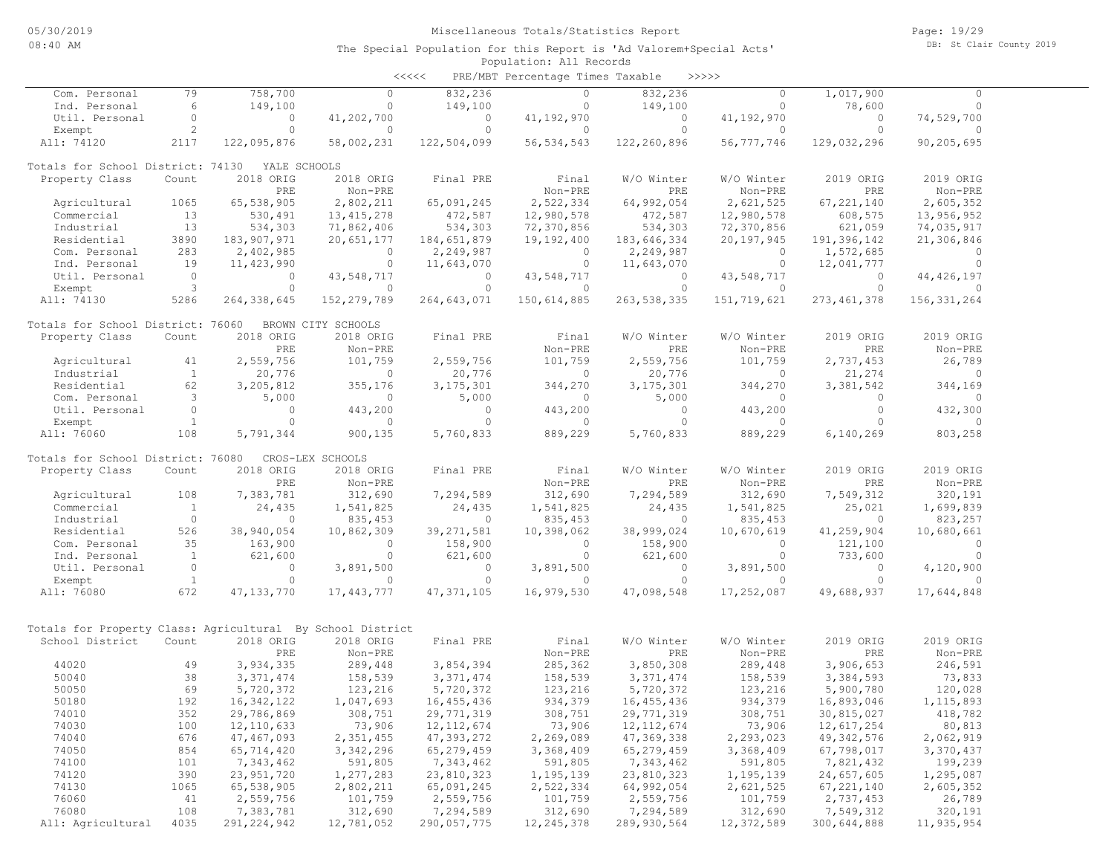| くくくくく | PRE/MBT Percentage Times Taxable |  |  | >>>>> |
|-------|----------------------------------|--|--|-------|
|-------|----------------------------------|--|--|-------|

| Com. Personal                                              | 79             | 758,700       | 0                  | 832,236      | $\circ$      | 832,236       | $\circ$     | 1,017,900     | $\Omega$      |  |
|------------------------------------------------------------|----------------|---------------|--------------------|--------------|--------------|---------------|-------------|---------------|---------------|--|
| Ind. Personal                                              | 6              | 149,100       | 0                  | 149,100      | $\circ$      | 149,100       | $\circ$     | 78,600        | 0             |  |
| Util. Personal                                             | $\circ$        | 0             | 41,202,700         | $\circ$      | 41, 192, 970 | $\circ$       | 41,192,970  | $\circ$       | 74,529,700    |  |
| Exempt                                                     | $\overline{c}$ | $\circ$       | $\Omega$           | $\Omega$     | $\circ$      | $\circ$       | $\circ$     | $\circ$       | $\Omega$      |  |
| All: 74120                                                 | 2117           | 122,095,876   | 58,002,231         | 122,504,099  | 56, 534, 543 | 122,260,896   | 56,777,746  | 129,032,296   | 90,205,695    |  |
| Totals for School District: 74130                          |                | YALE SCHOOLS  |                    |              |              |               |             |               |               |  |
| Property Class                                             | Count          | 2018 ORIG     | 2018 ORIG          | Final PRE    | Final        | W/O Winter    | W/O Winter  | 2019 ORIG     | 2019 ORIG     |  |
|                                                            |                | PRE           | Non-PRE            |              | Non-PRE      | PRE           | Non-PRE     | PRE           | Non-PRE       |  |
| Agricultural                                               | 1065           | 65,538,905    | 2,802,211          | 65,091,245   | 2,522,334    | 64,992,054    | 2,621,525   | 67, 221, 140  | 2,605,352     |  |
| Commercial                                                 | 13             | 530,491       | 13, 415, 278       | 472,587      | 12,980,578   | 472,587       | 12,980,578  | 608,575       | 13,956,952    |  |
| Industrial                                                 | 13             | 534,303       | 71,862,406         | 534,303      | 72,370,856   | 534,303       | 72,370,856  | 621,059       | 74,035,917    |  |
| Residential                                                | 3890           | 183,907,971   | 20,651,177         | 184,651,879  | 19,192,400   | 183,646,334   | 20,197,945  | 191,396,142   | 21,306,846    |  |
| Com. Personal                                              | 283            | 2,402,985     | $\circ$            | 2,249,987    | $\mathbf{0}$ | 2,249,987     | $\circ$     | 1,572,685     | $\circ$       |  |
| Ind. Personal                                              | 19             | 11,423,990    | $\circ$            | 11,643,070   | $\mathbf{0}$ | 11,643,070    | $\circ$     | 12,041,777    | $\circ$       |  |
| Util. Personal                                             | $\circ$        | 0             | 43,548,717         | $\circ$      | 43,548,717   | $\circ$       | 43,548,717  | 0             | 44, 426, 197  |  |
| Exempt                                                     | 3              | $\circ$       | $\circ$            | $\Omega$     | $\Omega$     | $\circ$       | $\circ$     | $\circ$       | $\Omega$      |  |
| All: 74130                                                 | 5286           | 264, 338, 645 | 152, 279, 789      | 264,643,071  | 150,614,885  | 263, 538, 335 | 151,719,621 | 273, 461, 378 | 156, 331, 264 |  |
| Totals for School District: 76060                          |                |               | BROWN CITY SCHOOLS |              |              |               |             |               |               |  |
| Property Class                                             | Count          | 2018 ORIG     | 2018 ORIG          | Final PRE    | Final        | W/O Winter    | W/O Winter  | 2019 ORIG     | 2019 ORIG     |  |
|                                                            |                | PRE           | Non-PRE            |              | Non-PRE      | PRE           | Non-PRE     | PRE           | Non-PRE       |  |
| Agricultural                                               | 41             | 2,559,756     | 101,759            | 2,559,756    | 101,759      | 2,559,756     | 101,759     | 2,737,453     | 26,789        |  |
| Industrial                                                 | $\mathbf{1}$   | 20,776        | 0                  | 20,776       | $\circ$      | 20,776        | $\circ$     | 21,274        | $\circ$       |  |
| Residential                                                | 62             | 3,205,812     | 355,176            | 3, 175, 301  | 344,270      | 3, 175, 301   | 344,270     | 3,381,542     | 344,169       |  |
| Com. Personal                                              | 3              | 5,000         | 0                  | 5,000        | 0            | 5,000         | $\circ$     | $\circ$       | $\circ$       |  |
| Util. Personal                                             | $\circ$        | $\mathbf{0}$  | 443,200            | $\circ$      | 443,200      | $\circ$       | 443,200     | $\circ$       | 432,300       |  |
| Exempt                                                     | $\mathbf{1}$   | $\Omega$      | $\circ$            | $\Omega$     | $\Omega$     | $\Omega$      | $\Omega$    | $\Omega$      | $\Omega$      |  |
| All: 76060                                                 | 108            | 5,791,344     | 900,135            | 5,760,833    | 889,229      | 5,760,833     | 889,229     | 6,140,269     | 803,258       |  |
| Totals for School District: 76080                          |                |               | CROS-LEX SCHOOLS   |              |              |               |             |               |               |  |
| Property Class                                             | Count          | 2018 ORIG     | 2018 ORIG          | Final PRE    | Final        | W/O Winter    | W/O Winter  | 2019 ORIG     | 2019 ORIG     |  |
|                                                            |                | PRE           | Non-PRE            |              | Non-PRE      | PRE           | Non-PRE     | PRE           | Non-PRE       |  |
| Agricultural                                               | 108            | 7,383,781     | 312,690            | 7,294,589    | 312,690      | 7,294,589     | 312,690     | 7,549,312     | 320,191       |  |
| Commercial                                                 | $\mathbf{1}$   | 24,435        | 1,541,825          | 24,435       | 1,541,825    | 24,435        | 1,541,825   | 25,021        | 1,699,839     |  |
| Industrial                                                 | $\circ$        | $\circ$       | 835,453            | 0            | 835, 453     | 0             | 835,453     | $\circ$       | 823,257       |  |
| Residential                                                | 526            | 38,940,054    | 10,862,309         | 39, 271, 581 | 10,398,062   | 38,999,024    | 10,670,619  | 41,259,904    | 10,680,661    |  |
| Com. Personal                                              | 35             | 163,900       | $\Omega$           | 158,900      | $\Omega$     | 158,900       | $\Omega$    | 121,100       | $\Omega$      |  |
| Ind. Personal                                              | $\mathbf{1}$   | 621,600       | $\circ$            | 621,600      | $\circ$      | 621,600       | $\circ$     | 733,600       | $\circ$       |  |
| Util. Personal                                             | $\circ$        | $\circ$       | 3,891,500          | $\circ$      | 3,891,500    | $\circ$       | 3,891,500   | $\circ$       | 4,120,900     |  |
| Exempt                                                     | $\mathbf{1}$   | $\circ$       | $\circ$            | $\circ$      | $\circ$      | $\circ$       | $\Omega$    | $\Omega$      | $\bigcap$     |  |
| All: 76080                                                 | 672            | 47, 133, 770  | 17,443,777         | 47, 371, 105 | 16,979,530   | 47,098,548    | 17,252,087  | 49,688,937    | 17,644,848    |  |
|                                                            |                |               |                    |              |              |               |             |               |               |  |
| Totals for Property Class: Agricultural By School District |                |               |                    |              |              |               |             |               |               |  |
| School District                                            | Count          | 2018 ORIG     | 2018 ORIG          | Final PRE    | Final        | W/O Winter    | W/O Winter  | 2019 ORIG     | 2019 ORIG     |  |
|                                                            |                | PRE           | Non-PRE            |              | Non-PRE      | PRE           | Non-PRE     | PRE           | Non-PRE       |  |
| 44020                                                      | 49             | 3,934,335     | 289,448            | 3,854,394    | 285,362      | 3,850,308     | 289,448     | 3,906,653     | 246,591       |  |
| 50040                                                      | 38             | 3, 371, 474   | 158,539            | 3, 371, 474  | 158,539      | 3, 371, 474   | 158,539     | 3,384,593     | 73,833        |  |
| 50050                                                      | 69             | 5,720,372     | 123,216            | 5,720,372    | 123,216      | 5,720,372     | 123,216     | 5,900,780     | 120,028       |  |
| 50180                                                      | 192            | 16, 342, 122  | 1,047,693          | 16,455,436   | 934,379      | 16, 455, 436  | 934,379     | 16,893,046    | 1, 115, 893   |  |
| 74010                                                      | 352            | 29,786,869    | 308,751            | 29,771,319   | 308,751      | 29,771,319    | 308,751     | 30,815,027    | 418,782       |  |
| 74030                                                      | 100            | 12, 110, 633  | 73,906             | 12, 112, 674 | 73,906       | 12, 112, 674  | 73,906      | 12,617,254    | 80,813        |  |
| 74040                                                      | 676            | 47, 467, 093  | 2,351,455          | 47,393,272   | 2,269,089    | 47, 369, 338  | 2,293,023   | 49, 342, 576  | 2,062,919     |  |
| 74050                                                      | 854            | 65,714,420    | 3,342,296          | 65,279,459   | 3,368,409    | 65,279,459    | 3,368,409   | 67,798,017    | 3,370,437     |  |
| 74100                                                      | 101            | 7,343,462     | 591,805            | 7,343,462    | 591,805      | 7,343,462     | 591,805     | 7,821,432     | 199,239       |  |
| 74120                                                      | 390            | 23, 951, 720  | 1,277,283          | 23,810,323   | 1,195,139    | 23,810,323    | 1,195,139   | 24,657,605    | 1,295,087     |  |
| 74130                                                      | 1065           | 65,538,905    | 2,802,211          | 65,091,245   | 2,522,334    | 64,992,054    | 2,621,525   | 67, 221, 140  | 2,605,352     |  |
| 76060                                                      | 41             | 2,559,756     | 101,759            | 2,559,756    | 101,759      | 2,559,756     | 101,759     | 2,737,453     | 26,789        |  |
| 76080                                                      | 108            | 7,383,781     | 312,690            | 7,294,589    | 312,690      | 7,294,589     | 312,690     | 7,549,312     | 320,191       |  |
| All: Agricultural                                          | 4035           | 291, 224, 942 | 12,781,052         | 290,057,775  | 12, 245, 378 | 289, 930, 564 | 12,372,589  | 300,644,888   | 11,935,954    |  |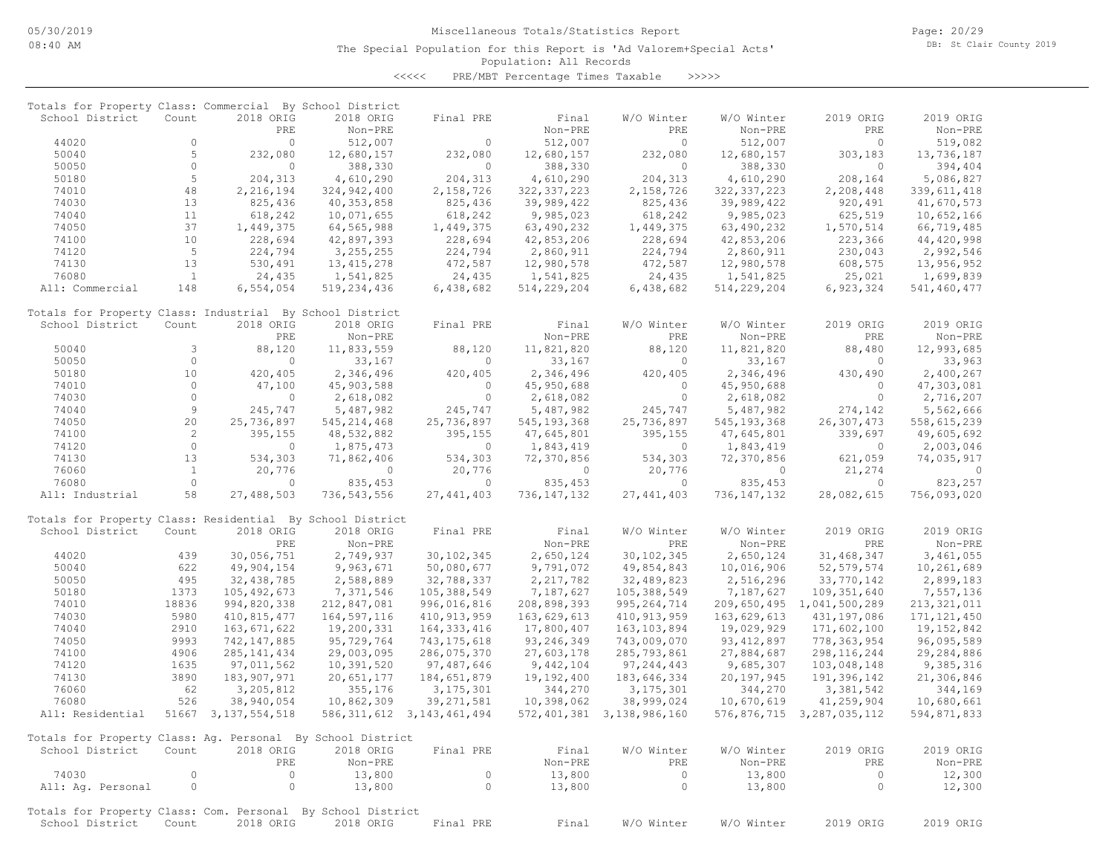<<<<< PRE/MBT Percentage Times Taxable >>>>>

| Totals for Property Class: Commercial By School District                       |              |                        |                       |                                |                       |                           |                       |                           |                       |
|--------------------------------------------------------------------------------|--------------|------------------------|-----------------------|--------------------------------|-----------------------|---------------------------|-----------------------|---------------------------|-----------------------|
| School District                                                                | Count        | 2018 ORIG              | 2018 ORIG             | Final PRE                      | Final                 | W/O Winter                | W/O Winter            | 2019 ORIG                 | 2019 ORIG             |
|                                                                                |              | PRE                    | Non-PRE               |                                | Non-PRE               | PRE                       | Non-PRE               | PRE                       | Non-PRE               |
| 44020                                                                          | $\circ$<br>5 | $\circ$<br>232,080     | 512,007               | $\circ$                        | 512,007               | $\circ$                   | 512,007               | $\circ$                   | 519,082               |
| 50040<br>50050                                                                 | $\circ$      | $\circ$                | 12,680,157<br>388,330 | 232,080<br>$\circ$             | 12,680,157<br>388,330 | 232,080<br>$\Omega$       | 12,680,157<br>388,330 | 303,183<br>$\circ$        | 13,736,187<br>394,404 |
| 50180                                                                          | 5            | 204, 313               | 4,610,290             | 204,313                        | 4,610,290             | 204, 313                  | 4,610,290             | 208,164                   | 5,086,827             |
| 74010                                                                          | 48           | 2,216,194              | 324,942,400           | 2,158,726                      | 322, 337, 223         | 2,158,726                 | 322, 337, 223         | 2,208,448                 | 339, 611, 418         |
| 74030                                                                          | 13           | 825,436                | 40, 353, 858          | 825,436                        | 39,989,422            | 825,436                   | 39,989,422            | 920,491                   | 41,670,573            |
| 74040                                                                          | 11           | 618,242                | 10,071,655            | 618,242                        | 9,985,023             | 618,242                   | 9,985,023             | 625,519                   | 10,652,166            |
| 74050                                                                          | 37           | 1,449,375              | 64,565,988            | 1,449,375                      | 63,490,232            | 1,449,375                 | 63,490,232            | 1,570,514                 | 66,719,485            |
| 74100                                                                          | 10           | 228,694                | 42,897,393            | 228,694                        | 42,853,206            | 228,694                   | 42,853,206            | 223,366                   | 44,420,998            |
| 74120                                                                          | 5            | 224,794                | 3,255,255             | 224,794                        | 2,860,911             | 224,794                   | 2,860,911             | 230,043                   | 2,992,546             |
| 74130                                                                          | 13           | 530,491                | 13, 415, 278          | 472,587                        | 12,980,578            | 472,587                   | 12,980,578            | 608,575                   | 13,956,952            |
| 76080                                                                          | <sup>1</sup> | 24,435                 | 1,541,825             | 24,435                         | 1,541,825             | 24,435                    | 1,541,825             | 25,021                    | 1,699,839             |
| All: Commercial                                                                | 148          | 6,554,054              | 519, 234, 436         | 6,438,682                      | 514, 229, 204         | 6,438,682                 | 514,229,204           | 6,923,324                 | 541,460,477           |
|                                                                                |              |                        |                       |                                |                       |                           |                       |                           |                       |
| Totals for Property Class: Industrial By School District<br>School District    | Count        | 2018 ORIG              | 2018 ORIG             | Final PRE                      | Final                 | W/O Winter                | W/O Winter            | 2019 ORIG                 | 2019 ORIG             |
|                                                                                |              | PRE                    | Non-PRE               |                                | Non-PRE               | PRE                       | Non-PRE               | PRE                       | Non-PRE               |
| 50040                                                                          | 3            | 88,120                 | 11,833,559            | 88,120                         | 11,821,820            | 88,120                    | 11,821,820            | 88,480                    | 12,993,685            |
| 50050                                                                          | $\circ$      | $\circ$                | 33,167                | $\circ$                        | 33,167                | 0                         | 33,167                | 0                         | 33,963                |
| 50180                                                                          | 10           | 420,405                | 2,346,496             | 420,405                        | 2,346,496             | 420,405                   | 2,346,496             | 430,490                   | 2,400,267             |
| 74010                                                                          | $\circ$      | 47,100                 | 45,903,588            | $\circ$                        | 45,950,688            | $\circ$                   | 45,950,688            | $\circ$                   | 47,303,081            |
| 74030                                                                          | $\circ$      | $\circ$                | 2,618,082             | $\circ$                        | 2,618,082             | $\Omega$                  | 2,618,082             | $\circ$                   | 2,716,207             |
| 74040                                                                          | 9            | 245,747                | 5,487,982             | 245,747                        | 5,487,982             | 245,747                   | 5,487,982             | 274,142                   | 5,562,666             |
| 74050                                                                          | 20           | 25,736,897             | 545, 214, 468         | 25,736,897                     | 545, 193, 368         | 25,736,897                | 545, 193, 368         | 26,307,473                | 558,615,239           |
| 74100                                                                          | 2            | 395,155                | 48,532,882            | 395,155                        | 47,645,801            | 395,155                   | 47,645,801            | 339,697                   | 49,605,692            |
| 74120                                                                          | $\circ$      | $\circ$                | 1,875,473             | $\circ$                        | 1,843,419             | $\Omega$                  | 1,843,419             | $\circ$                   | 2,003,046             |
| 74130                                                                          | 13           | 534,303                | 71,862,406            | 534,303                        | 72,370,856            | 534,303                   | 72,370,856            | 621,059                   | 74,035,917            |
| 76060                                                                          | $\mathbf{1}$ | 20,776                 | $\circ$               | 20,776                         | $\circ$               | 20,776                    | $\Omega$              | 21,274                    | $\circ$               |
| 76080                                                                          | $\circ$      | $\circ$                | 835,453               | $\circ$                        | 835, 453              | $\circ$                   | 835,453               | $\circ$                   | 823,257               |
| All: Industrial                                                                | 58           | 27,488,503             | 736,543,556           | 27, 441, 403                   | 736, 147, 132         | 27, 441, 403              | 736, 147, 132         | 28,082,615                | 756,093,020           |
| Totals for Property Class: Residential By School District                      |              |                        |                       |                                |                       |                           |                       |                           |                       |
| School District                                                                | Count        | 2018 ORIG              | 2018 ORIG             | Final PRE                      | Final                 | W/O Winter                | W/O Winter            | 2019 ORIG                 | 2019 ORIG             |
|                                                                                |              | PRE                    | Non-PRE               |                                | Non-PRE               | PRE                       | Non-PRE               | PRE                       | Non-PRE               |
| 44020                                                                          | 439          | 30,056,751             | 2,749,937             | 30, 102, 345                   | 2,650,124             | 30, 102, 345              | 2,650,124             | 31,468,347                | 3,461,055             |
| 50040                                                                          | 622          | 49,904,154             | 9,963,671             | 50,080,677                     | 9,791,072             | 49,854,843                | 10,016,906            | 52, 579, 574              | 10,261,689            |
| 50050                                                                          | 495          | 32,438,785             | 2,588,889             | 32,788,337                     | 2,217,782             | 32,489,823                | 2,516,296             | 33,770,142                | 2,899,183             |
| 50180                                                                          | 1373         | 105, 492, 673          | 7,371,546             | 105,388,549                    | 7,187,627             | 105,388,549               | 7,187,627             | 109,351,640               | 7,557,136             |
| 74010                                                                          | 18836        | 994,820,338            | 212,847,081           | 996,016,816                    | 208,898,393           | 995, 264, 714             | 209,650,495           | 1,041,500,289             | 213, 321, 011         |
| 74030                                                                          | 5980         | 410,815,477            | 164,597,116           | 410, 913, 959                  | 163,629,613           | 410, 913, 959             | 163,629,613           | 431,197,086               | 171, 121, 450         |
| 74040                                                                          | 2910         | 163,671,622            | 19,200,331            | 164, 333, 416                  | 17,800,407            | 163, 103, 894             | 19,029,929            | 171,602,100               | 19,152,842            |
| 74050                                                                          | 9993         | 742, 147, 885          | 95,729,764            | 743, 175, 618                  | 93,246,349            | 743,009,070               | 93, 412, 897          | 778,363,954               | 96,095,589            |
| 74100                                                                          | 4906         | 285, 141, 434          | 29,003,095            | 286,075,370                    | 27,603,178            | 285,793,861               | 27,884,687            | 298, 116, 244             | 29,284,886            |
| 74120                                                                          | 1635         | 97,011,562             | 10,391,520            | 97,487,646                     | 9,442,104             | 97, 244, 443              | 9,685,307             | 103,048,148               | 9,385,316             |
| 74130                                                                          | 3890         | 183, 907, 971          | 20,651,177            | 184,651,879                    | 19,192,400            | 183,646,334               | 20,197,945            | 191,396,142               | 21,306,846            |
| 76060                                                                          | 62           | 3,205,812              | 355,176               | 3, 175, 301                    | 344,270               | 3, 175, 301               | 344,270               | 3,381,542                 | 344,169               |
| 76080                                                                          | 526          | 38,940,054             | 10,862,309            | 39, 271, 581                   | 10,398,062            | 38,999,024                | 10,670,619            | 41,259,904                | 10,680,661            |
| All: Residential                                                               |              | 51667 3, 137, 554, 518 |                       | 586, 311, 612 3, 143, 461, 494 |                       | 572,401,381 3,138,986,160 |                       | 576,876,715 3,287,035,112 | 594,871,833           |
| Totals for Property Class: Ag. Personal By School District                     |              |                        |                       |                                |                       |                           |                       |                           |                       |
| School District                                                                | Count        | 2018 ORIG              | 2018 ORIG             | Final PRE                      | Final                 | W/O Winter                | W/O Winter            | 2019 ORIG                 | 2019 ORIG             |
|                                                                                |              | PRE                    | Non-PRE               |                                | Non-PRE               | PRE                       | Non-PRE               | PRE                       | Non-PRE               |
| 74030                                                                          | $\circ$      | $\circ$                | 13,800                | $\circ$                        | 13,800                | $\circ$                   | 13,800                | $\circ$                   | 12,300                |
| All: Ag. Personal                                                              | $\circ$      | $\circ$                | 13,800                | $\circ$                        | 13,800                | $\circ$                   | 13,800                | $\circ$                   | 12,300                |
|                                                                                |              |                        |                       |                                |                       |                           |                       |                           |                       |
| Totals for Property Class: Com. Personal By School District<br>School District | Count        | 2018 ORIG              | 2018 ORIG             | Final PRE                      | Final                 | W/O Winter                | W/O Winter            | 2019 ORIG                 | 2019 ORIG             |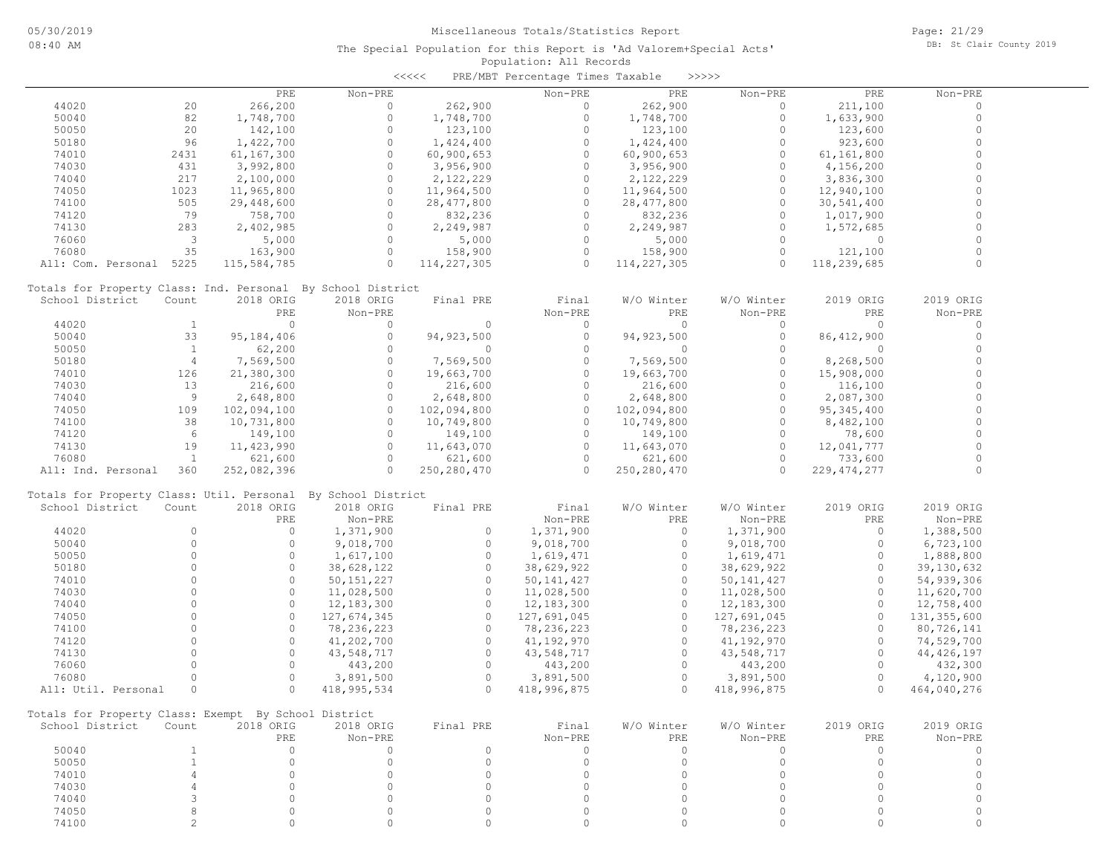## Population: All Records The Special Population for this Report is 'Ad Valorem+Special Acts' <<<<< PRE/MBT Percentage Times Taxable >>>>>

|       |      | PRE        | Non-PRE |            | Non-PRE | PRE        | Non-PRE | PRE          | Non-PRE |
|-------|------|------------|---------|------------|---------|------------|---------|--------------|---------|
| 44020 | 20   | 266,200    |         | 262,900    |         | 262,900    |         | 211,100      |         |
| 50040 | 82   | 1,748,700  |         | ,748,700   |         | .,748,700  |         | 1,633,900    |         |
| 50050 | 20   | 142,100    |         | 123,100    |         | 123,100    |         | 123,600      |         |
| 50180 | 96   | 1,422,700  |         | ,424,400   |         | 1,424,400  |         | 923,600      |         |
| 74010 | 2431 | 61,167,300 |         | 60,900,653 |         | 60,900,653 |         | 61,161,800   |         |
| 71020 | 121  |            | $\sim$  | CO OF COOL |         | CO OF COOL |         | $1.15C$ 0.00 |         |

| 50180                                                | 96             | 1,422,700    | $\Omega$                                                     | 1,424,400     | $\circ$      | 1,424,400     | $\circ$      | 923,600       | $\Omega$     |
|------------------------------------------------------|----------------|--------------|--------------------------------------------------------------|---------------|--------------|---------------|--------------|---------------|--------------|
| 74010                                                | 2431           | 61,167,300   | $\Omega$                                                     | 60,900,653    | $\circ$      | 60,900,653    | $\circ$      | 61,161,800    | $\circ$      |
| 74030                                                | 431            | 3,992,800    | $\Omega$                                                     | 3,956,900     | $\Omega$     | 3,956,900     | $\Omega$     | 4,156,200     | $\circ$      |
| 74040                                                | 217            | 2,100,000    | $\circ$                                                      | 2,122,229     | $\circ$      | 2,122,229     | $\circ$      | 3,836,300     | $\circ$      |
| 74050                                                | 1023           | 11,965,800   | $\circ$                                                      | 11,964,500    | $\circ$      | 11,964,500    | $\circ$      | 12,940,100    | $\mathbf{0}$ |
| 74100                                                | 505            | 29,448,600   | $\cap$                                                       | 28, 477, 800  | $\Omega$     | 28, 477, 800  | $\Omega$     | 30,541,400    | $\Omega$     |
| 74120                                                | 79             | 758,700      | $\cap$                                                       | 832,236       | $\Omega$     | 832,236       | $\Omega$     | 1,017,900     | $\circ$      |
| 74130                                                | 283            | 2,402,985    | $\Omega$                                                     | 2,249,987     | $\Omega$     | 2,249,987     | $\Omega$     | 1,572,685     | $\circ$      |
| 76060                                                | 3              | 5,000        | $\Omega$                                                     | 5,000         | $\Omega$     | 5,000         | $\Omega$     | $\circ$       | $\mathbf{0}$ |
| 76080                                                | 35             | 163,900      | $\Omega$                                                     | 158,900       | $\Omega$     | 158,900       | $\Omega$     | 121,100       | $\circ$      |
| All: Com. Personal 5225                              |                | 115,584,785  | $\Omega$                                                     | 114, 227, 305 | $\Omega$     | 114,227,305   | $\Omega$     | 118,239,685   |              |
|                                                      |                |              | Totals for Property Class: Ind. Personal By School District  |               |              |               |              |               |              |
| School District                                      | Count          | 2018 ORIG    | 2018 ORIG                                                    | Final PRE     | Final        | W/O Winter    | W/O Winter   | 2019 ORIG     | 2019 ORIG    |
|                                                      |                | PRE          | Non-PRE                                                      |               | Non-PRE      | PRE           | Non-PRE      | PRE           | Non-PRE      |
| 44020                                                | <sup>1</sup>   | $\Omega$     | $\Omega$                                                     | $\Omega$      | $\Omega$     | $\Omega$      | $\Omega$     | $\Omega$      | $\circ$      |
| 50040                                                | 33             | 95,184,406   | $\circ$                                                      | 94, 923, 500  | $\circ$      | 94, 923, 500  | $\circ$      | 86, 412, 900  | $\circ$      |
| 50050                                                | $\mathbf{1}$   | 62,200       | $\Omega$                                                     | $\mathbf{0}$  | $\circ$      | $\circ$       | $\Omega$     | $\Omega$      | $\circ$      |
| 50180                                                | $\overline{4}$ | 7,569,500    | $\circ$                                                      | 7,569,500     | $\circ$      | 7,569,500     | $\circ$      | 8,268,500     | $\circ$      |
| 74010                                                | 126            | 21,380,300   | $\Omega$                                                     | 19,663,700    | $\Omega$     | 19,663,700    | $\Omega$     | 15,908,000    | $\Omega$     |
| 74030                                                | 13             | 216,600      | $\Omega$                                                     | 216,600       | $\Omega$     | 216,600       | $\Omega$     | 116,100       | $\Omega$     |
| 74040                                                | 9              | 2,648,800    | $\Omega$                                                     | 2,648,800     | $\circ$      | 2,648,800     | $\Omega$     | 2,087,300     | $\mathbf{0}$ |
| 74050                                                | 109            | 102,094,100  | $\Omega$                                                     | 102,094,800   | $\circ$      | 102,094,800   | $\circ$      | 95, 345, 400  | $\mathbf{0}$ |
| 74100                                                | 38             | 10,731,800   | $\Omega$                                                     | 10,749,800    | $\Omega$     | 10,749,800    | $\circ$      | 8,482,100     | $\Omega$     |
| 74120                                                | 6              | 149,100      | $\Omega$                                                     | 149,100       | $\Omega$     | 149,100       | $\Omega$     | 78,600        | $\circ$      |
| 74130                                                | 19             | 11, 423, 990 | $\Omega$                                                     | 11,643,070    | $\Omega$     | 11,643,070    | $\Omega$     | 12,041,777    | $\Omega$     |
| 76080                                                | $\mathbf{1}$   | 621,600      | $\Omega$                                                     | 621,600       | $\Omega$     | 621,600       | $\Omega$     | 733,600       |              |
| All: Ind. Personal                                   | 360            | 252,082,396  | $\Omega$                                                     | 250, 280, 470 | $\Omega$     | 250, 280, 470 | $\Omega$     | 229, 474, 277 | $\Omega$     |
|                                                      |                |              | Totals for Property Class: Util. Personal By School District |               |              |               |              |               |              |
| School District                                      | Count          | 2018 ORIG    | 2018 ORIG                                                    | Final PRE     | Final        | W/O Winter    | W/O Winter   | 2019 ORIG     | 2019 ORIG    |
|                                                      |                | PRE          | Non-PRE                                                      |               | Non-PRE      | PRE           | Non-PRE      | PRE           | Non-PRE      |
| 44020                                                | $\Omega$       | $\circ$      | 1,371,900                                                    | $\circ$       | 1,371,900    | $\Omega$      | 1,371,900    | $\Omega$      | 1,388,500    |
| 50040                                                | $\Omega$       | $\Omega$     | 9,018,700                                                    | $\Omega$      | 9,018,700    | $\Omega$      | 9,018,700    | $\Omega$      | 6,723,100    |
| 50050                                                | $\Omega$       | $\circ$      | 1,617,100                                                    | $\circ$       | 1,619,471    | $\circ$       | 1,619,471    | $\circ$       | 1,888,800    |
| 50180                                                | $\Omega$       | $\Omega$     | 38,628,122                                                   | $\circ$       | 38,629,922   | $\circ$       | 38,629,922   | $\circ$       | 39,130,632   |
| 74010                                                | $\Omega$       | $\Omega$     | 50, 151, 227                                                 | $\Omega$      | 50, 141, 427 | $\circ$       | 50, 141, 427 | $\Omega$      | 54,939,306   |
| 74030                                                | $\cap$         | $\Omega$     | 11,028,500                                                   | $\circ$       | 11,028,500   | $\circ$       | 11,028,500   | $\Omega$      | 11,620,700   |
| 74040                                                | $\Omega$       | $\Omega$     | 12, 183, 300                                                 | $\circ$       | 12,183,300   | $\circ$       | 12,183,300   | $\circ$       | 12,758,400   |
| 74050                                                | $\cap$         | $\Omega$     | 127,674,345                                                  | $\Omega$      | 127,691,045  | $\Omega$      | 127,691,045  | $\Omega$      | 131,355,600  |
| 74100                                                | $\Omega$       | $\Omega$     | 78,236,223                                                   | $\circ$       | 78,236,223   | $\Omega$      | 78,236,223   | $\Omega$      | 80,726,141   |
| 74120                                                | $\cap$         | $\Omega$     | 41,202,700                                                   | $\Omega$      | 41,192,970   | $\Omega$      | 41,192,970   | $\Omega$      | 74,529,700   |
| 74130                                                | $\Omega$       | $\Omega$     | 43,548,717                                                   | $\Omega$      | 43,548,717   | $\Omega$      | 43,548,717   | $\Omega$      | 44, 426, 197 |
| 76060                                                | $\Omega$       | $\Omega$     | 443,200                                                      | $\circ$       | 443,200      | $\circ$       | 443,200      | $\Omega$      | 432,300      |
| 76080                                                | $\Omega$       | $\Omega$     | 3,891,500                                                    | $\Omega$      | 3,891,500    | $\circ$       | 3,891,500    | $\Omega$      | 4,120,900    |
| All: Util. Personal                                  | $\Omega$       | $\Omega$     | 418, 995, 534                                                | $\cap$        | 418,996,875  | $\cap$        | 418,996,875  | $\cap$        | 464,040,276  |
| Totals for Property Class: Exempt By School District |                |              |                                                              |               |              |               |              |               |              |
| School District                                      | Count          | 2018 ORIG    | 2018 ORIG                                                    | Final PRE     | Final        | W/O Winter    | W/O Winter   | 2019 ORIG     | 2019 ORIG    |
|                                                      |                | PRE          | Non-PRE                                                      |               | Non-PRE      | PRE           | Non-PRE      | PRE           | Non-PRE      |
| 50040                                                | $\mathbf{1}$   | $\circ$      | $\Omega$                                                     | $\circ$       | $\Omega$     | $\Omega$      | $\circ$      | $\Omega$      | $\circ$      |
| 50050                                                | $\mathbf{1}$   | $\circ$      | $\circ$                                                      | $\circ$       | $\circ$      | $\circ$       | $\circ$      | $\circ$       | $\circ$      |
| 74010                                                | $\varDelta$    | $\Omega$     | $\Omega$                                                     | $\Omega$      | $\Omega$     | $\Omega$      | $\Omega$     | $\Omega$      | $\circ$      |
| 74030                                                | $\overline{4}$ | $\Omega$     | $\Omega$                                                     | $\Omega$      | $\Omega$     | $\Omega$      | $\Omega$     | $\Omega$      | $\Omega$     |

 74100 2 0 0 0 0 0 0 0 0 74050 8 0 0 0 0 0 0 0 0 74040 3 0 0 0 0 0 0 0 0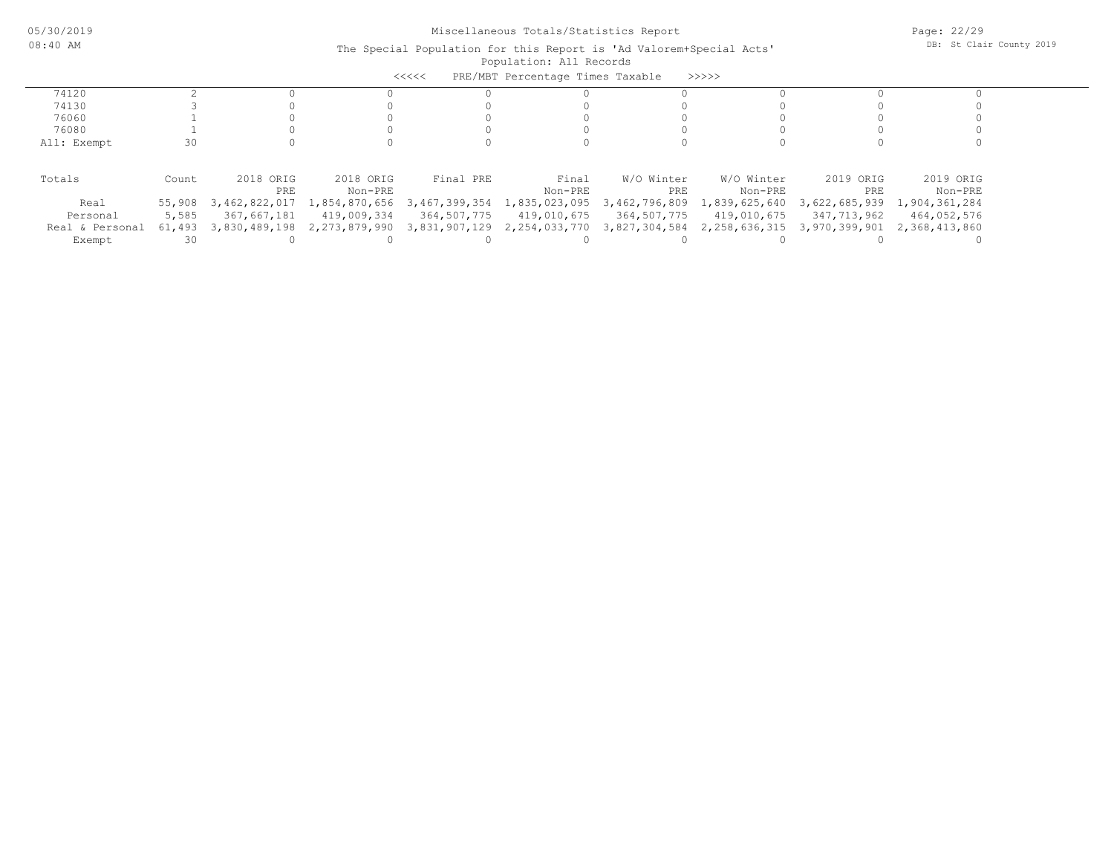| PRE/MBT Percentage Times Taxable<br><<<<<br>>>>>> |        |               |               |               |                             |               |               |                                   |               |
|---------------------------------------------------|--------|---------------|---------------|---------------|-----------------------------|---------------|---------------|-----------------------------------|---------------|
|                                                   |        |               |               |               |                             |               |               |                                   |               |
| 74120                                             |        |               |               |               |                             |               |               |                                   |               |
| 74130                                             |        |               |               |               |                             |               |               |                                   |               |
| 76060                                             |        |               |               |               |                             |               |               |                                   |               |
| 76080                                             |        |               |               |               |                             |               |               |                                   |               |
| All: Exempt                                       | 30     |               |               |               |                             |               |               |                                   |               |
|                                                   |        |               |               |               |                             |               |               |                                   |               |
| Totals                                            | Count  | 2018 ORIG     | 2018 ORIG     | Final PRE     | Final                       | W/O Winter    | W/O Winter    | 2019 ORIG                         | 2019 ORIG     |
|                                                   |        | PRE           | Non-PRE       |               | Non-PRE                     | PRE           | Non-PRE       | PRE                               | Non-PRE       |
| Real                                              | 55,908 | 3,462,822,017 | 1,854,870,656 | 3,467,399,354 | 1,835,023,095               | 3,462,796,809 | 1,839,625,640 | 3,622,685,939                     | 1,904,361,284 |
| Personal                                          | 5,585  | 367,667,181   | 419,009,334   | 364,507,775   | 419,010,675                 | 364,507,775   | 419,010,675   | 347,713,962                       | 464,052,576   |
| Real & Personal                                   | 61,493 | 3,830,489,198 | 2,273,879,990 |               | 3,831,907,129 2,254,033,770 | 3,827,304,584 |               | 2, 258, 636, 315 3, 970, 399, 901 | 2,368,413,860 |
| Exempt                                            | 30     |               |               |               |                             |               |               |                                   |               |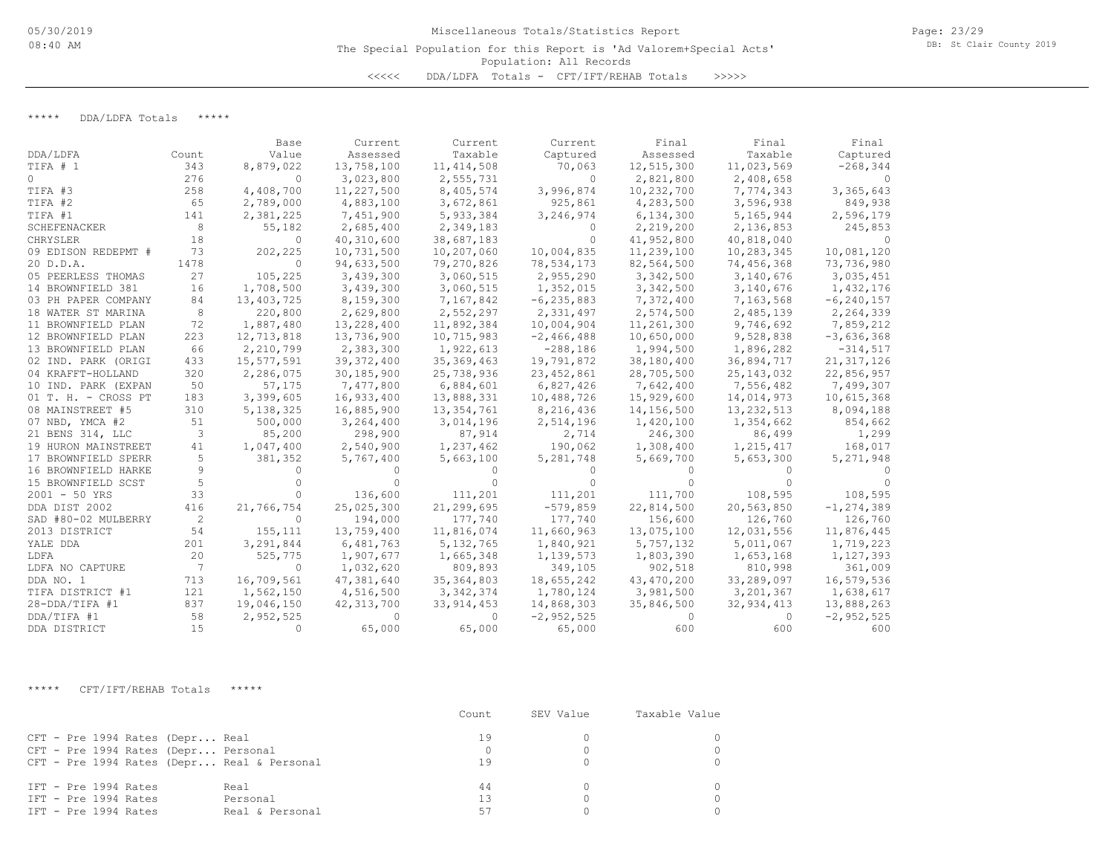\*\*\*\*\* DDA/LDFA Totals \*\*\*\*\*

|                     |       | Base        | Current      | Current      | Current        | Final        | Final        | Final          |
|---------------------|-------|-------------|--------------|--------------|----------------|--------------|--------------|----------------|
| DDA/LDFA            | Count | Value       | Assessed     | Taxable      | Captured       | Assessed     | Taxable      | Captured       |
| TIFA # 1            | 343   | 8,879,022   | 13,758,100   | 11, 414, 508 | 70,063         | 12,515,300   | 11,023,569   | $-268, 344$    |
| $\circ$             | 276   | $\Omega$    | 3,023,800    | 2,555,731    | $\Omega$       | 2,821,800    | 2,408,658    | $\Omega$       |
| TIFA #3             | 258   | 4,408,700   | 11,227,500   | 8,405,574    | 3,996,874      | 10,232,700   | 7,774,343    | 3,365,643      |
| TIFA #2             | 65    | 2,789,000   | 4,883,100    | 3,672,861    | 925,861        | 4,283,500    | 3,596,938    | 849,938        |
| TIFA #1             | 141   | 2,381,225   | 7,451,900    | 5,933,384    | 3,246,974      | 6,134,300    | 5,165,944    | 2,596,179      |
| <b>SCHEFENACKER</b> | 8     | 55,182      | 2,685,400    | 2,349,183    | $\Omega$       | 2,219,200    | 2,136,853    | 245,853        |
| CHRYSLER            | 18    | $\mathbf 0$ | 40,310,600   | 38,687,183   | $\Omega$       | 41,952,800   | 40,818,040   | $\Omega$       |
| 09 EDISON REDEPMT # | 73    | 202,225     | 10,731,500   | 10,207,060   | 10,004,835     | 11,239,100   | 10,283,345   | 10,081,120     |
| 20 D.D.A.           | 1478  | $\Omega$    | 94,633,500   | 79,270,826   | 78,534,173     | 82,564,500   | 74,456,368   | 73,736,980     |
| 05 PEERLESS THOMAS  | 27    | 105,225     | 3,439,300    | 3,060,515    | 2,955,290      | 3,342,500    | 3,140,676    | 3,035,451      |
| 14 BROWNFIELD 381   | 16    | 1,708,500   | 3,439,300    | 3,060,515    | 1,352,015      | 3,342,500    | 3,140,676    | 1,432,176      |
| 03 PH PAPER COMPANY | 84    | 13,403,725  | 8,159,300    | 7,167,842    | $-6, 235, 883$ | 7,372,400    | 7,163,568    | $-6, 240, 157$ |
| 18 WATER ST MARINA  | 8     | 220,800     | 2,629,800    | 2,552,297    | 2,331,497      | 2,574,500    | 2,485,139    | 2,264,339      |
| 11 BROWNFIELD PLAN  | 72    | 1,887,480   | 13,228,400   | 11,892,384   | 10,004,904     | 11,261,300   | 9,746,692    | 7,859,212      |
| 12 BROWNFIELD PLAN  | 223   | 12,713,818  | 13,736,900   | 10,715,983   | $-2,466,488$   | 10,650,000   | 9,528,838    | $-3,636,368$   |
| 13 BROWNFIELD PLAN  | 66    | 2,210,799   | 2,383,300    | 1,922,613    | $-288,186$     | 1,994,500    | 1,896,282    | $-314,517$     |
| 02 IND. PARK (ORIGI | 433   | 15,577,591  | 39, 372, 400 | 35,369,463   | 19,791,872     | 38,180,400   | 36,894,717   | 21, 317, 126   |
| 04 KRAFFT-HOLLAND   | 320   | 2,286,075   | 30,185,900   | 25,738,936   | 23, 452, 861   | 28,705,500   | 25, 143, 032 | 22,856,957     |
| 10 IND. PARK (EXPAN | 50    | 57,175      | 7,477,800    | 6,884,601    | 6,827,426      | 7,642,400    | 7,556,482    | 7,499,307      |
| 01 T. H. - CROSS PT | 183   | 3,399,605   | 16,933,400   | 13,888,331   | 10,488,726     | 15,929,600   | 14,014,973   | 10,615,368     |
| 08 MAINSTREET #5    | 310   | 5, 138, 325 | 16,885,900   | 13, 354, 761 | 8,216,436      | 14,156,500   | 13, 232, 513 | 8,094,188      |
| 07 NBD, YMCA #2     | 51    | 500,000     | 3,264,400    | 3,014,196    | 2,514,196      | 1,420,100    | 1,354,662    | 854,662        |
| 21 BENS 314, LLC    | 3     | 85,200      | 298,900      | 87,914       | 2,714          | 246,300      | 86,499       | 1,299          |
| 19 HURON MAINSTREET | 41    | 1,047,400   | 2,540,900    | 1,237,462    | 190,062        | 1,308,400    | 1,215,417    | 168,017        |
| 17 BROWNFIELD SPERR | 5     | 381,352     | 5,767,400    | 5,663,100    | 5,281,748      | 5,669,700    | 5,653,300    | 5, 271, 948    |
| 16 BROWNFIELD HARKE | 9     |             |              |              |                |              |              |                |
| 15 BROWNFIELD SCST  | 5     |             |              |              |                |              |              |                |
| $2001 - 50$ YRS     | 33    |             | 136,600      | 111,201      | 111,201        | 111,700      | 108,595      | 108,595        |
| DDA DIST 2002       | 416   | 21,766,754  | 25,025,300   | 21,299,695   | $-579,859$     | 22,814,500   | 20,563,850   | $-1, 274, 389$ |
| SAD #80-02 MULBERRY | 2     | $\Omega$    | 194,000      | 177,740      | 177,740        | 156,600      | 126,760      | 126,760        |
| 2013 DISTRICT       | 54    | 155,111     | 13,759,400   | 11,816,074   | 11,660,963     | 13,075,100   | 12,031,556   | 11,876,445     |
| YALE DDA            | 201   | 3,291,844   | 6,481,763    | 5, 132, 765  | 1,840,921      | 5,757,132    | 5,011,067    | 1,719,223      |
| LDFA                | 20    | 525,775     | 1,907,677    | 1,665,348    | 1,139,573      | 1,803,390    | 1,653,168    | 1,127,393      |
| LDFA NO CAPTURE     | 7     | $\Omega$    | 1,032,620    | 809,893      | 349,105        | 902,518      | 810,998      | 361,009        |
| DDA NO. 1           | 713   | 16,709,561  | 47,381,640   | 35, 364, 803 | 18,655,242     | 43, 470, 200 | 33,289,097   | 16,579,536     |
| TIFA DISTRICT #1    | 121   | 1,562,150   | 4,516,500    | 3, 342, 374  | 1,780,124      | 3,981,500    | 3,201,367    | 1,638,617      |
| 28-DDA/TIFA #1      | 837   | 19,046,150  | 42, 313, 700 | 33, 914, 453 | 14,868,303     | 35,846,500   | 32, 934, 413 | 13,888,263     |
| DDA/TIFA #1         | 58    | 2,952,525   | $\Omega$     | 0            | $-2,952,525$   | 0            | 0            | $-2, 952, 525$ |
| DDA DISTRICT        | 15    | $\Omega$    | 65,000       | 65,000       | 65,000         | 600          | 600          | 600            |

\*\*\*\*\* CFT/IFT/REHAB Totals \*\*\*\*\*

|                                                                                                                      | Count          | SEV Value | Taxable Value |
|----------------------------------------------------------------------------------------------------------------------|----------------|-----------|---------------|
| CFT - Pre 1994 Rates (Depr Real<br>CFT - Pre 1994 Rates (Depr Personal<br>CFT - Pre 1994 Rates (Depr Real & Personal | 19<br>19       |           |               |
| IFT - Pre 1994 Rates<br>Real<br>IFT - Pre 1994 Rates<br>Personal<br>IFT - Pre 1994 Rates<br>Real & Personal          | 44<br>13<br>57 |           |               |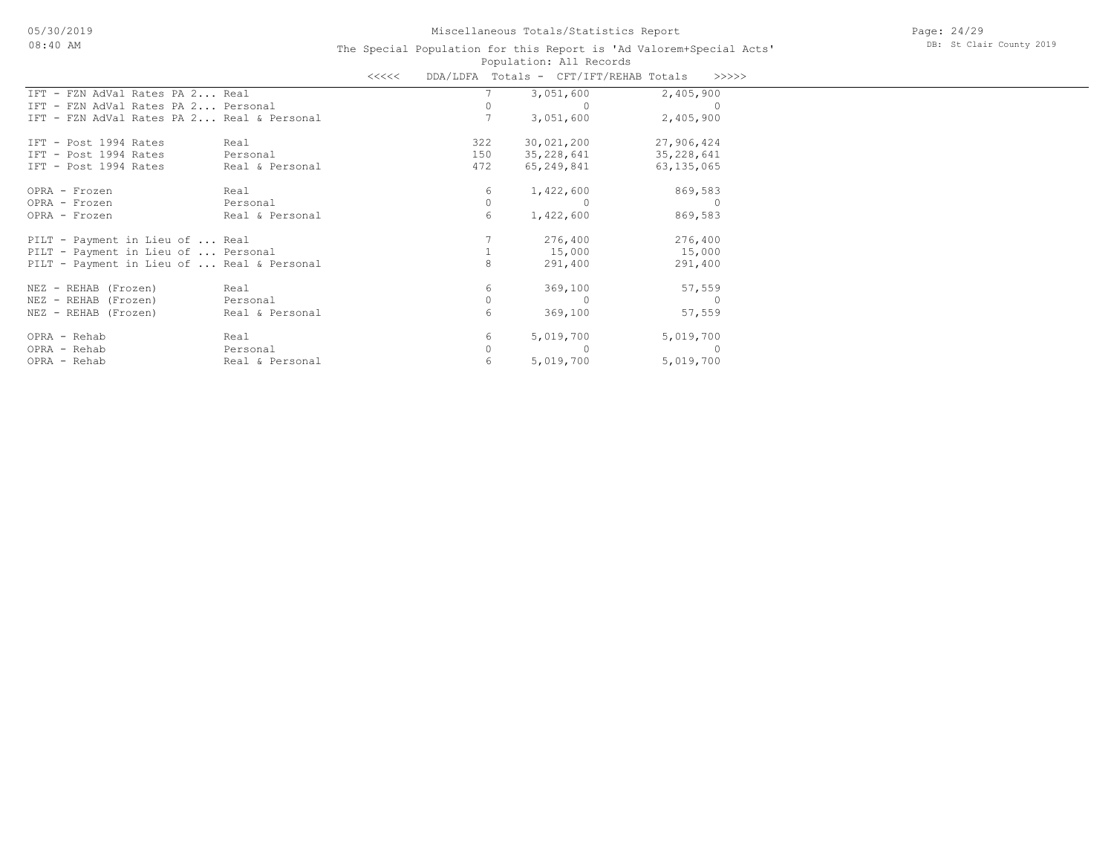|                                            |                 | くくくくく |     |          | DDA/LDFA Totals - CFT/IFT/REHAB Totals |              | >>>>> |
|--------------------------------------------|-----------------|-------|-----|----------|----------------------------------------|--------------|-------|
| IFT - FZN AdVal Rates PA 2 Real            |                 |       |     |          | 3,051,600                              | 2,405,900    |       |
| IFT - FZN AdVal Rates PA 2 Personal        |                 |       |     |          |                                        |              |       |
| IFT - FZN AdVal Rates PA 2 Real & Personal |                 |       |     |          | 3,051,600                              | 2,405,900    |       |
| IFT - Post 1994 Rates                      | Real            |       | 322 |          | 30,021,200                             | 27,906,424   |       |
| IFT - Post 1994 Rates                      | Personal        |       | 150 |          | 35,228,641                             | 35, 228, 641 |       |
| IFT - Post 1994 Rates                      | Real & Personal |       | 472 |          | 65,249,841                             | 63, 135, 065 |       |
| OPRA - Frozen                              | Real            |       |     | 6        | 1,422,600                              | 869,583      |       |
| OPRA - Frozen                              | Personal        |       |     | $\Omega$ |                                        |              |       |
| OPRA - Frozen                              | Real & Personal |       |     | 6        | 1,422,600                              | 869,583      |       |
| PILT - Payment in Lieu of  Real            |                 |       |     |          | 276,400                                | 276,400      |       |
| PILT - Payment in Lieu of  Personal        |                 |       |     |          | 15,000                                 | 15,000       |       |
| PILT - Payment in Lieu of  Real & Personal |                 |       |     | 8        | 291,400                                | 291,400      |       |
| NEZ - REHAB (Frozen)                       | Real            |       |     | 6        | 369,100                                | 57,559       |       |
| NEZ - REHAB (Frozen)                       | Personal        |       |     |          |                                        |              |       |
| NEZ - REHAB (Frozen)                       | Real & Personal |       |     | 6        | 369,100                                | 57,559       |       |
| OPRA - Rehab                               | Real            |       |     | 6        | 5,019,700                              | 5,019,700    |       |
| OPRA - Rehab                               | Personal        |       |     |          |                                        |              |       |
| OPRA - Rehab                               | Real & Personal |       |     | 6        | 5,019,700                              | 5,019,700    |       |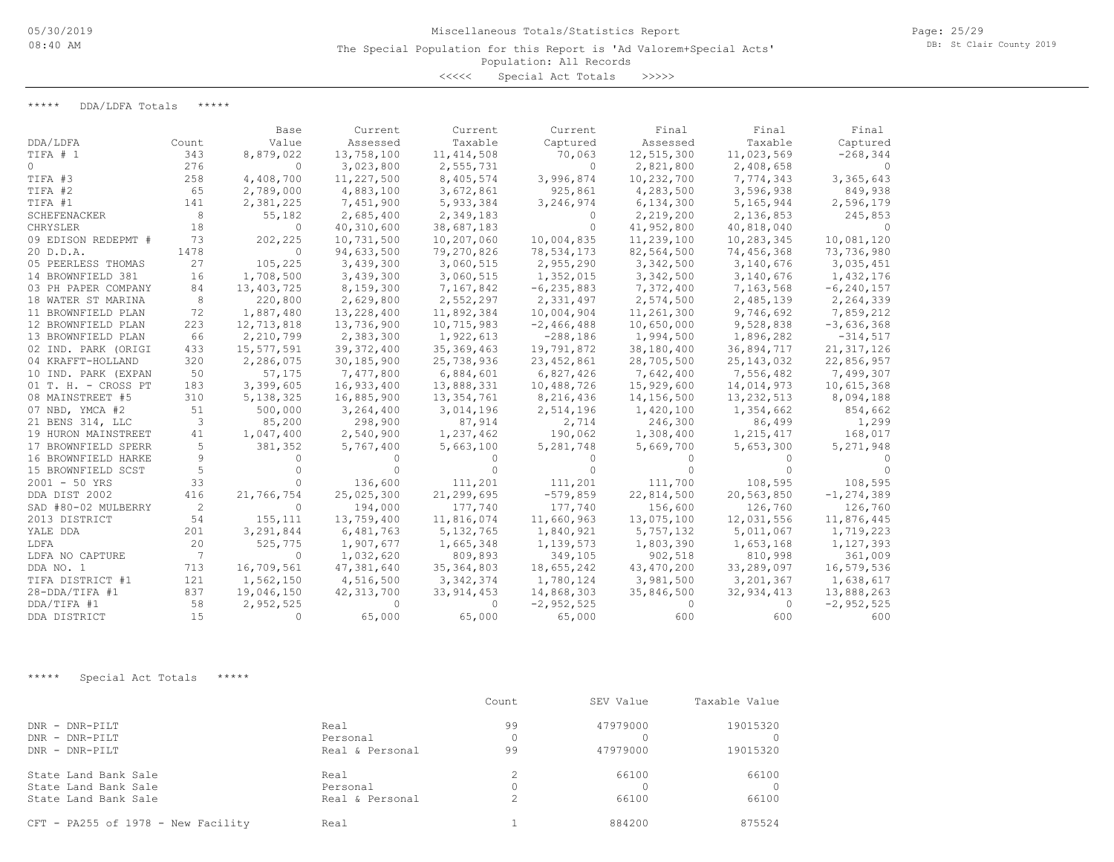<<<<< Special Act Totals >>>>>

\*\*\*\*\* DDA/LDFA Totals \*\*\*\*\*

|                     |       | Base        | Current      | Current      | Current        | Final        | Final        | Final          |
|---------------------|-------|-------------|--------------|--------------|----------------|--------------|--------------|----------------|
| DDA/LDFA            | Count | Value       | Assessed     | Taxable      | Captured       | Assessed     | Taxable      | Captured       |
| TIFA # 1            | 343   | 8,879,022   | 13,758,100   | 11, 414, 508 | 70,063         | 12,515,300   | 11,023,569   | $-268, 344$    |
| $\Omega$            | 276   | $\Omega$    | 3,023,800    | 2,555,731    | $\Omega$       | 2,821,800    | 2,408,658    |                |
| TIFA #3             | 258   | 4,408,700   | 11,227,500   | 8,405,574    | 3,996,874      | 10,232,700   | 7,774,343    | 3,365,643      |
| TIFA #2             | 65    | 2,789,000   | 4,883,100    | 3,672,861    | 925,861        | 4,283,500    | 3,596,938    | 849,938        |
| TIFA #1             | 141   | 2,381,225   | 7,451,900    | 5,933,384    | 3,246,974      | 6,134,300    | 5,165,944    | 2,596,179      |
| SCHEFENACKER        | 8     | 55,182      | 2,685,400    | 2,349,183    | 0              | 2,219,200    | 2,136,853    | 245,853        |
| CHRYSLER            | 18    | $\Omega$    | 40,310,600   | 38,687,183   | ∩              | 41,952,800   | 40,818,040   |                |
| 09 EDISON REDEPMT # | 73    | 202,225     | 10,731,500   | 10,207,060   | 10,004,835     | 11,239,100   | 10,283,345   | 10,081,120     |
| 20 D.D.A.           | 1478  | $\Omega$    | 94,633,500   | 79,270,826   | 78,534,173     | 82,564,500   | 74,456,368   | 73,736,980     |
| 05 PEERLESS THOMAS  | 27    | 105,225     | 3,439,300    | 3,060,515    | 2,955,290      | 3,342,500    | 3,140,676    | 3,035,451      |
| 14 BROWNFIELD 381   | 16    | 1,708,500   | 3,439,300    | 3,060,515    | 1,352,015      | 3,342,500    | 3,140,676    | 1,432,176      |
| 03 PH PAPER COMPANY | 84    | 13,403,725  | 8,159,300    | 7,167,842    | $-6, 235, 883$ | 7,372,400    | 7,163,568    | $-6, 240, 157$ |
| 18 WATER ST MARINA  | 8     | 220,800     | 2,629,800    | 2,552,297    | 2,331,497      | 2,574,500    | 2,485,139    | 2,264,339      |
| 11 BROWNFIELD PLAN  | 72    | 1,887,480   | 13,228,400   | 11,892,384   | 10,004,904     | 11,261,300   | 9,746,692    | 7,859,212      |
| 12 BROWNFIELD PLAN  | 223   | 12,713,818  | 13,736,900   | 10,715,983   | $-2,466,488$   | 10,650,000   | 9,528,838    | $-3,636,368$   |
| 13 BROWNFIELD PLAN  | 66    | 2,210,799   | 2,383,300    | 1,922,613    | $-288,186$     | 1,994,500    | 1,896,282    | $-314,517$     |
| 02 IND. PARK (ORIGI | 433   | 15,577,591  | 39, 372, 400 | 35, 369, 463 | 19,791,872     | 38,180,400   | 36,894,717   | 21, 317, 126   |
| 04 KRAFFT-HOLLAND   | 320   | 2,286,075   | 30,185,900   | 25,738,936   | 23, 452, 861   | 28,705,500   | 25, 143, 032 | 22,856,957     |
| 10 IND. PARK (EXPAN | 50    | 57,175      | 7,477,800    | 6,884,601    | 6,827,426      | 7,642,400    | 7,556,482    | 7,499,307      |
| 01 T. H. - CROSS PT | 183   | 3,399,605   | 16,933,400   | 13,888,331   | 10,488,726     | 15,929,600   | 14,014,973   | 10,615,368     |
| 08 MAINSTREET #5    | 310   | 5, 138, 325 | 16,885,900   | 13, 354, 761 | 8,216,436      | 14,156,500   | 13,232,513   | 8,094,188      |
| 07 NBD, YMCA #2     | 51    | 500,000     | 3,264,400    | 3,014,196    | 2,514,196      | 1,420,100    | 1,354,662    | 854,662        |
| 21 BENS 314, LLC    | 3     | 85,200      | 298,900      | 87,914       | 2,714          | 246,300      | 86,499       | 1,299          |
| 19 HURON MAINSTREET | 41    | 1,047,400   | 2,540,900    | 1,237,462    | 190,062        | 1,308,400    | 1,215,417    | 168,017        |
| 17 BROWNFIELD SPERR | 5     | 381,352     | 5,767,400    | 5,663,100    | 5,281,748      | 5,669,700    | 5,653,300    | 5,271,948      |
| 16 BROWNFIELD HARKE | 9     | $\bigcap$   |              |              |                |              |              |                |
| 15 BROWNFIELD SCST  | 5     |             |              | 0            |                |              |              |                |
| $2001 - 50$ YRS     | 33    | $\bigcap$   | 136,600      | 111,201      | 111,201        | 111,700      | 108,595      | 108,595        |
| DDA DIST 2002       | 416   | 21,766,754  | 25,025,300   | 21,299,695   | $-579,859$     | 22,814,500   | 20,563,850   | $-1, 274, 389$ |
| SAD #80-02 MULBERRY | 2     | $\Omega$    | 194,000      | 177,740      | 177,740        | 156,600      | 126,760      | 126,760        |
| 2013 DISTRICT       | 54    | 155, 111    | 13,759,400   | 11,816,074   | 11,660,963     | 13,075,100   | 12,031,556   | 11,876,445     |
| YALE DDA            | 201   | 3,291,844   | 6,481,763    | 5, 132, 765  | 1,840,921      | 5,757,132    | 5,011,067    | 1,719,223      |
| LDFA                | 20    | 525,775     | 1,907,677    | 1,665,348    | 1,139,573      | 1,803,390    | 1,653,168    | 1,127,393      |
| LDFA NO CAPTURE     | 7     | $\Omega$    | 1,032,620    | 809,893      | 349,105        | 902,518      | 810,998      | 361,009        |
| DDA NO. 1           | 713   | 16,709,561  | 47,381,640   | 35, 364, 803 | 18,655,242     | 43, 470, 200 | 33,289,097   | 16,579,536     |
| TIFA DISTRICT #1    | 121   | 1,562,150   | 4,516,500    | 3, 342, 374  | 1,780,124      | 3,981,500    | 3, 201, 367  | 1,638,617      |
| $28 - DDA/TIFA$ #1  | 837   | 19,046,150  | 42, 313, 700 | 33, 914, 453 | 14,868,303     | 35,846,500   | 32,934,413   | 13,888,263     |
| DDA/TIFA #1         | 58    | 2,952,525   | $\Omega$     | 0            | $-2,952,525$   | $\Omega$     | 0            | $-2,952,525$   |
| DDA DISTRICT        | 15    | $\bigcap$   | 65,000       | 65,000       | 65,000         | 600          | 600          | 600            |

\*\*\*\*\* Special Act Totals \*\*\*\*\*

|                                    |                 | Count         | SEV Value | Taxable Value |
|------------------------------------|-----------------|---------------|-----------|---------------|
| DNR - DNR-PILT                     | Real            | 99            | 47979000  | 19015320      |
| DNR - DNR-PILT                     | Personal        | 0             |           |               |
| DNR - DNR-PILT                     | Real & Personal | 99            | 47979000  | 19015320      |
| State Land Bank Sale               | Real            |               | 66100     | 66100         |
| State Land Bank Sale               | Personal        | 0             |           |               |
| State Land Bank Sale               | Real & Personal | $\mathcal{L}$ | 66100     | 66100         |
| CFT - PA255 of 1978 - New Facility | Real            |               | 884200    | 875524        |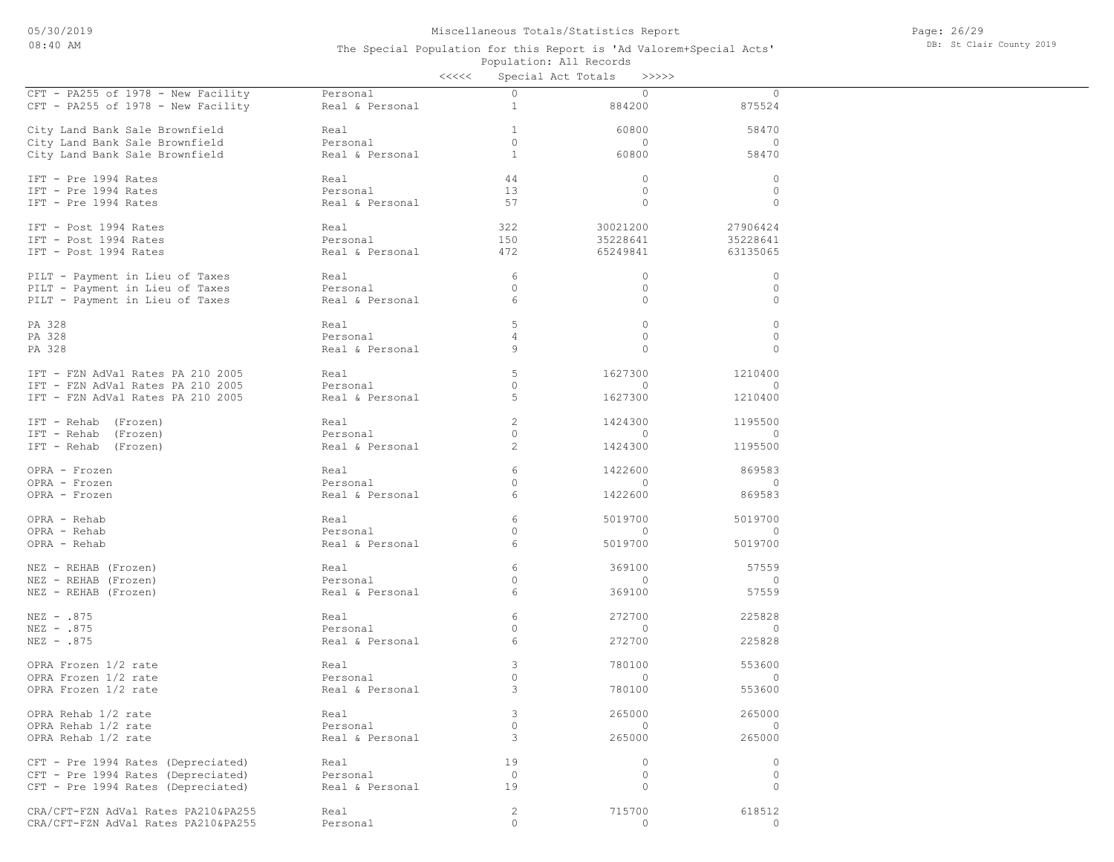Page: 26/29 DB: St Clair County 2019

|                                     |                 | <<<< |                | Special Act Totals<br>>>>>> |              |
|-------------------------------------|-----------------|------|----------------|-----------------------------|--------------|
| CFT - PA255 of 1978 - New Facility  | Personal        |      | $\Omega$       | $\circ$                     | $\circ$      |
| CFT - PA255 of 1978 - New Facility  | Real & Personal |      | $\mathbf{1}$   | 884200                      | 875524       |
|                                     |                 |      |                |                             |              |
| City Land Bank Sale Brownfield      | Real            |      | $\mathbf{1}$   | 60800                       | 58470        |
| City Land Bank Sale Brownfield      | Personal        |      | $\circ$        | $\circ$                     | $\circ$      |
| City Land Bank Sale Brownfield      | Real & Personal |      | $\mathbf{1}$   | 60800                       | 58470        |
| IFT - Pre 1994 Rates                | Real            |      | 44             | $\circ$                     | $\circ$      |
| IFT - Pre 1994 Rates                | Personal        |      | 13             | $\circ$                     | $\circ$      |
| IFT - Pre 1994 Rates                | Real & Personal |      | 57             | $\mathbf{0}$                | $\circ$      |
|                                     |                 |      |                |                             |              |
| IFT - Post 1994 Rates               | Real            |      | 322            | 30021200                    | 27906424     |
| IFT - Post 1994 Rates               | Personal        |      | 150            | 35228641                    | 35228641     |
| IFT - Post 1994 Rates               | Real & Personal |      | 472            | 65249841                    | 63135065     |
| PILT - Payment in Lieu of Taxes     | Real            |      | 6              | $\circ$                     | $\circ$      |
| PILT - Payment in Lieu of Taxes     | Personal        |      | $\Omega$       | $\circ$                     | $\circ$      |
| PILT - Payment in Lieu of Taxes     | Real & Personal |      | 6              | $\circ$                     | $\circ$      |
|                                     |                 |      |                |                             |              |
| PA 328                              | Real            |      | 5              | $\circ$                     | $\circ$      |
| PA 328                              | Personal        |      | 4              | $\circ$                     | $\circ$      |
| PA 328                              | Real & Personal |      | 9              | 0                           | $\circ$      |
| IFT - FZN AdVal Rates PA 210 2005   | Real            |      | 5              | 1627300                     | 1210400      |
| IFT - FZN AdVal Rates PA 210 2005   | Personal        |      | $\circ$        | $\circ$                     | $\mathbf{0}$ |
| IFT - FZN AdVal Rates PA 210 2005   | Real & Personal |      | 5              | 1627300                     | 1210400      |
|                                     |                 |      |                |                             |              |
| IFT - Rehab (Frozen)                | Real            |      | $\mathbf{2}$   | 1424300                     | 1195500      |
| IFT - Rehab (Frozen)                | Personal        |      | $\circ$        | $\circ$                     | $\circ$      |
| IFT - Rehab (Frozen)                | Real & Personal |      | $\overline{c}$ | 1424300                     | 1195500      |
| OPRA - Frozen                       | Real            |      | 6              | 1422600                     | 869583       |
| OPRA - Frozen                       | Personal        |      | $\circ$        | $\mathbf{0}$                | $\circ$      |
| OPRA - Frozen                       | Real & Personal |      | 6              | 1422600                     | 869583       |
|                                     |                 |      |                |                             |              |
| OPRA - Rehab                        | Real            |      | 6              | 5019700                     | 5019700      |
| OPRA - Rehab                        | Personal        |      | $\circ$        | $\circ$                     | $\circ$      |
| OPRA - Rehab                        | Real & Personal |      | 6              | 5019700                     | 5019700      |
| NEZ - REHAB (Frozen)                | Real            |      | 6              | 369100                      | 57559        |
| NEZ - REHAB (Frozen)                | Personal        |      | $\circ$        | $\mathbf{0}$                | $\circ$      |
| NEZ - REHAB (Frozen)                | Real & Personal |      | 6              | 369100                      | 57559        |
| NEZ - .875                          | Real            |      | 6              | 272700                      | 225828       |
| NEZ - .875                          | Personal        |      | $\circ$        | $\circ$                     | $\circ$      |
| NEZ - .875                          | Real & Personal |      | 6              | 272700                      | 225828       |
|                                     |                 |      |                |                             |              |
| OPRA Frozen 1/2 rate                | Real            |      | 3              | 780100                      | 553600       |
| OPRA Frozen 1/2 rate                | Personal        |      | $\circ$        | $\mathbf{0}$                | $\circ$      |
| OPRA Frozen 1/2 rate                | Real & Personal |      | 3              | 780100                      | 553600       |
| OPRA Rehab 1/2 rate                 | Real            |      | 3              | 265000                      | 265000       |
| OPRA Rehab 1/2 rate                 | Personal        |      | $\circ$        | $\circ$                     | $\mathbf{0}$ |
| OPRA Rehab 1/2 rate                 | Real & Personal |      | 3              | 265000                      | 265000       |
|                                     |                 |      |                |                             |              |
| CFT - Pre 1994 Rates (Depreciated)  | Real            |      | 19             | $\circ$                     | $\circ$      |
| CFT - Pre 1994 Rates (Depreciated)  | Personal        |      | $\circ$        | $\circ$                     | $\circ$      |
| CFT - Pre 1994 Rates (Depreciated)  | Real & Personal |      | 19             | $\circ$                     | $\circ$      |
| CRA/CFT-FZN AdVal Rates PA210&PA255 | Real            |      | $\mathbf{2}$   | 715700                      | 618512       |
| CRA/CFT-FZN AdVal Rates PA210&PA255 | Personal        |      | $\circ$        | $\circ$                     | $\circ$      |
|                                     |                 |      |                |                             |              |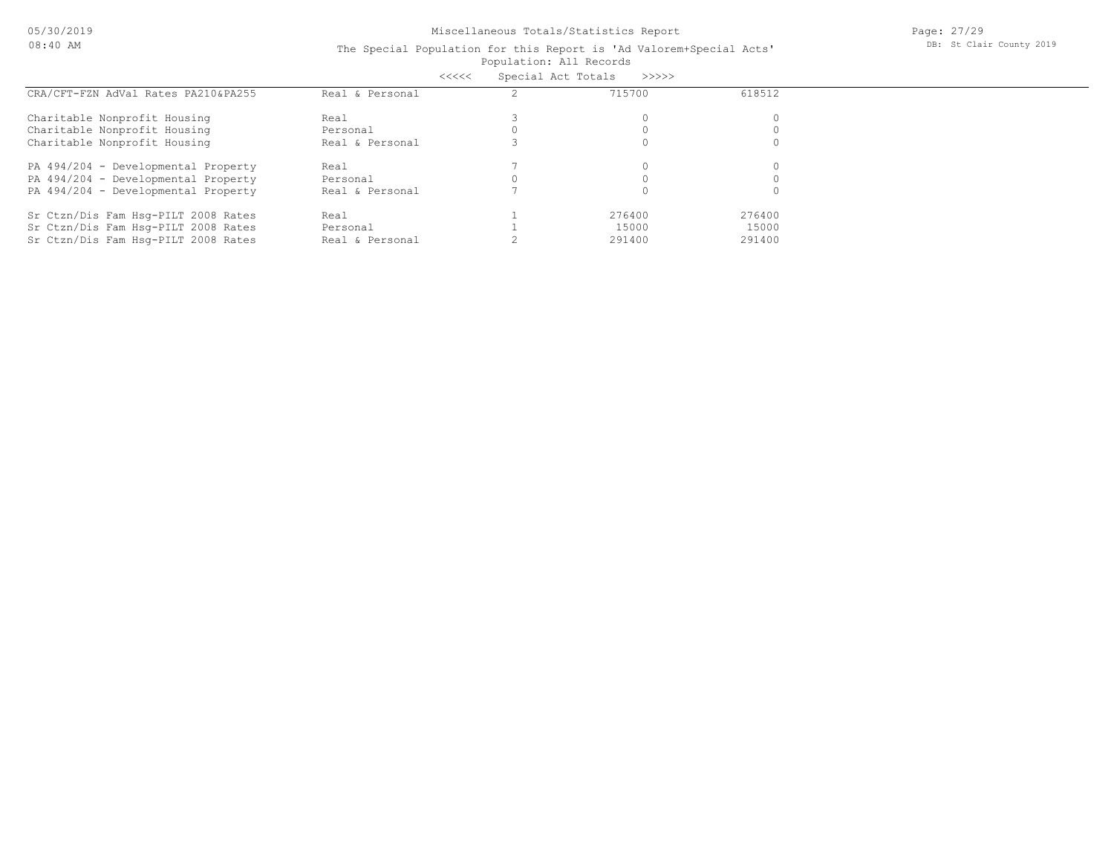05/30/2019 08:40 AM

# Miscellaneous Totals/Statistics Report

Page: 27/29 DB: St Clair County 2019

#### Population: All Records The Special Population for this Report is 'Ad Valorem+Special Acts' <<<<< Special Act Totals >>>>>

|                                     |                 | ceces not receive |        |        |  |
|-------------------------------------|-----------------|-------------------|--------|--------|--|
| CRA/CFT-FZN AdVal Rates PA210&PA255 | Real & Personal |                   | 715700 | 618512 |  |
| Charitable Nonprofit Housing        | Real            |                   |        |        |  |
| Charitable Nonprofit Housing        | Personal        |                   |        |        |  |
| Charitable Nonprofit Housing        | Real & Personal |                   |        |        |  |
| PA 494/204 - Developmental Property | Real            |                   |        |        |  |
| PA 494/204 - Developmental Property | Personal        |                   |        |        |  |
| PA 494/204 - Developmental Property | Real & Personal |                   |        |        |  |
| Sr Ctzn/Dis Fam Hsq-PILT 2008 Rates | Real            |                   | 276400 | 276400 |  |
| Sr Ctzn/Dis Fam Hsq-PILT 2008 Rates | Personal        |                   | 15000  | 15000  |  |
| Sr Ctzn/Dis Fam Hsq-PILT 2008 Rates | Real & Personal |                   | 291400 | 291400 |  |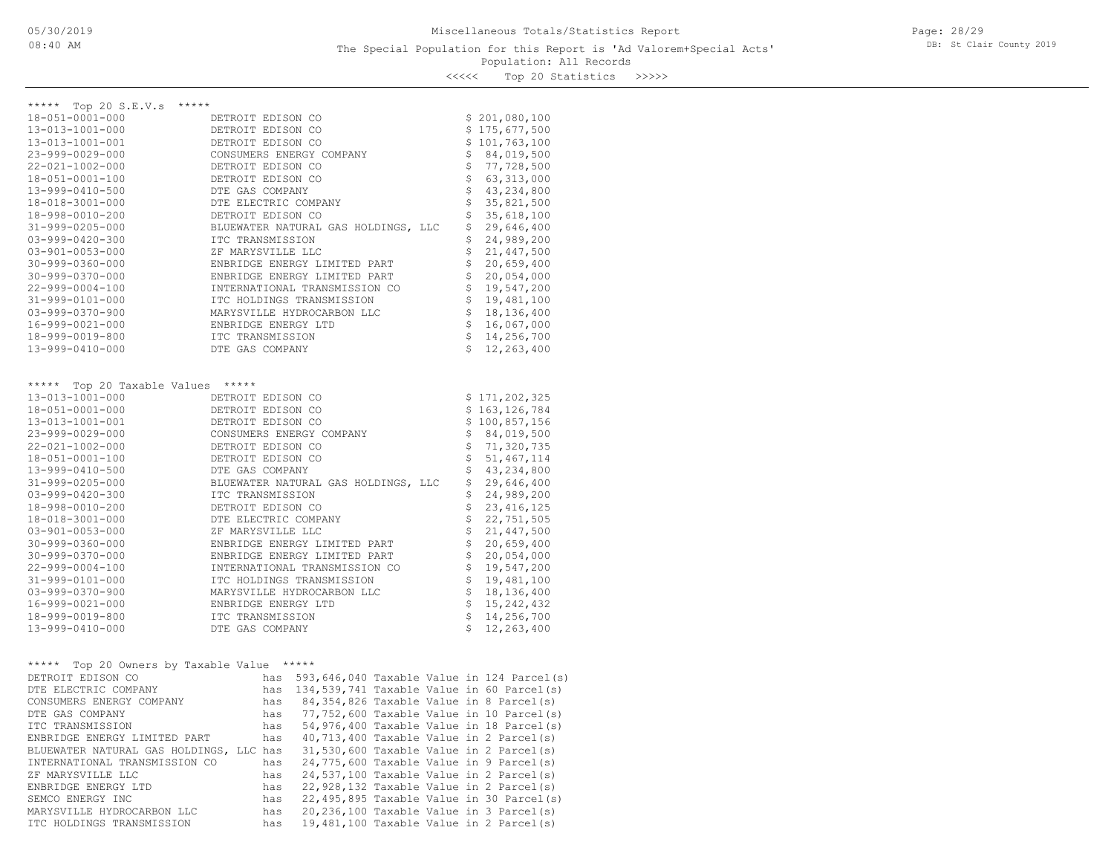Page: 28/29 DB: St Clair County 2019

Population: All Records <<<<< Top 20 Statistics >>>>>

| ヘヘヘヘヘ | TOD YA STALISTICS | ノノノノ |
|-------|-------------------|------|
|       |                   |      |

| ***** Top 20 S.E.V.s *****                                                                                                                                                     |                                                                                                                                                                  |                                  |                                                                                                                   |
|--------------------------------------------------------------------------------------------------------------------------------------------------------------------------------|------------------------------------------------------------------------------------------------------------------------------------------------------------------|----------------------------------|-------------------------------------------------------------------------------------------------------------------|
| 18-051-0001-000                                                                                                                                                                | DETROIT EDISON CO                                                                                                                                                |                                  | \$201,080,100                                                                                                     |
| 13-013-1001-000                                                                                                                                                                | DETROIT EDISON CO                                                                                                                                                |                                  | \$175,677,500                                                                                                     |
| 13-013-1001-001                                                                                                                                                                | DETROIT EDISON CO                                                                                                                                                |                                  | \$101,763,100                                                                                                     |
| 23-999-0029-000                                                                                                                                                                | CONSUMERS ENERGY COMPANY                                                                                                                                         |                                  | \$84,019,500                                                                                                      |
| 22-021-1002-000                                                                                                                                                                | DETROIT EDISON CO                                                                                                                                                |                                  | \$77,728,500                                                                                                      |
| 18-051-0001-100                                                                                                                                                                | DETROIT EDISON CO                                                                                                                                                | \$                               | 63, 313, 000                                                                                                      |
| 13-999-0410-500                                                                                                                                                                | DTE GAS COMPANY                                                                                                                                                  |                                  | 43, 234, 800                                                                                                      |
| 18-018-3001-000                                                                                                                                                                | DTE ELECTRIC COMPANY                                                                                                                                             | 555                              | 35,821,500                                                                                                        |
| 18-998-0010-200                                                                                                                                                                | DETROIT EDISON CO                                                                                                                                                |                                  | 35,618,100                                                                                                        |
| 31-999-0205-000                                                                                                                                                                | BLUEWATER NATURAL GAS HOLDINGS, LLC                                                                                                                              | \$                               | 29,646,400                                                                                                        |
| $03 - 999 - 0420 - 300$                                                                                                                                                        | ITC TRANSMISSION                                                                                                                                                 | \$                               | 24,989,200                                                                                                        |
| $03 - 901 - 0053 - 000$                                                                                                                                                        | ZF MARYSVILLE LLC                                                                                                                                                | $\dot{\varepsilon}$              | 21, 447, 500                                                                                                      |
| $30 - 999 - 0360 - 000$                                                                                                                                                        | ENBRIDGE ENERGY LIMITED PART                                                                                                                                     | \$                               | 20,659,400                                                                                                        |
| $30 - 999 - 0370 - 000$                                                                                                                                                        | ENBRIDGE ENERGY LIMITED PART                                                                                                                                     | $\ddot{\tilde{\varsigma}}$       | 20,054,000                                                                                                        |
| 22-999-0004-100                                                                                                                                                                | INTERNATIONAL TRANSMISSION CO                                                                                                                                    | $\frac{1}{2}$                    | 19,547,200                                                                                                        |
| $31 - 999 - 0101 - 000$                                                                                                                                                        | ITC HOLDINGS TRANSMISSION                                                                                                                                        |                                  | 19,481,100                                                                                                        |
| $03 - 999 - 0370 - 900$                                                                                                                                                        | MARYSVILLE HYDROCARBON LLC                                                                                                                                       | \$                               | 18,136,400                                                                                                        |
| 16-999-0021-000                                                                                                                                                                | ENBRIDGE ENERGY LTD                                                                                                                                              | $\boldsymbol{\mathsf{S}}$        | 16,067,000                                                                                                        |
| 18-999-0019-800                                                                                                                                                                | ITC TRANSMISSION                                                                                                                                                 | $\ddot{\mathsf{s}}$              | 14,256,700                                                                                                        |
| 13-999-0410-000                                                                                                                                                                | DTE GAS COMPANY                                                                                                                                                  | \$                               | 12,263,400                                                                                                        |
| ***** Top 20 Taxable Values *****<br>13-013-1001-000<br>18-051-0001-000<br>13-013-1001-001<br>23-999-0029-000<br>$22 - 021 - 1002 - 000$<br>18-051-0001-100<br>13-999-0410-500 | DETROIT EDISON CO<br>DETROIT EDISON CO<br>DETROIT EDISON CO<br>CONSUMERS ENERGY COMPANY<br>DETROIT EDISON CO<br>DETROIT EDISON CO<br>DTE GAS COMPANY             | \$<br>$\dot{\tilde{\mathbf{S}}}$ | \$171, 202, 325<br>\$163, 126, 784<br>\$100,857,156<br>\$84,019,500<br>\$71,320,735<br>51, 467, 114<br>43,234,800 |
| 31-999-0205-000                                                                                                                                                                | BLUEWATER NATURAL GAS HOLDINGS, LLC                                                                                                                              |                                  | 29,646,400                                                                                                        |
| $03 - 999 - 0420 - 300$                                                                                                                                                        | ITC TRANSMISSION                                                                                                                                                 | $\frac{1}{2}$                    | 24,989,200                                                                                                        |
| 18-998-0010-200                                                                                                                                                                | DETROIT EDISON CO                                                                                                                                                | $\dot{\mathsf{S}}$               | 23, 416, 125                                                                                                      |
| 18-018-3001-000                                                                                                                                                                | DTE ELECTRIC COMPANY                                                                                                                                             | $\dot{\tilde{\varsigma}}$        | 22,751,505                                                                                                        |
| $03 - 901 - 0053 - 000$                                                                                                                                                        | ZF MARYSVILLE LLC                                                                                                                                                | $\dot{\tilde{\mathbf{S}}}$       | 21, 447, 500                                                                                                      |
| $30 - 999 - 0360 - 000$                                                                                                                                                        | ENBRIDGE ENERGY LIMITED PART                                                                                                                                     | \$                               | 20,659,400                                                                                                        |
| $30 - 999 - 0370 - 000$                                                                                                                                                        | ENBRIDGE ENERGY LIMITED PART                                                                                                                                     | $\frac{1}{2}$                    | 20,054,000                                                                                                        |
| 22-999-0004-100                                                                                                                                                                | INTERNATIONAL TRANSMISSION CO                                                                                                                                    | $\ddot{\tilde{\varsigma}}$       | 19,547,200                                                                                                        |
| 31-999-0101-000                                                                                                                                                                | ITC HOLDINGS TRANSMISSION                                                                                                                                        | $\stackrel{\cdot}{\mathsf{S}}$   | 19,481,100                                                                                                        |
| 03-999-0370-900                                                                                                                                                                | MARYSVILLE HYDROCARBON LLC                                                                                                                                       | \$                               | 18, 136, 400                                                                                                      |
| 16-999-0021-000                                                                                                                                                                | ENBRIDGE ENERGY LTD                                                                                                                                              | \$                               | 15, 242, 432                                                                                                      |
| 18-999-0019-800                                                                                                                                                                | ITC TRANSMISSION                                                                                                                                                 | $\dot{\tilde{\mathbf{S}}}$       | 14,256,700                                                                                                        |
| 13-999-0410-000                                                                                                                                                                | DTE GAS COMPANY                                                                                                                                                  | $\mathsf{S}$                     | 12,263,400                                                                                                        |
| ***** Top 20 Owners by Taxable Value *****<br>DREDATE BRICAM CO                                                                                                                | the contract of the contract of the contract of<br>$F(0, 2)$ $F(0, 0)$ $F(0, 0)$ $F(0, 0)$ $F(0, 0)$ $F(0, 0)$ $F(0, 0)$ $F(0, 0)$ $F(0, 0)$ $F(0, 0)$ $F(0, 0)$ |                                  |                                                                                                                   |

| DETROIT EDISON CO                       | has |  |  | 593,646,040 Taxable Value in 124 Parcel(s)  |
|-----------------------------------------|-----|--|--|---------------------------------------------|
| DTE ELECTRIC COMPANY                    | has |  |  | 134,539,741 Taxable Value in 60 Parcel(s)   |
| CONSUMERS ENERGY COMPANY                | has |  |  | 84,354,826 Taxable Value in 8 Parcel(s)     |
| DTE GAS COMPANY                         | has |  |  | 77,752,600 Taxable Value in 10 Parcel(s)    |
| ITC TRANSMISSION                        | has |  |  | 54,976,400 Taxable Value in 18 Parcel(s)    |
| ENBRIDGE ENERGY LIMITED PART            | has |  |  | $40, 713, 400$ Taxable Value in 2 Parcel(s) |
| BLUEWATER NATURAL GAS HOLDINGS, LLC has |     |  |  | 31,530,600 Taxable Value in 2 Parcel(s)     |
| INTERNATIONAL TRANSMISSION CO           | has |  |  | 24,775,600 Taxable Value in 9 Parcel(s)     |
| ZF MARYSVILLE LLC                       | has |  |  | 24,537,100 Taxable Value in 2 Parcel(s)     |
| ENBRIDGE ENERGY LTD                     | has |  |  | 22,928,132 Taxable Value in 2 Parcel(s)     |
| SEMCO ENERGY INC                        | has |  |  | 22,495,895 Taxable Value in 30 Parcel(s)    |
| MARYSVILLE HYDROCARBON LLC              | has |  |  | 20,236,100 Taxable Value in 3 Parcel(s)     |
| ITC HOLDINGS TRANSMISSION               | has |  |  | 19,481,100 Taxable Value in 2 Parcel(s)     |